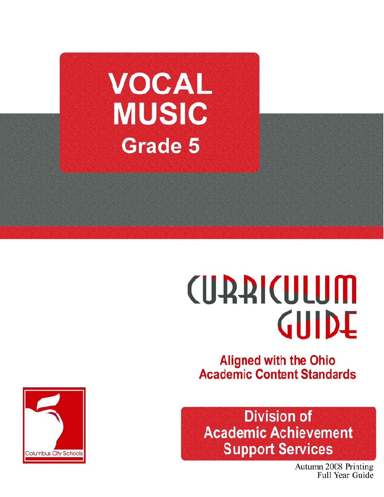

# **CUARICULUM** GUIDE

**Aligned with the Ohio Academic Content Standards** 

**Division of Academic Achievement Support Services** 

> Autumn 2008 Printing Full Year Guide

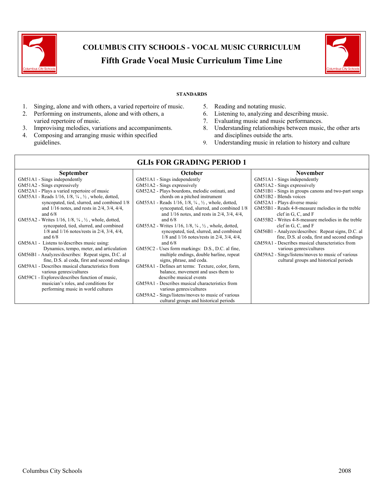



#### **STANDARDS**

**GLIs FOR GRADING PERIOD 1** 

- 1. Singing, alone and with others, a varied repertoire of music.
- 2. Performing on instruments, alone and with others, a varied repertoire of music.
- 3. Improvising melodies, variations and accompaniments.
- 4. Composing and arranging music within specified guidelines.
- 5. Reading and notating music.
- 6. Listening to, analyzing and describing music.
- 7. Evaluating music and music performances.
- 8. Understanding relationships between music, the other arts and disciplines outside the arts.
- 9. Understanding music in relation to history and culture

| <b>September</b>                                                               | October                                                                         | <b>November</b>                                    |
|--------------------------------------------------------------------------------|---------------------------------------------------------------------------------|----------------------------------------------------|
| GM51A1 - Sings independently                                                   | GM51A1 - Sings independently                                                    | GM51A1 - Sings independently                       |
| GM51A2 - Sings expressively                                                    | GM51A2 - Sings expressively                                                     | GM51A2 - Sings expressively                        |
| GM52A1 - Plays a varied repertoire of music                                    | GM52A2 - Plays bourdons, melodic ostinati, and                                  | GM51B1 - Sings in groups canons and two-part songs |
| GM55A1 - Reads $1/16$ , $1/8$ , $\frac{1}{4}$ , $\frac{1}{2}$ , whole, dotted, | chords on a pitched instrument                                                  | GM51B2 - Blends voices                             |
| syncopated, tied, slurred, and combined 1/8                                    | GM55A1 - Reads $1/16$ , $1/8$ , $\frac{1}{4}$ , $\frac{1}{2}$ , whole, dotted,  | GM52A1 - Plays diverse music                       |
| and $1/16$ notes, and rests in $2/4$ , $3/4$ , $4/4$ ,                         | syncopated, tied, slurred, and combined 1/8                                     | GM55B1 - Reads 4-8-measure melodies in the treble  |
| and $6/8$                                                                      | and $1/16$ notes, and rests in $2/4$ , $3/4$ , $4/4$ ,                          | clef in $G$ , $C$ , and $F$                        |
| GM55A2 - Writes 1/16, 1/8, 1/4, 1/2, whole, dotted,                            | and $6/8$                                                                       | GM55B2 - Writes 4-8-measure melodies in the treble |
| syncopated, tied, slurred, and combined                                        | GM55A2 - Writes $1/16$ , $1/8$ , $\frac{1}{4}$ , $\frac{1}{2}$ , whole, dotted, | clef in $G$ , $C$ , and $F$                        |
| $1/8$ and $1/16$ notes/rests in $2/4$ , $3/4$ , $4/4$ ,                        | syncopated, tied, slurred, and combined                                         | GM56B1 - Analyzes/describes: Repeat signs, D.C. al |
| and $6/8$                                                                      | $1/8$ and $1/16$ notes/rests in $2/4$ , $3/4$ , $4/4$ ,                         | fine, D.S. al coda, first and second endings       |
| GM56A1 - Listens to/describes music using:                                     | and $6/8$                                                                       | GM59A1 - Describes musical characteristics from    |
| Dynamics, tempo, meter, and articulation                                       | GM55C2 - Uses form markings: D.S., D.C. al fine,                                | various genres/cultures                            |
| GM56B1 - Analyzes/describes: Repeat signs, D.C. al                             | multiple endings, double barline, repeat                                        | GM59A2 - Sings/listens/moves to music of various   |
| fine, D.S. al coda, first and second endings                                   | signs, phrase, and coda.                                                        | cultural groups and historical periods             |
| GM59A1 - Describes musical characteristics from                                | GM58A1 - Defines art terms: Texture, color, form,                               |                                                    |
| various genres/cultures                                                        | balance, movement and uses them to                                              |                                                    |
| GM59C1 - Explores/describes function of music,                                 | describe musical events                                                         |                                                    |
| musician's roles, and conditions for                                           | GM59A1 - Describes musical characteristics from                                 |                                                    |
| performing music in world cultures                                             | various genres/cultures                                                         |                                                    |
|                                                                                | GM59A2 - Sings/listens/moves to music of various                                |                                                    |
|                                                                                | cultural groups and historical periods                                          |                                                    |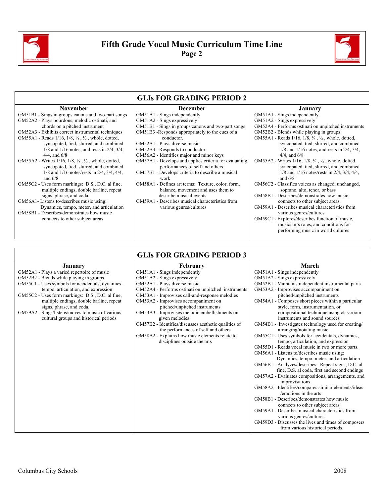



|                                                                                       | <b>GLIS FOR GRADING PERIOD 2</b>                      |                                                                                        |
|---------------------------------------------------------------------------------------|-------------------------------------------------------|----------------------------------------------------------------------------------------|
| <b>November</b>                                                                       | <b>December</b>                                       | January                                                                                |
| GM51B1 - Sings in groups canons and two-part songs                                    | GM51A1 - Sings independently                          | GM51A1 - Sings independently                                                           |
| GM52A2 - Plays bourdons, melodic ostinati, and                                        | GM51A2 - Sings expressively                           | GM51A2 - Sings expressively                                                            |
| chords on a pitched instrument                                                        | GM51B1 - Sings in groups canons and two-part songs    | GM52A4 - Performs ostinati on unpitched instruments                                    |
| GM52A3 - Exhibits correct instrumental techniques                                     | GM51B3 -Responds appropriately to the cues of a       | GM52B2 - Blends while playing in groups                                                |
| GM55A1 - Reads $1/16$ , $1/8$ , $\frac{1}{4}$ , $\frac{1}{2}$ , whole, dotted,        | conductor.                                            | GM55A1 - Reads 1/16, 1/8, 1/4, 1/2, whole, dotted,                                     |
| syncopated, tied, slurred, and combined                                               | GM52A1 - Plays diverse music                          | syncopated, tied, slurred, and combined                                                |
| $1/8$ and $1/16$ notes, and rests in $2/4$ , $3/4$ ,                                  | GM52B3 - Responds to conductor                        | $1/8$ and $1/16$ notes, and rests in $2/4$ , $3/4$ ,                                   |
| $4/4$ , and $6/8$                                                                     | GM56A2 - Identifies major and minor keys              | $4/4$ , and $6/8$                                                                      |
| GM55A2 - Writes $1/16$ , $1/8$ , $\frac{1}{4}$ , $\frac{1}{2}$ , whole, dotted,       | GM57A1 - Develops and applies criteria for evaluating | GM55A2 - Writes $1/16$ , $1/8$ , $\frac{1}{4}$ , $\frac{1}{2}$ , whole, dotted,        |
| syncopated, tied, slurred, and combined                                               | performances of self and others.                      | syncopated, tied, slurred, and combined                                                |
| $1/8$ and $1/16$ notes/rests in $2/4$ , $3/4$ , $4/4$ ,                               | GM57B1 - Develops criteria to describe a musical      | $1/8$ and $1/16$ notes/rests in $2/4$ , $3/4$ , $4/4$ ,                                |
| and $6/8$                                                                             | work                                                  | and $6/8$                                                                              |
| GM55C2 - Uses form markings: D.S., D.C. al fine,                                      | GM58A1 - Defines art terms: Texture, color, form,     | GM56C2 - Classifies voices as changed, unchanged,                                      |
| multiple endings, double barline, repeat                                              | balance, movement and uses them to                    | soprano, alto, tenor, or bass                                                          |
| signs, phrase, and coda.                                                              | describe musical events                               | GM58B1 - Describes/demonstrates how music                                              |
| GM56A1-Listens to/describes music using:                                              | GM59A1 - Describes musical characteristics from       | connects to other subject areas                                                        |
| Dynamics, tempo, meter, and articulation<br>GM58B1 - Describes/demonstrates how music | various genres/cultures                               | GM59A1 - Describes musical characteristics from                                        |
|                                                                                       |                                                       | various genres/cultures                                                                |
| connects to other subject areas                                                       |                                                       | GM59C1 - Explores/describes function of music,<br>musician's roles, and conditions for |
|                                                                                       |                                                       | performing music in world cultures                                                     |
|                                                                                       |                                                       |                                                                                        |

#### **GLIs FOR GRADING PERIOD 3**

| January                                          | February                                             | March                                                                                   |
|--------------------------------------------------|------------------------------------------------------|-----------------------------------------------------------------------------------------|
| GM52A1 - Plays a varied repertoire of music      | GM51A1 - Sings independently                         | GM51A1 - Sings independently                                                            |
| GM52B2 - Blends while playing in groups          | GM51A2 - Sings expressively                          | GM51A2 - Sings expressively                                                             |
| GM55C1 - Uses symbols for accidentals, dynamics, | GM52A1 - Plays diverse music                         | GM52B1 - Maintains independent instrumental parts                                       |
| tempo, articulation, and expression              | GM52A4 - Performs ostinati on unpitched instruments  | GM53A2 - Improvises accompaniment on                                                    |
| GM55C2 - Uses form markings: D.S., D.C. al fine, | GM53A1 - Improvises call-and-response melodies       | pitched/unpitched instruments                                                           |
| multiple endings, double barline, repeat         | GM53A2 - Improvises accompaniment on                 | GM54A1 - Composes short pieces within a particular                                      |
| signs, phrase, and coda.                         | pitched/unpitched instruments                        | style, form, instrumentation, or                                                        |
| GM59A2 - Sings/listens/moves to music of various | GM53A3 - Improvises melodic embellishments on        | compositional technique using classroom                                                 |
| cultural groups and historical periods           | given melodies                                       | instruments and sound sources                                                           |
|                                                  | GM57B2 - Identifies/discusses aesthetic qualities of | GM54B1 - Investigates technology used for creating/                                     |
|                                                  | the performances of self and others                  | arranging/notating music                                                                |
|                                                  | GM58B2 - Explains how music elements relate to       | GM55C1 - Uses symbols for accidentals, dynamics,                                        |
|                                                  | disciplines outside the arts                         | tempo, articulation, and expression<br>GM55D1 - Reads vocal music in two or more parts. |
|                                                  |                                                      | GM56A1 - Listens to/describes music using:                                              |
|                                                  |                                                      | Dynamics, tempo, meter, and articulation                                                |
|                                                  |                                                      | GM56B1 - Analyzes/describes: Repeat signs, D.C. al                                      |
|                                                  |                                                      | fine, D.S. al coda, first and second endings                                            |
|                                                  |                                                      | GM57A2 - Evaluates compositions, arrangements, and                                      |
|                                                  |                                                      | improvisations                                                                          |
|                                                  |                                                      | GM58A2 - Identifies/compares similar elements/ideas                                     |
|                                                  |                                                      | /emotions in the arts                                                                   |
|                                                  |                                                      | GM58B1 - Describes/demonstrates how music                                               |
|                                                  |                                                      | connects to other subject areas                                                         |
|                                                  |                                                      | GM59A1 - Describes musical characteristics from                                         |
|                                                  |                                                      | various genres/cultures                                                                 |
|                                                  |                                                      | GM59D3 - Discusses the lives and times of composers                                     |
|                                                  |                                                      | from various historical periods.                                                        |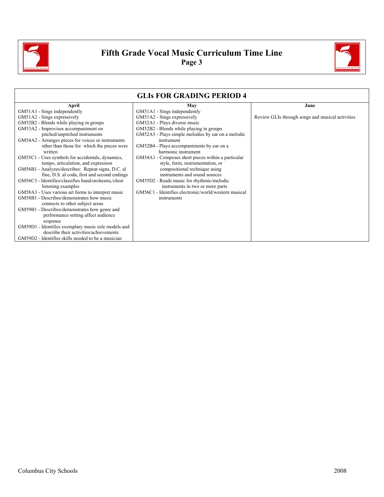

## **Fifth Grade Vocal Music Curriculum Time Line Page 3**



|                                                      | <b>GLIS FOR GRADING PERIOD 4</b>                     |                                                  |
|------------------------------------------------------|------------------------------------------------------|--------------------------------------------------|
| April                                                | May                                                  | June                                             |
| GM51A1 - Sings independently                         | GM51A1 - Sings independently                         |                                                  |
| GM51A2 - Sings expressively                          | GM51A2 - Sings expressively                          | Review GLIs through songs and musical activities |
| GM52B2 - Blends while playing in groups              | GM52A1 - Plays diverse music                         |                                                  |
| GM53A2 - Improvises accompaniment on                 | GM52B2 - Blends while playing in groups              |                                                  |
| pitched/unpitched instruments                        | GM52A5 - Plays simple melodies by ear on a melodic   |                                                  |
| GM54A2 - Arranges pieces for voices or instruments   | instrument                                           |                                                  |
| other than those for which the pieces were           | GM52B4 - Plays accompaniments by ear on a            |                                                  |
| written                                              | harmonic instrument                                  |                                                  |
| GM55C1 - Uses symbols for accidentals, dynamics,     | GM54A1 - Composes short pieces within a particular   |                                                  |
| tempo, articulation, and expression                  | style, form, instrumentation, or                     |                                                  |
| GM56B1 - Analyzes/describes: Repeat signs, D.C. al   | compositional technique using                        |                                                  |
| fine, D.S. al coda, first and second endings         | instruments and sound sources                        |                                                  |
| GM56C3 - Identifies/classifies band/orchestra./choir | GM55D2 - Reads music for rhythmic/melodic            |                                                  |
| listening examples                                   | instruments in two or more parts                     |                                                  |
| GM58A3 - Uses various art forms to interpret music   | GM56C1 - Identifies electronic/world/western musical |                                                  |
| GM58B1 - Describes/demonstrates how music            | instruments                                          |                                                  |
| connects to other subject areas                      |                                                      |                                                  |
| GM59B1 - Describes/demonstrates how genre and        |                                                      |                                                  |
| performance setting affect audience                  |                                                      |                                                  |
| response                                             |                                                      |                                                  |
| GM59D1 - Identifies exemplary music role models and  |                                                      |                                                  |
| describe their activities/achievements               |                                                      |                                                  |
| GM59D2 - Identifies skills needed to be a musician   |                                                      |                                                  |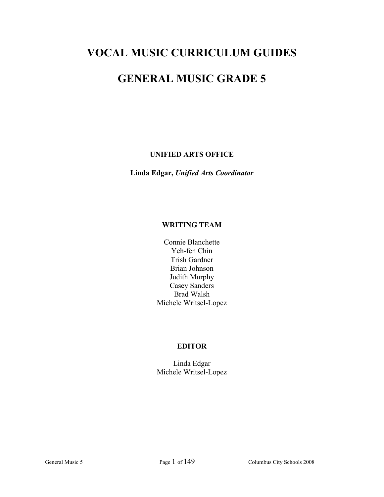## **VOCAL MUSIC CURRICULUM GUIDES**

## **GENERAL MUSIC GRADE 5**

#### **UNIFIED ARTS OFFICE**

**Linda Edgar,** *Unified Arts Coordinator* 

#### **WRITING TEAM**

Connie Blanchette Yeh-fen Chin Trish Gardner Brian Johnson Judith Murphy Casey Sanders Brad Walsh Michele Writsel-Lopez

#### **EDITOR**

Linda Edgar Michele Writsel-Lopez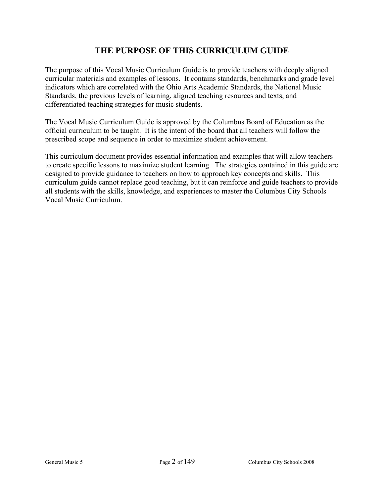### **THE PURPOSE OF THIS CURRICULUM GUIDE**

The purpose of this Vocal Music Curriculum Guide is to provide teachers with deeply aligned curricular materials and examples of lessons. It contains standards, benchmarks and grade level indicators which are correlated with the Ohio Arts Academic Standards, the National Music Standards, the previous levels of learning, aligned teaching resources and texts, and differentiated teaching strategies for music students.

The Vocal Music Curriculum Guide is approved by the Columbus Board of Education as the official curriculum to be taught. It is the intent of the board that all teachers will follow the prescribed scope and sequence in order to maximize student achievement.

This curriculum document provides essential information and examples that will allow teachers to create specific lessons to maximize student learning. The strategies contained in this guide are designed to provide guidance to teachers on how to approach key concepts and skills. This curriculum guide cannot replace good teaching, but it can reinforce and guide teachers to provide all students with the skills, knowledge, and experiences to master the Columbus City Schools Vocal Music Curriculum.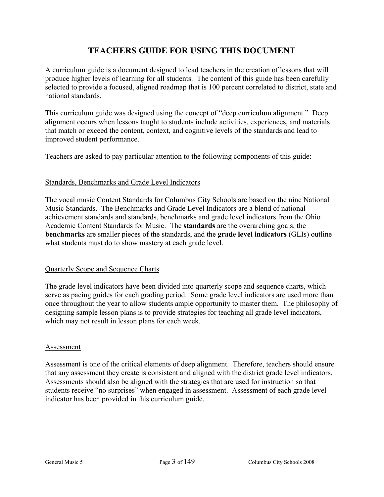## **TEACHERS GUIDE FOR USING THIS DOCUMENT**

A curriculum guide is a document designed to lead teachers in the creation of lessons that will produce higher levels of learning for all students. The content of this guide has been carefully selected to provide a focused, aligned roadmap that is 100 percent correlated to district, state and national standards.

This curriculum guide was designed using the concept of "deep curriculum alignment." Deep alignment occurs when lessons taught to students include activities, experiences, and materials that match or exceed the content, context, and cognitive levels of the standards and lead to improved student performance.

Teachers are asked to pay particular attention to the following components of this guide:

#### Standards, Benchmarks and Grade Level Indicators

The vocal music Content Standards for Columbus City Schools are based on the nine National Music Standards. The Benchmarks and Grade Level Indicators are a blend of national achievement standards and standards, benchmarks and grade level indicators from the Ohio Academic Content Standards for Music. The **standards** are the overarching goals, the **benchmarks** are smaller pieces of the standards, and the **grade level indicators** (GLIs) outline what students must do to show mastery at each grade level.

#### Quarterly Scope and Sequence Charts

The grade level indicators have been divided into quarterly scope and sequence charts, which serve as pacing guides for each grading period. Some grade level indicators are used more than once throughout the year to allow students ample opportunity to master them. The philosophy of designing sample lesson plans is to provide strategies for teaching all grade level indicators, which may not result in lesson plans for each week.

#### Assessment

Assessment is one of the critical elements of deep alignment. Therefore, teachers should ensure that any assessment they create is consistent and aligned with the district grade level indicators. Assessments should also be aligned with the strategies that are used for instruction so that students receive "no surprises" when engaged in assessment. Assessment of each grade level indicator has been provided in this curriculum guide.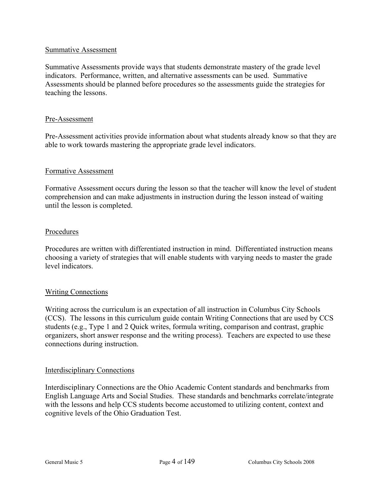#### Summative Assessment

Summative Assessments provide ways that students demonstrate mastery of the grade level indicators. Performance, written, and alternative assessments can be used. Summative Assessments should be planned before procedures so the assessments guide the strategies for teaching the lessons.

#### Pre-Assessment

Pre-Assessment activities provide information about what students already know so that they are able to work towards mastering the appropriate grade level indicators.

#### Formative Assessment

Formative Assessment occurs during the lesson so that the teacher will know the level of student comprehension and can make adjustments in instruction during the lesson instead of waiting until the lesson is completed.

#### Procedures

Procedures are written with differentiated instruction in mind. Differentiated instruction means choosing a variety of strategies that will enable students with varying needs to master the grade level indicators.

#### Writing Connections

Writing across the curriculum is an expectation of all instruction in Columbus City Schools (CCS). The lessons in this curriculum guide contain Writing Connections that are used by CCS students (e.g., Type 1 and 2 Quick writes, formula writing, comparison and contrast, graphic organizers, short answer response and the writing process). Teachers are expected to use these connections during instruction.

#### Interdisciplinary Connections

Interdisciplinary Connections are the Ohio Academic Content standards and benchmarks from English Language Arts and Social Studies. These standards and benchmarks correlate/integrate with the lessons and help CCS students become accustomed to utilizing content, context and cognitive levels of the Ohio Graduation Test.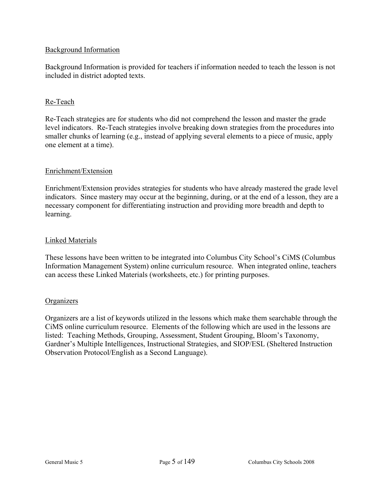#### Background Information

Background Information is provided for teachers if information needed to teach the lesson is not included in district adopted texts.

#### Re-Teach

Re-Teach strategies are for students who did not comprehend the lesson and master the grade level indicators. Re-Teach strategies involve breaking down strategies from the procedures into smaller chunks of learning (e.g., instead of applying several elements to a piece of music, apply one element at a time).

#### Enrichment/Extension

Enrichment/Extension provides strategies for students who have already mastered the grade level indicators. Since mastery may occur at the beginning, during, or at the end of a lesson, they are a necessary component for differentiating instruction and providing more breadth and depth to learning.

#### Linked Materials

These lessons have been written to be integrated into Columbus City School's CiMS (Columbus Information Management System) online curriculum resource. When integrated online, teachers can access these Linked Materials (worksheets, etc.) for printing purposes.

#### **Organizers**

Organizers are a list of keywords utilized in the lessons which make them searchable through the CiMS online curriculum resource. Elements of the following which are used in the lessons are listed: Teaching Methods, Grouping, Assessment, Student Grouping, Bloom's Taxonomy, Gardner's Multiple Intelligences, Instructional Strategies, and SIOP/ESL (Sheltered Instruction Observation Protocol/English as a Second Language).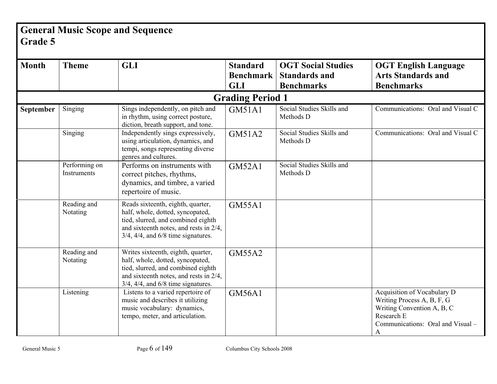## **General Music Scope and Sequence Grade 5**

| <b>Month</b> | <b>Theme</b>                 | <b>GLI</b>                                                                                                                                                                                           | <b>Standard</b><br><b>Benchmark</b> | <b>OGT Social Studies</b><br><b>Standards and</b> | <b>OGT English Language</b><br><b>Arts Standards and</b>                                                                                        |
|--------------|------------------------------|------------------------------------------------------------------------------------------------------------------------------------------------------------------------------------------------------|-------------------------------------|---------------------------------------------------|-------------------------------------------------------------------------------------------------------------------------------------------------|
|              |                              |                                                                                                                                                                                                      | <b>GLI</b>                          | <b>Benchmarks</b>                                 | <b>Benchmarks</b>                                                                                                                               |
|              |                              |                                                                                                                                                                                                      | <b>Grading Period 1</b>             |                                                   |                                                                                                                                                 |
| September    | Singing                      | Sings independently, on pitch and<br>in rhythm, using correct posture,<br>diction, breath support, and tone.                                                                                         | <b>GM51A1</b>                       | Social Studies Skills and<br>Methods D            | Communications: Oral and Visual C                                                                                                               |
|              | Singing                      | Independently sings expressively,<br>using articulation, dynamics, and<br>tempi, songs representing diverse<br>genres and cultures.                                                                  | GM51A2                              | Social Studies Skills and<br>Methods D            | Communications: Oral and Visual C                                                                                                               |
|              | Performing on<br>Instruments | Performs on instruments with<br>correct pitches, rhythms,<br>dynamics, and timbre, a varied<br>repertoire of music.                                                                                  | <b>GM52A1</b>                       | Social Studies Skills and<br>Methods D            |                                                                                                                                                 |
|              | Reading and<br>Notating      | Reads sixteenth, eighth, quarter,<br>half, whole, dotted, syncopated,<br>tied, slurred, and combined eighth<br>and sixteenth notes, and rests in 2/4,<br>$3/4$ , $4/4$ , and $6/8$ time signatures.  | <b>GM55A1</b>                       |                                                   |                                                                                                                                                 |
|              | Reading and<br>Notating      | Writes sixteenth, eighth, quarter,<br>half, whole, dotted, syncopated,<br>tied, slurred, and combined eighth<br>and sixteenth notes, and rests in 2/4,<br>$3/4$ , $4/4$ , and $6/8$ time signatures. | <b>GM55A2</b>                       |                                                   |                                                                                                                                                 |
|              | Listening                    | Listens to a varied repertoire of<br>music and describes it utilizing<br>music vocabulary: dynamics,<br>tempo, meter, and articulation.                                                              | <b>GM56A1</b>                       |                                                   | Acquisition of Vocabulary D<br>Writing Process A, B, F, G<br>Writing Convention A, B, C<br>Research E<br>Communications: Oral and Visual -<br>A |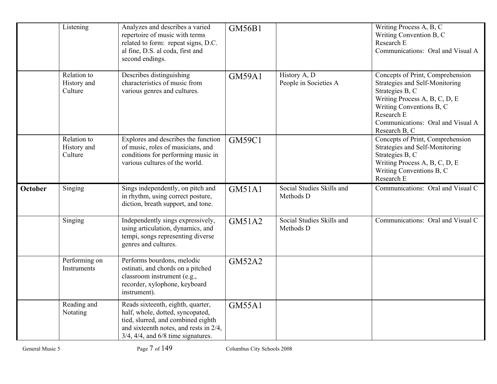|                | Listening                             | Analyzes and describes a varied<br>repertoire of music with terms<br>related to form: repeat signs, D.C.<br>al fine, D.S. al coda, first and<br>second endings.                                     | <b>GM56B1</b> |                                        | Writing Process A, B, C<br>Writing Convention B, C<br>Research E<br>Communications: Oral and Visual A                                                                                                                  |
|----------------|---------------------------------------|-----------------------------------------------------------------------------------------------------------------------------------------------------------------------------------------------------|---------------|----------------------------------------|------------------------------------------------------------------------------------------------------------------------------------------------------------------------------------------------------------------------|
|                | Relation to<br>History and<br>Culture | Describes distinguishing<br>characteristics of music from<br>various genres and cultures.                                                                                                           | <b>GM59A1</b> | History A, D<br>People in Societies A  | Concepts of Print, Comprehension<br>Strategies and Self-Monitoring<br>Strategies B, C<br>Writing Process A, B, C, D, E<br>Writing Conventions B, C<br>Research E<br>Communications: Oral and Visual A<br>Research B, C |
|                | Relation to<br>History and<br>Culture | Explores and describes the function<br>of music, roles of musicians, and<br>conditions for performing music in<br>various cultures of the world.                                                    | <b>GM59C1</b> |                                        | Concepts of Print, Comprehension<br>Strategies and Self-Monitoring<br>Strategies B, C<br>Writing Process A, B, C, D, E<br>Writing Conventions B, C<br>Research E                                                       |
| <b>October</b> | Singing                               | Sings independently, on pitch and<br>in rhythm, using correct posture,<br>diction, breath support, and tone.                                                                                        | <b>GM51A1</b> | Social Studies Skills and<br>Methods D | Communications: Oral and Visual C                                                                                                                                                                                      |
|                | Singing                               | Independently sings expressively,<br>using articulation, dynamics, and<br>tempi, songs representing diverse<br>genres and cultures.                                                                 | <b>GM51A2</b> | Social Studies Skills and<br>Methods D | Communications: Oral and Visual C                                                                                                                                                                                      |
|                | Performing on<br>Instruments          | Performs bourdons, melodic<br>ostinati, and chords on a pitched<br>classroom instrument (e.g.,<br>recorder, xylophone, keyboard<br>instrument).                                                     | <b>GM52A2</b> |                                        |                                                                                                                                                                                                                        |
|                | Reading and<br>Notating               | Reads sixteenth, eighth, quarter,<br>half, whole, dotted, syncopated,<br>tied, slurred, and combined eighth<br>and sixteenth notes, and rests in 2/4,<br>$3/4$ , $4/4$ , and $6/8$ time signatures. | <b>GM55A1</b> |                                        |                                                                                                                                                                                                                        |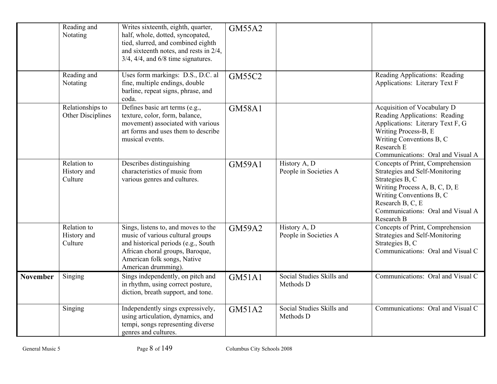|                 | Reading and<br>Notating               | Writes sixteenth, eighth, quarter,<br>half, whole, dotted, syncopated,<br>tied, slurred, and combined eighth<br>and sixteenth notes, and rests in 2/4,<br>$3/4$ , $4/4$ , and $6/8$ time signatures.    | <b>GM55A2</b> |                                        |                                                                                                                                                                                                                           |
|-----------------|---------------------------------------|---------------------------------------------------------------------------------------------------------------------------------------------------------------------------------------------------------|---------------|----------------------------------------|---------------------------------------------------------------------------------------------------------------------------------------------------------------------------------------------------------------------------|
|                 | Reading and<br>Notating               | Uses form markings: D.S., D.C. al<br>fine, multiple endings, double<br>barline, repeat signs, phrase, and<br>coda.                                                                                      | <b>GM55C2</b> |                                        | Reading Applications: Reading<br><b>Applications: Literary Text F</b>                                                                                                                                                     |
|                 | Relationships to<br>Other Disciplines | Defines basic art terms (e.g.,<br>texture, color, form, balance,<br>movement) associated with various<br>art forms and uses them to describe<br>musical events.                                         | <b>GM58A1</b> |                                        | Acquisition of Vocabulary D<br>Reading Applications: Reading<br>Applications: Literary Text F, G<br>Writing Process-B, E<br>Writing Conventions B, C<br>Research E<br>Communications: Oral and Visual A                   |
|                 | Relation to<br>History and<br>Culture | Describes distinguishing<br>characteristics of music from<br>various genres and cultures.                                                                                                               | <b>GM59A1</b> | History A, D<br>People in Societies A  | Concepts of Print, Comprehension<br>Strategies and Self-Monitoring<br>Strategies B, C<br>Writing Process A, B, C, D, E<br>Writing Conventions B, C<br>Research B, C, E<br>Communications: Oral and Visual A<br>Research B |
|                 | Relation to<br>History and<br>Culture | Sings, listens to, and moves to the<br>music of various cultural groups<br>and historical periods (e.g., South<br>African choral groups, Baroque,<br>American folk songs, Native<br>American drumming). | <b>GM59A2</b> | History A, D<br>People in Societies A  | Concepts of Print, Comprehension<br>Strategies and Self-Monitoring<br>Strategies B, C<br>Communications: Oral and Visual C                                                                                                |
| <b>November</b> | Singing                               | Sings independently, on pitch and<br>in rhythm, using correct posture,<br>diction, breath support, and tone.                                                                                            | <b>GM51A1</b> | Social Studies Skills and<br>Methods D | Communications: Oral and Visual C                                                                                                                                                                                         |
|                 | Singing                               | Independently sings expressively,<br>using articulation, dynamics, and<br>tempi, songs representing diverse<br>genres and cultures.                                                                     | <b>GM51A2</b> | Social Studies Skills and<br>Methods D | Communications: Oral and Visual C                                                                                                                                                                                         |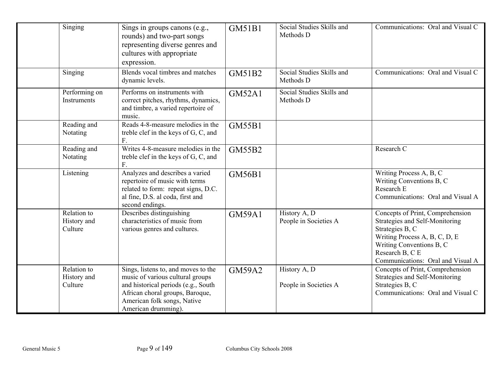| Singing                               | Sings in groups canons (e.g.,<br>rounds) and two-part songs<br>representing diverse genres and<br>cultures with appropriate<br>expression.                                                              | <b>GM51B1</b> | Social Studies Skills and<br>Methods D | Communications: Oral and Visual C                                                                                                                                                                          |
|---------------------------------------|---------------------------------------------------------------------------------------------------------------------------------------------------------------------------------------------------------|---------------|----------------------------------------|------------------------------------------------------------------------------------------------------------------------------------------------------------------------------------------------------------|
| Singing                               | Blends vocal timbres and matches<br>dynamic levels.                                                                                                                                                     | GM51B2        | Social Studies Skills and<br>Methods D | Communications: Oral and Visual C                                                                                                                                                                          |
| Performing on<br>Instruments          | Performs on instruments with<br>correct pitches, rhythms, dynamics,<br>and timbre, a varied repertoire of<br>music.                                                                                     | <b>GM52A1</b> | Social Studies Skills and<br>Methods D |                                                                                                                                                                                                            |
| Reading and<br>Notating               | Reads 4-8-measure melodies in the<br>treble clef in the keys of G, C, and<br>F.                                                                                                                         | <b>GM55B1</b> |                                        |                                                                                                                                                                                                            |
| Reading and<br>Notating               | Writes 4-8-measure melodies in the<br>treble clef in the keys of G, C, and<br>F.                                                                                                                        | <b>GM55B2</b> |                                        | Research C                                                                                                                                                                                                 |
| Listening                             | Analyzes and describes a varied<br>repertoire of music with terms<br>related to form: repeat signs, D.C.<br>al fine, D.S. al coda, first and<br>second endings.                                         | <b>GM56B1</b> |                                        | Writing Process A, B, C<br>Writing Conventions B, C<br>Research E<br>Communications: Oral and Visual A                                                                                                     |
| Relation to<br>History and<br>Culture | Describes distinguishing<br>characteristics of music from<br>various genres and cultures.                                                                                                               | <b>GM59A1</b> | History A, D<br>People in Societies A  | Concepts of Print, Comprehension<br>Strategies and Self-Monitoring<br>Strategies B, C<br>Writing Process A, B, C, D, E<br>Writing Conventions B, C<br>Research B, C E<br>Communications: Oral and Visual A |
| Relation to<br>History and<br>Culture | Sings, listens to, and moves to the<br>music of various cultural groups<br>and historical periods (e.g., South<br>African choral groups, Baroque,<br>American folk songs, Native<br>American drumming). | <b>GM59A2</b> | History A, D<br>People in Societies A  | Concepts of Print, Comprehension<br>Strategies and Self-Monitoring<br>Strategies B, C<br>Communications: Oral and Visual C                                                                                 |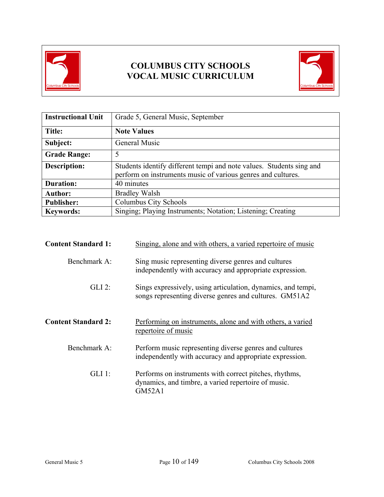

## **COLUMBUS CITY SCHOOLS VOCAL MUSIC CURRICULUM**



| <b>Instructional Unit</b> | Grade 5, General Music, September                                                                                                    |
|---------------------------|--------------------------------------------------------------------------------------------------------------------------------------|
| Title:                    | <b>Note Values</b>                                                                                                                   |
| Subject:                  | General Music                                                                                                                        |
| <b>Grade Range:</b>       | 5                                                                                                                                    |
| <b>Description:</b>       | Students identify different tempi and note values. Students sing and<br>perform on instruments music of various genres and cultures. |
| <b>Duration:</b>          | 40 minutes                                                                                                                           |
| <b>Author:</b>            | <b>Bradley Walsh</b>                                                                                                                 |
| <b>Publisher:</b>         | Columbus City Schools                                                                                                                |
| <b>Keywords:</b>          | Singing; Playing Instruments; Notation; Listening; Creating                                                                          |

| <b>Content Standard 1:</b> | Singing, alone and with others, a varied repertoire of music                                                                   |
|----------------------------|--------------------------------------------------------------------------------------------------------------------------------|
| Benchmark A:               | Sing music representing diverse genres and cultures<br>independently with accuracy and appropriate expression.                 |
| $GLI$ 2:                   | Sings expressively, using articulation, dynamics, and tempi,<br>songs representing diverse genres and cultures. GM51A2         |
| <b>Content Standard 2:</b> | Performing on instruments, alone and with others, a varied<br>repertoire of music                                              |
| Benchmark A:               | Perform music representing diverse genres and cultures<br>independently with accuracy and appropriate expression.              |
| GLI 1:                     | Performs on instruments with correct pitches, rhythms,<br>dynamics, and timbre, a varied repertoire of music.<br><b>GM52A1</b> |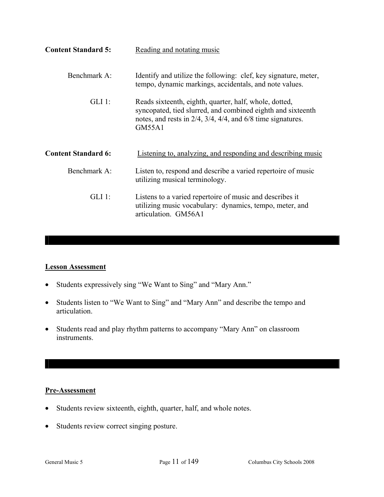| <b>Content Standard 5:</b> | Reading and notating music                                                                                                                                                                                       |
|----------------------------|------------------------------------------------------------------------------------------------------------------------------------------------------------------------------------------------------------------|
| Benchmark A:               | Identify and utilize the following: clef, key signature, meter,<br>tempo, dynamic markings, accidentals, and note values.                                                                                        |
| $GLI$ 1:                   | Reads sixteenth, eighth, quarter, half, whole, dotted,<br>syncopated, tied slurred, and combined eighth and sixteenth<br>notes, and rests in $2/4$ , $3/4$ , $4/4$ , and $6/8$ time signatures.<br><b>GM55A1</b> |
| <b>Content Standard 6:</b> | Listening to, analyzing, and responding and describing music                                                                                                                                                     |
| Benchmark A:               | Listen to, respond and describe a varied repertoire of music<br>utilizing musical terminology.                                                                                                                   |
| $GLI$ 1:                   | Listens to a varied repertoire of music and describes it<br>utilizing music vocabulary: dynamics, tempo, meter, and<br>articulation. GM56A1                                                                      |

#### **Lesson Assessment**

- Students expressively sing "We Want to Sing" and "Mary Ann."
- Students listen to "We Want to Sing" and "Mary Ann" and describe the tempo and articulation.
- Students read and play rhythm patterns to accompany "Mary Ann" on classroom instruments.

#### **Pre-Assessment**

- Students review sixteenth, eighth, quarter, half, and whole notes.
- Students review correct singing posture.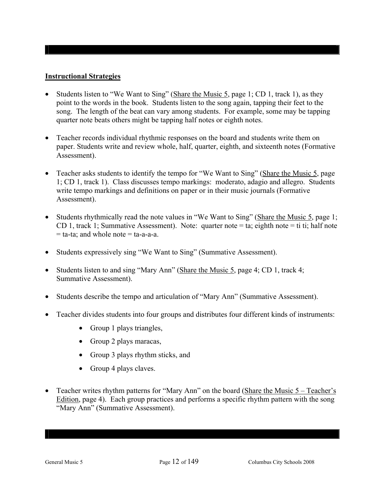#### **Instructional Strategies**

- Students listen to "We Want to Sing" (Share the Music 5, page 1; CD 1, track 1), as they point to the words in the book. Students listen to the song again, tapping their feet to the song. The length of the beat can vary among students. For example, some may be tapping quarter note beats others might be tapping half notes or eighth notes.
- Teacher records individual rhythmic responses on the board and students write them on paper. Students write and review whole, half, quarter, eighth, and sixteenth notes (Formative Assessment).
- Teacher asks students to identify the tempo for "We Want to Sing" (Share the Music 5, page 1; CD 1, track 1). Class discusses tempo markings: moderato, adagio and allegro. Students write tempo markings and definitions on paper or in their music journals (Formative Assessment).
- Students rhythmically read the note values in "We Want to Sing" (Share the Music 5, page 1; CD 1, track 1; Summative Assessment). Note: quarter note = ta; eighth note = ti ti; half note  $=$  ta-ta; and whole note  $=$  ta-a-a-a.
- Students expressively sing "We Want to Sing" (Summative Assessment).
- Students listen to and sing "Mary Ann" (Share the Music 5, page 4; CD 1, track 4; Summative Assessment).
- Students describe the tempo and articulation of "Mary Ann" (Summative Assessment).
- Teacher divides students into four groups and distributes four different kinds of instruments:
	- Group 1 plays triangles,
	- Group 2 plays maracas,
	- Group 3 plays rhythm sticks, and
	- Group 4 plays claves.
- Teacher writes rhythm patterns for "Mary Ann" on the board (Share the Music 5 Teacher's Edition, page 4). Each group practices and performs a specific rhythm pattern with the song "Mary Ann" (Summative Assessment).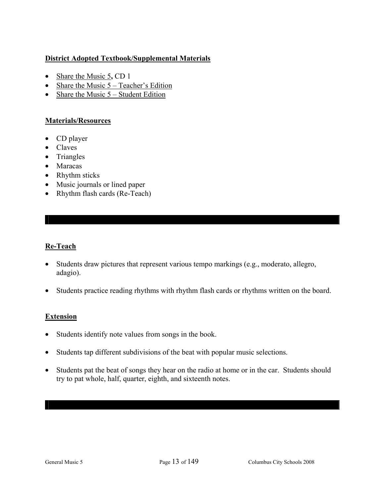#### **District Adopted Textbook/Supplemental Materials**

- Share the Music 5, CD 1
- Share the Music  $5 Teacher's Edition$
- Share the Music  $5 -$  Student Edition

#### **Materials/Resources**

- CD player
- Claves
- Triangles
- Maracas
- Rhythm sticks
- Music journals or lined paper
- Rhythm flash cards (Re-Teach)

#### **Re-Teach**

- Students draw pictures that represent various tempo markings (e.g., moderato, allegro, adagio).
- Students practice reading rhythms with rhythm flash cards or rhythms written on the board.

#### **Extension**

- Students identify note values from songs in the book.
- Students tap different subdivisions of the beat with popular music selections.
- Students pat the beat of songs they hear on the radio at home or in the car. Students should try to pat whole, half, quarter, eighth, and sixteenth notes.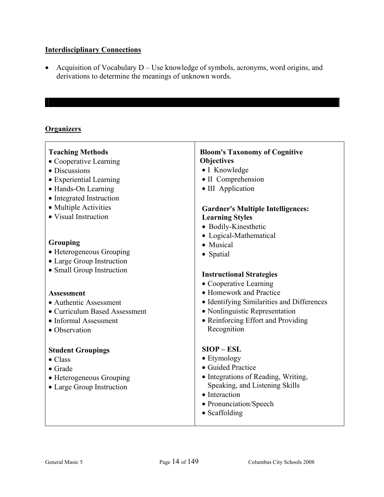#### **Interdisciplinary Connections**

• Acquisition of Vocabulary D – Use knowledge of symbols, acronyms, word origins, and derivations to determine the meanings of unknown words.

#### **Organizers**

| <b>Teaching Methods</b><br>• Cooperative Learning<br>• Discussions<br>• Experiential Learning<br>• Hands-On Learning<br>• Integrated Instruction<br>• Multiple Activities<br>• Visual Instruction | <b>Bloom's Taxonomy of Cognitive</b><br>Objectives<br>• I Knowledge<br>• II Comprehension<br>• III Application<br><b>Gardner's Multiple Intelligences:</b><br><b>Learning Styles</b>          |
|---------------------------------------------------------------------------------------------------------------------------------------------------------------------------------------------------|-----------------------------------------------------------------------------------------------------------------------------------------------------------------------------------------------|
| Grouping<br>• Heterogeneous Grouping<br>• Large Group Instruction<br>• Small Group Instruction                                                                                                    | • Bodily-Kinesthetic<br>• Logical-Mathematical<br>• Musical<br>• Spatial<br><b>Instructional Strategies</b><br>• Cooperative Learning                                                         |
| <b>Assessment</b><br>• Authentic Assessment<br>• Curriculum Based Assessment<br>• Informal Assessment<br>• Observation                                                                            | • Homework and Practice<br>• Identifying Similarities and Differences<br>· Nonlinguistic Representation<br>• Reinforcing Effort and Providing<br>Recognition                                  |
| <b>Student Groupings</b><br>$\bullet$ Class<br>$\bullet$ Grade<br>• Heterogeneous Grouping<br>• Large Group Instruction                                                                           | $SIOP - ESL$<br>$\bullet$ Etymology<br>• Guided Practice<br>· Integrations of Reading, Writing,<br>Speaking, and Listening Skills<br>• Interaction<br>• Pronunciation/Speech<br>• Scaffolding |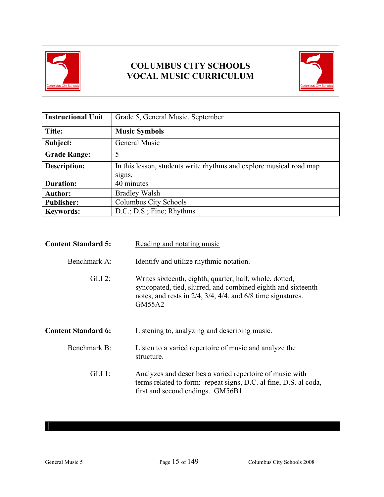

## **COLUMBUS CITY SCHOOLS VOCAL MUSIC CURRICULUM**



| <b>Instructional Unit</b> | Grade 5, General Music, September                                             |  |
|---------------------------|-------------------------------------------------------------------------------|--|
| Title:                    | <b>Music Symbols</b>                                                          |  |
| Subject:                  | General Music                                                                 |  |
| <b>Grade Range:</b>       | 5                                                                             |  |
| <b>Description:</b>       | In this lesson, students write rhythms and explore musical road map<br>signs. |  |
| <b>Duration:</b>          | 40 minutes                                                                    |  |
| <b>Author:</b>            | <b>Bradley Walsh</b>                                                          |  |
| <b>Publisher:</b>         | Columbus City Schools                                                         |  |
| <b>Keywords:</b>          | D.C.; D.S.; Fine; Rhythms                                                     |  |

| <b>Content Standard 5:</b> | Reading and notating music                                                                                                                                                                                  |  |
|----------------------------|-------------------------------------------------------------------------------------------------------------------------------------------------------------------------------------------------------------|--|
| Benchmark A:               | Identify and utilize rhythmic notation.                                                                                                                                                                     |  |
| $GLI$ 2:                   | Writes sixteenth, eighth, quarter, half, whole, dotted,<br>syncopated, tied, slurred, and combined eighth and sixteenth<br>notes, and rests in $2/4$ , $3/4$ , $4/4$ , and $6/8$ time signatures.<br>GM55A2 |  |
| <b>Content Standard 6:</b> | Listening to, analyzing and describing music.                                                                                                                                                               |  |
| Benchmark B:               | Listen to a varied repertoire of music and analyze the<br>structure.                                                                                                                                        |  |
| GLI 1:                     | Analyzes and describes a varied repertoire of music with<br>terms related to form: repeat signs, D.C. al fine, D.S. al coda,<br>first and second endings. GM56B1                                            |  |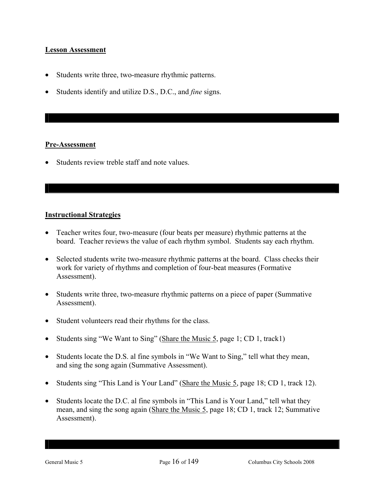#### **Lesson Assessment**

- Students write three, two-measure rhythmic patterns.
- Students identify and utilize D.S., D.C., and *fine* signs.

#### **Pre-Assessment**

• Students review treble staff and note values.

#### **Instructional Strategies**

- Teacher writes four, two-measure (four beats per measure) rhythmic patterns at the board. Teacher reviews the value of each rhythm symbol. Students say each rhythm.
- Selected students write two-measure rhythmic patterns at the board. Class checks their work for variety of rhythms and completion of four-beat measures (Formative Assessment).
- Students write three, two-measure rhythmic patterns on a piece of paper (Summative Assessment).
- Student volunteers read their rhythms for the class.
- Students sing "We Want to Sing" (Share the Music 5, page 1; CD 1, track1)
- Students locate the D.S. al fine symbols in "We Want to Sing," tell what they mean, and sing the song again (Summative Assessment).
- Students sing "This Land is Your Land" (Share the Music 5, page 18; CD 1, track 12).
- Students locate the D.C. al fine symbols in "This Land is Your Land," tell what they mean, and sing the song again (Share the Music 5, page 18; CD 1, track 12; Summative Assessment).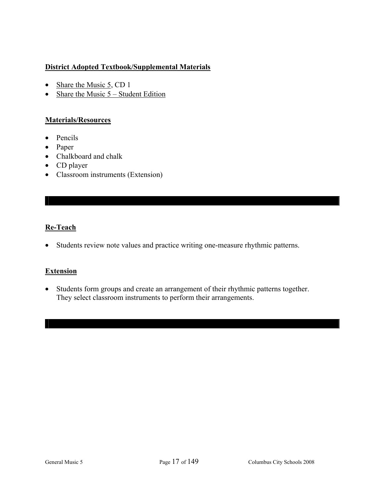#### **District Adopted Textbook/Supplemental Materials**

- Share the Music 5, CD 1
- Share the Music  $5 -$  Student Edition

#### **Materials/Resources**

- Pencils
- Paper
- Chalkboard and chalk
- CD player
- Classroom instruments (Extension)

#### **Re-Teach**

• Students review note values and practice writing one-measure rhythmic patterns.

#### **Extension**

• Students form groups and create an arrangement of their rhythmic patterns together. They select classroom instruments to perform their arrangements.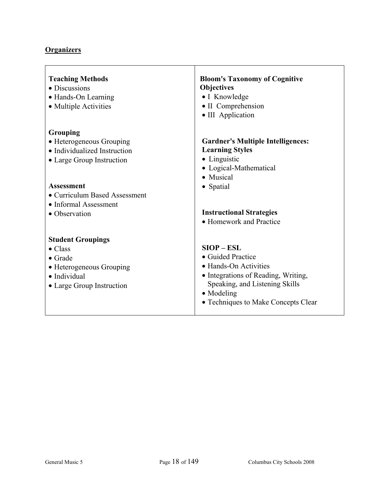## **Organizers**

| <b>Teaching Methods</b><br>• Discussions<br>• Hands-On Learning<br>• Multiple Activities | <b>Bloom's Taxonomy of Cognitive</b><br>Objectives<br>• I Knowledge<br>• II Comprehension<br>• III Application             |
|------------------------------------------------------------------------------------------|----------------------------------------------------------------------------------------------------------------------------|
| Grouping                                                                                 |                                                                                                                            |
| • Heterogeneous Grouping<br>• Individualized Instruction                                 | <b>Gardner's Multiple Intelligences:</b><br><b>Learning Styles</b>                                                         |
| • Large Group Instruction                                                                | • Linguistic<br>• Logical-Mathematical<br>• Musical                                                                        |
| <b>Assessment</b><br>• Curriculum Based Assessment<br>• Informal Assessment              | • Spatial                                                                                                                  |
| • Observation                                                                            | <b>Instructional Strategies</b><br>• Homework and Practice                                                                 |
| <b>Student Groupings</b>                                                                 |                                                                                                                            |
| $\bullet$ Class<br>$\bullet$ Grade                                                       | $SIOP - ESL$<br>• Guided Practice                                                                                          |
| • Heterogeneous Grouping                                                                 | • Hands-On Activities                                                                                                      |
| • Individual<br>• Large Group Instruction                                                | • Integrations of Reading, Writing,<br>Speaking, and Listening Skills<br>• Modeling<br>• Techniques to Make Concepts Clear |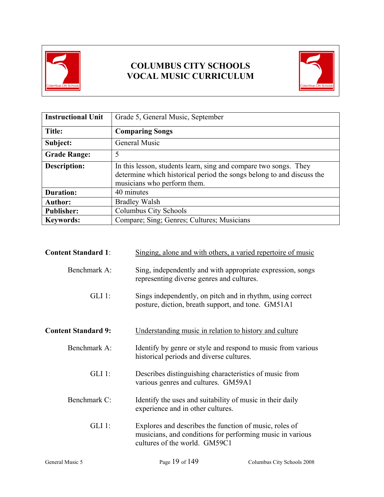

## **COLUMBUS CITY SCHOOLS VOCAL MUSIC CURRICULUM**



| <b>Instructional Unit</b> | Grade 5, General Music, September                                                                                                                                        |  |
|---------------------------|--------------------------------------------------------------------------------------------------------------------------------------------------------------------------|--|
| <b>Title:</b>             | <b>Comparing Songs</b>                                                                                                                                                   |  |
| Subject:                  | General Music                                                                                                                                                            |  |
| <b>Grade Range:</b>       | 5                                                                                                                                                                        |  |
| <b>Description:</b>       | In this lesson, students learn, sing and compare two songs. They<br>determine which historical period the songs belong to and discuss the<br>musicians who perform them. |  |
| <b>Duration:</b>          | 40 minutes                                                                                                                                                               |  |
| <b>Author:</b>            | <b>Bradley Walsh</b>                                                                                                                                                     |  |
| <b>Publisher:</b>         | Columbus City Schools                                                                                                                                                    |  |
| <b>Keywords:</b>          | Compare; Sing; Genres; Cultures; Musicians                                                                                                                               |  |

| <b>Content Standard 1:</b> | Singing, alone and with others, a varied repertoire of music                                                                                         |                            |  |
|----------------------------|------------------------------------------------------------------------------------------------------------------------------------------------------|----------------------------|--|
| Benchmark A:               | Sing, independently and with appropriate expression, songs<br>representing diverse genres and cultures.                                              |                            |  |
| $GLI$ 1:                   | Sings independently, on pitch and in rhythm, using correct<br>posture, diction, breath support, and tone. GM51A1                                     |                            |  |
| <b>Content Standard 9:</b> | Understanding music in relation to history and culture                                                                                               |                            |  |
| Benchmark A:               | Identify by genre or style and respond to music from various<br>historical periods and diverse cultures.                                             |                            |  |
| $GLI$ 1:                   | Describes distinguishing characteristics of music from<br>various genres and cultures. GM59A1                                                        |                            |  |
| Benchmark C:               | Identify the uses and suitability of music in their daily<br>experience and in other cultures.                                                       |                            |  |
| $GLI$ 1:                   | Explores and describes the function of music, roles of<br>musicians, and conditions for performing music in various<br>cultures of the world. GM59C1 |                            |  |
| General Music 5            | Page 19 of 149                                                                                                                                       | Columbus City Schools 2008 |  |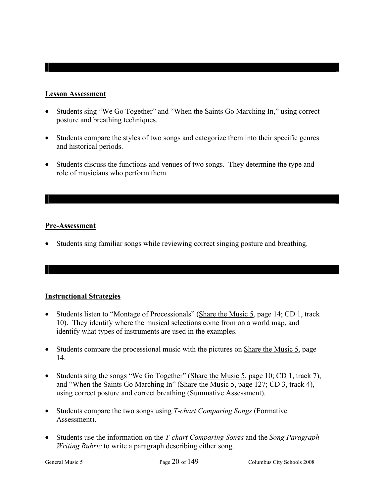#### **Lesson Assessment**

- Students sing "We Go Together" and "When the Saints Go Marching In," using correct posture and breathing techniques.
- Students compare the styles of two songs and categorize them into their specific genres and historical periods.
- Students discuss the functions and venues of two songs. They determine the type and role of musicians who perform them.

#### **Pre-Assessment**

• Students sing familiar songs while reviewing correct singing posture and breathing.

#### **Instructional Strategies**

- Students listen to "Montage of Processionals" (Share the Music 5, page 14; CD 1, track 10). They identify where the musical selections come from on a world map, and identify what types of instruments are used in the examples.
- Students compare the processional music with the pictures on Share the Music 5, page 14.
- Students sing the songs "We Go Together" (Share the Music 5, page 10; CD 1, track 7), and "When the Saints Go Marching In" (Share the Music 5, page 127; CD 3, track 4), using correct posture and correct breathing (Summative Assessment).
- Students compare the two songs using *T-chart Comparing Songs* (Formative Assessment).
- Students use the information on the *T-chart Comparing Songs* and the *Song Paragraph Writing Rubric* to write a paragraph describing either song.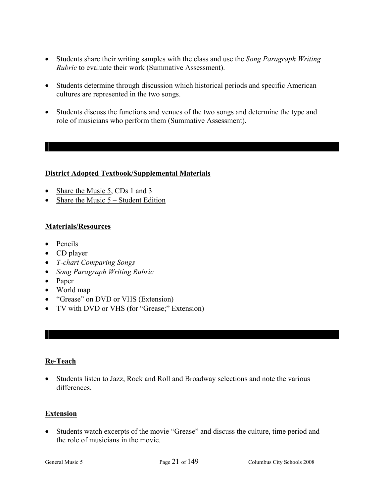- Students share their writing samples with the class and use the *Song Paragraph Writing Rubric* to evaluate their work (Summative Assessment).
- Students determine through discussion which historical periods and specific American cultures are represented in the two songs.
- Students discuss the functions and venues of the two songs and determine the type and role of musicians who perform them (Summative Assessment).

#### **District Adopted Textbook/Supplemental Materials**

- Share the Music 5, CDs 1 and 3
- Share the Music  $5 -$  Student Edition

#### **Materials/Resources**

- Pencils
- CD player
- *T-chart Comparing Songs*
- *Song Paragraph Writing Rubric*
- Paper
- World map
- "Grease" on DVD or VHS (Extension)
- TV with DVD or VHS (for "Grease;" Extension)

#### **Re-Teach**

• Students listen to Jazz, Rock and Roll and Broadway selections and note the various differences.

#### **Extension**

• Students watch excerpts of the movie "Grease" and discuss the culture, time period and the role of musicians in the movie.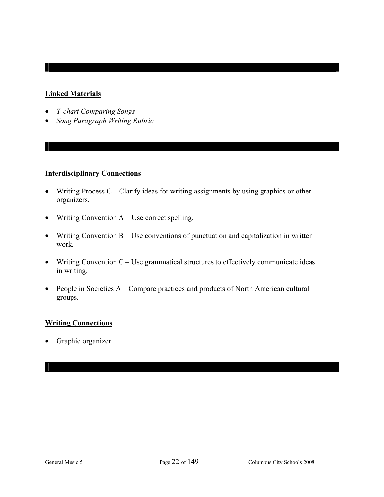#### **Linked Materials**

- *T-chart Comparing Songs*
- *Song Paragraph Writing Rubric*

#### **Interdisciplinary Connections**

- Writing Process  $C -$ Clarify ideas for writing assignments by using graphics or other organizers.
- Writing Convention A Use correct spelling.
- Writing Convention B Use conventions of punctuation and capitalization in written work.
- Writing Convention  $C -$  Use grammatical structures to effectively communicate ideas in writing.
- People in Societies A Compare practices and products of North American cultural groups.

#### **Writing Connections**

• Graphic organizer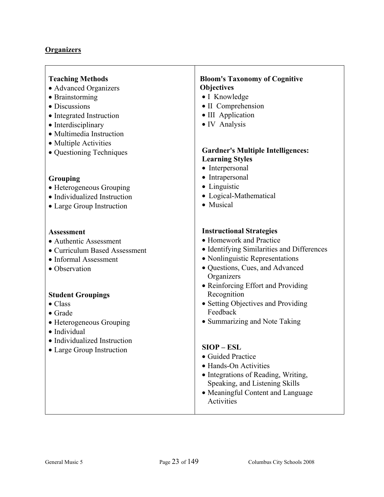#### **Organizers**

#### **Teaching Methods**

- Advanced Organizers
- Brainstorming
- Discussions
- Integrated Instruction
- Interdisciplinary
- Multimedia Instruction
- Multiple Activities
- Questioning Techniques

#### **Grouping**

- Heterogeneous Grouping
- Individualized Instruction
- Large Group Instruction

#### **Assessment**

- Authentic Assessment
- Curriculum Based Assessment
- Informal Assessment
- Observation

#### **Student Groupings**

- Class
- Grade
- Heterogeneous Grouping
- Individual
- Individualized Instruction
- Large Group Instruction

#### **Bloom's Taxonomy of Cognitive Objectives**

- I Knowledge
- II Comprehension
- III Application
- IV Analysis

#### **Gardner's Multiple Intelligences: Learning Styles**

- Interpersonal
- Intrapersonal
- Linguistic
- Logical-Mathematical
- Musical

#### **Instructional Strategies**

- Homework and Practice
- Identifying Similarities and Differences
- Nonlinguistic Representations
- Questions, Cues, and Advanced **Organizers**
- Reinforcing Effort and Providing Recognition
- Setting Objectives and Providing Feedback
- Summarizing and Note Taking

#### **SIOP – ESL**

- Guided Practice
- Hands-On Activities
- Integrations of Reading, Writing, Speaking, and Listening Skills
- Meaningful Content and Language Activities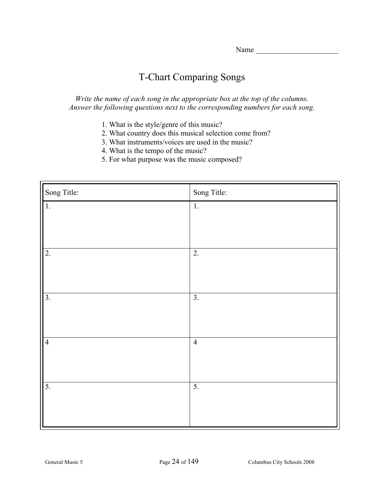## T-Chart Comparing Songs

*Write the name of each song in the appropriate box at the top of the columns. Answer the following questions next to the corresponding numbers for each song.* 

- 1. What is the style/genre of this music?
- 2. What country does this musical selection come from?
- 3. What instruments/voices are used in the music?
- 4. What is the tempo of the music?
- 5. For what purpose was the music composed?

| Song Title:      | Song Title:      |
|------------------|------------------|
| $\overline{1}$ . | 1.               |
|                  |                  |
|                  |                  |
| $\overline{2}$ . | 2.               |
|                  |                  |
|                  |                  |
| $\overline{3}$ . | $\overline{3}$ . |
|                  |                  |
|                  |                  |
| $\overline{4}$   | $\overline{4}$   |
|                  |                  |
|                  |                  |
| 5.               | $\overline{5}$ . |
|                  |                  |
|                  |                  |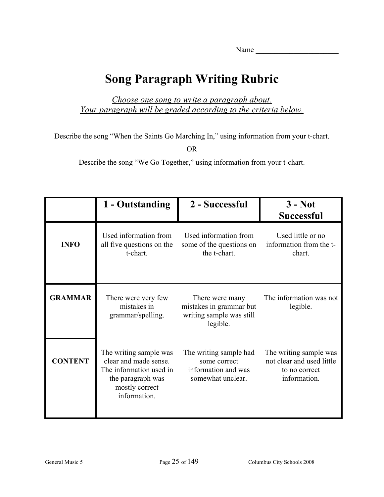## **Song Paragraph Writing Rubric**

*Choose one song to write a paragraph about. Your paragraph will be graded according to the criteria below.*

Describe the song "When the Saints Go Marching In," using information from your t-chart.

OR

Describe the song "We Go Together," using information from your t-chart.

|                | 1 - Outstanding                                                                                                                   | 2 - Successful                                                                     | $3 - Not$<br><b>Successful</b>                                                       |
|----------------|-----------------------------------------------------------------------------------------------------------------------------------|------------------------------------------------------------------------------------|--------------------------------------------------------------------------------------|
| <b>INFO</b>    | Used information from<br>all five questions on the<br>t-chart.                                                                    | Used information from<br>some of the questions on<br>the t-chart.                  | Used little or no<br>information from the t-<br>chart.                               |
| <b>GRAMMAR</b> | There were very few<br>mistakes in<br>grammar/spelling.                                                                           | There were many<br>mistakes in grammar but<br>writing sample was still<br>legible. | The information was not<br>legible.                                                  |
| <b>CONTENT</b> | The writing sample was<br>clear and made sense.<br>The information used in<br>the paragraph was<br>mostly correct<br>information. | The writing sample had<br>some correct<br>information and was<br>somewhat unclear. | The writing sample was<br>not clear and used little<br>to no correct<br>information. |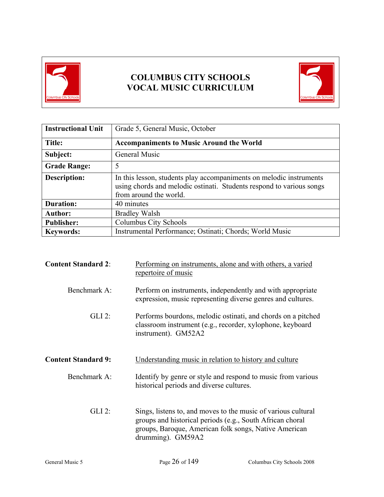

## **COLUMBUS CITY SCHOOLS VOCAL MUSIC CURRICULUM**



| <b>Instructional Unit</b> | Grade 5, General Music, October                                                                                                                                       |  |
|---------------------------|-----------------------------------------------------------------------------------------------------------------------------------------------------------------------|--|
| Title:                    | <b>Accompaniments to Music Around the World</b>                                                                                                                       |  |
| Subject:                  | General Music                                                                                                                                                         |  |
| <b>Grade Range:</b>       | 5                                                                                                                                                                     |  |
| <b>Description:</b>       | In this lesson, students play accompaniments on melodic instruments<br>using chords and melodic ostinati. Students respond to various songs<br>from around the world. |  |
| <b>Duration:</b>          | 40 minutes                                                                                                                                                            |  |
| <b>Author:</b>            | <b>Bradley Walsh</b>                                                                                                                                                  |  |
| <b>Publisher:</b>         | Columbus City Schools                                                                                                                                                 |  |
| <b>Keywords:</b>          | Instrumental Performance; Ostinati; Chords; World Music                                                                                                               |  |

| <b>Content Standard 2:</b> | Performing on instruments, alone and with others, a varied<br>repertoire of music                                                                                                                        |  |
|----------------------------|----------------------------------------------------------------------------------------------------------------------------------------------------------------------------------------------------------|--|
| Benchmark A:               | Perform on instruments, independently and with appropriate<br>expression, music representing diverse genres and cultures.                                                                                |  |
| $GLI$ 2:                   | Performs bourdons, melodic ostinati, and chords on a pitched<br>classroom instrument (e.g., recorder, xylophone, keyboard<br>instrument). GM52A2                                                         |  |
| <b>Content Standard 9:</b> | Understanding music in relation to history and culture                                                                                                                                                   |  |
| Benchmark A:               | Identify by genre or style and respond to music from various<br>historical periods and diverse cultures.                                                                                                 |  |
| $GLI$ 2:                   | Sings, listens to, and moves to the music of various cultural<br>groups and historical periods (e.g., South African choral<br>groups, Baroque, American folk songs, Native American<br>drumming). GM59A2 |  |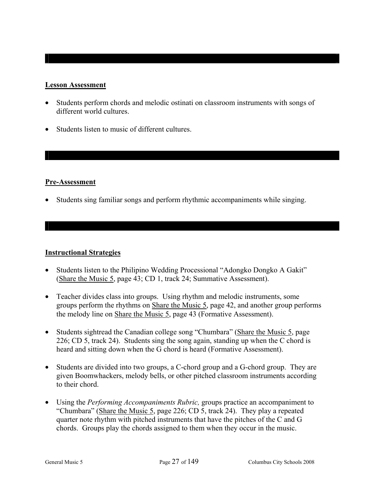#### **Lesson Assessment**

- Students perform chords and melodic ostinati on classroom instruments with songs of different world cultures.
- Students listen to music of different cultures.

#### **Pre-Assessment**

• Students sing familiar songs and perform rhythmic accompaniments while singing.

#### **Instructional Strategies**

- Students listen to the Philipino Wedding Processional "Adongko Dongko A Gakit" (Share the Music 5, page 43; CD 1, track 24; Summative Assessment).
- Teacher divides class into groups. Using rhythm and melodic instruments, some groups perform the rhythms on Share the Music 5, page 42, and another group performs the melody line on Share the Music 5, page 43 (Formative Assessment).
- Students sightread the Canadian college song "Chumbara" (Share the Music 5, page 226; CD 5, track 24). Students sing the song again, standing up when the C chord is heard and sitting down when the G chord is heard (Formative Assessment).
- Students are divided into two groups, a C-chord group and a G-chord group. They are given Boomwhackers, melody bells, or other pitched classroom instruments according to their chord.
- Using the *Performing Accompaniments Rubric,* groups practice an accompaniment to "Chumbara" (Share the Music 5, page 226; CD 5, track 24). They play a repeated quarter note rhythm with pitched instruments that have the pitches of the C and G chords. Groups play the chords assigned to them when they occur in the music.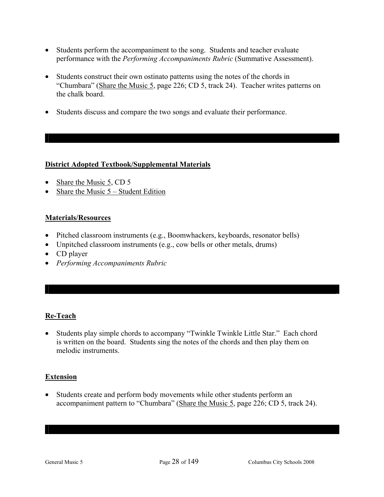- Students perform the accompaniment to the song. Students and teacher evaluate performance with the *Performing Accompaniments Rubric* (Summative Assessment).
- Students construct their own ostinato patterns using the notes of the chords in "Chumbara" (Share the Music 5, page 226; CD 5, track 24). Teacher writes patterns on the chalk board.
- Students discuss and compare the two songs and evaluate their performance.

#### **District Adopted Textbook/Supplemental Materials**

- Share the Music 5, CD 5
- Share the Music  $5 -$  Student Edition

#### **Materials/Resources**

- Pitched classroom instruments (e.g., Boomwhackers, keyboards, resonator bells)
- Unpitched classroom instruments (e.g., cow bells or other metals, drums)
- CD player
- *Performing Accompaniments Rubric*

#### **Re-Teach**

• Students play simple chords to accompany "Twinkle Twinkle Little Star." Each chord is written on the board. Students sing the notes of the chords and then play them on melodic instruments.

#### **Extension**

• Students create and perform body movements while other students perform an accompaniment pattern to "Chumbara" (Share the Music 5, page 226; CD 5, track 24).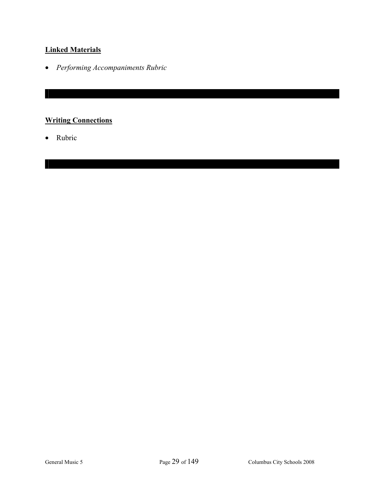#### **Linked Materials**

• *Performing Accompaniments Rubric* 

## **Writing Connections**

• Rubric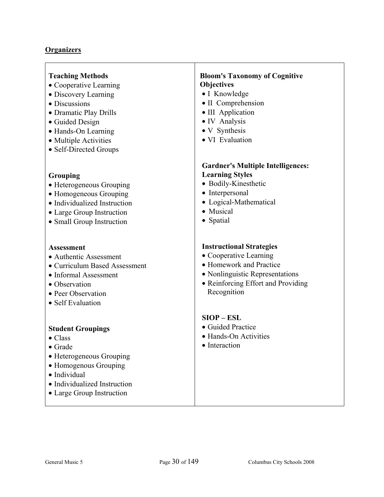#### **Organizers**

#### **Teaching Methods**

- Cooperative Learning
- Discovery Learning
- Discussions
- Dramatic Play Drills
- Guided Design
- Hands-On Learning
- Multiple Activities
- Self-Directed Groups

#### **Grouping**

- Heterogeneous Grouping
- Homogeneous Grouping
- Individualized Instruction
- Large Group Instruction
- Small Group Instruction

#### **Assessment**

- Authentic Assessment
- Curriculum Based Assessment
- Informal Assessment
- Observation
- Peer Observation
- Self Evaluation

#### **Student Groupings**

- Class
- Grade
- Heterogeneous Grouping
- Homogenous Grouping
- Individual
- Individualized Instruction
- Large Group Instruction

#### **Bloom's Taxonomy of Cognitive Objectives**

- I Knowledge
- II Comprehension
- III Application
- IV Analysis
- V Synthesis
- VI Evaluation

#### **Gardner's Multiple Intelligences: Learning Styles**

- Bodily-Kinesthetic
- Interpersonal
- Logical-Mathematical
- Musical
- Spatial

#### **Instructional Strategies**

- Cooperative Learning
- Homework and Practice
- Nonlinguistic Representations
- Reinforcing Effort and Providing Recognition

#### **SIOP – ESL**

- Guided Practice
- Hands-On Activities
- Interaction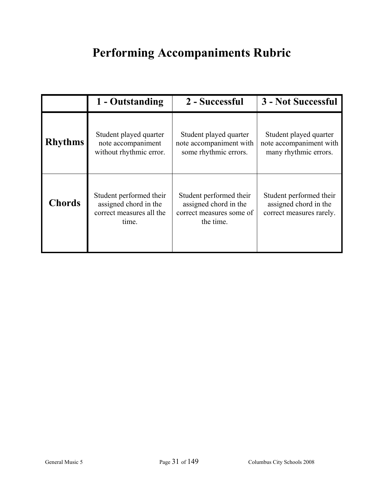# **Performing Accompaniments Rubric**

|                | 1 - Outstanding                                                                       | 2 - Successful                                                                            | 3 - Not Successful                                                           |
|----------------|---------------------------------------------------------------------------------------|-------------------------------------------------------------------------------------------|------------------------------------------------------------------------------|
| <b>Rhythms</b> | Student played quarter<br>note accompaniment<br>without rhythmic error.               | Student played quarter<br>note accompaniment with<br>some rhythmic errors.                | Student played quarter<br>note accompaniment with<br>many rhythmic errors.   |
| <b>Chords</b>  | Student performed their<br>assigned chord in the<br>correct measures all the<br>time. | Student performed their<br>assigned chord in the<br>correct measures some of<br>the time. | Student performed their<br>assigned chord in the<br>correct measures rarely. |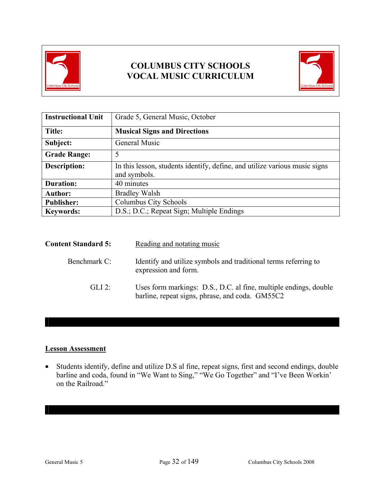

## **COLUMBUS CITY SCHOOLS VOCAL MUSIC CURRICULUM**



| <b>Instructional Unit</b> | Grade 5, General Music, October                                                            |  |
|---------------------------|--------------------------------------------------------------------------------------------|--|
| Title:                    | <b>Musical Signs and Directions</b>                                                        |  |
| Subject:                  | General Music                                                                              |  |
| <b>Grade Range:</b>       | 5                                                                                          |  |
| <b>Description:</b>       | In this lesson, students identify, define, and utilize various music signs<br>and symbols. |  |
| <b>Duration:</b>          | 40 minutes                                                                                 |  |
| <b>Author:</b>            | <b>Bradley Walsh</b>                                                                       |  |
| <b>Publisher:</b>         | Columbus City Schools                                                                      |  |
| <b>Keywords:</b>          | D.S.; D.C.; Repeat Sign; Multiple Endings                                                  |  |

| <b>Content Standard 5:</b> | Reading and notating music                                                                                          |
|----------------------------|---------------------------------------------------------------------------------------------------------------------|
| Benchmark C:               | Identify and utilize symbols and traditional terms referring to<br>expression and form.                             |
| $GLI$ 2:                   | Uses form markings: D.S., D.C. al fine, multiple endings, double<br>barline, repeat signs, phrase, and coda. GM55C2 |

#### **Lesson Assessment**

• Students identify, define and utilize D.S al fine, repeat signs, first and second endings, double barline and coda, found in "We Want to Sing," "We Go Together" and "I've Been Workin' on the Railroad"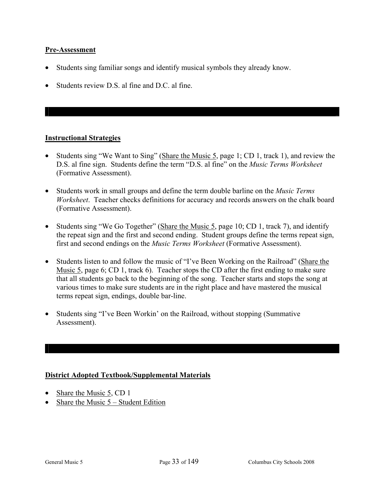## **Pre-Assessment**

- Students sing familiar songs and identify musical symbols they already know.
- Students review D.S. al fine and D.C. al fine.

## **Instructional Strategies**

- Students sing "We Want to Sing" (Share the Music 5, page 1; CD 1, track 1), and review the D.S. al fine sign. Students define the term "D.S. al fine" on the *Music Terms Worksheet*  (Formative Assessment).
- Students work in small groups and define the term double barline on the *Music Terms Worksheet*. Teacher checks definitions for accuracy and records answers on the chalk board (Formative Assessment).
- Students sing "We Go Together" (Share the Music 5, page 10; CD 1, track 7), and identify the repeat sign and the first and second ending. Student groups define the terms repeat sign, first and second endings on the *Music Terms Worksheet* (Formative Assessment).
- Students listen to and follow the music of "I've Been Working on the Railroad" (Share the Music 5, page 6; CD 1, track 6). Teacher stops the CD after the first ending to make sure that all students go back to the beginning of the song. Teacher starts and stops the song at various times to make sure students are in the right place and have mastered the musical terms repeat sign, endings, double bar-line.
- Students sing "I've Been Workin' on the Railroad, without stopping (Summative Assessment).

## **District Adopted Textbook/Supplemental Materials**

- Share the Music 5, CD 1
- Share the Music  $5 -$  Student Edition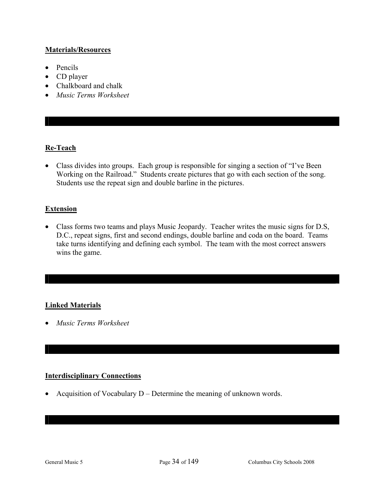## **Materials/Resources**

- Pencils
- CD player
- Chalkboard and chalk
- *Music Terms Worksheet*

## **Re-Teach**

• Class divides into groups. Each group is responsible for singing a section of "I've Been" Working on the Railroad." Students create pictures that go with each section of the song. Students use the repeat sign and double barline in the pictures.

## **Extension**

• Class forms two teams and plays Music Jeopardy. Teacher writes the music signs for D.S, D.C., repeat signs, first and second endings, double barline and coda on the board. Teams take turns identifying and defining each symbol. The team with the most correct answers wins the game.

## **Linked Materials**

• *Music Terms Worksheet* 

## **Interdisciplinary Connections**

• Acquisition of Vocabulary D – Determine the meaning of unknown words.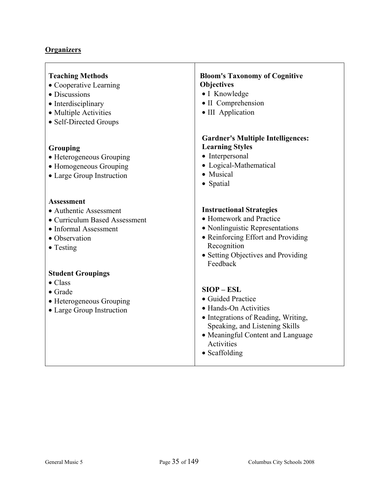# **Organizers**

| <b>Teaching Methods</b><br>• Cooperative Learning<br>• Discussions<br>• Interdisciplinary<br>• Multiple Activities<br>• Self-Directed Groups | <b>Bloom's Taxonomy of Cognitive</b><br><b>Objectives</b><br>• I Knowledge<br>• II Comprehension<br>• III Application                                                                                   |
|----------------------------------------------------------------------------------------------------------------------------------------------|---------------------------------------------------------------------------------------------------------------------------------------------------------------------------------------------------------|
| Grouping<br>• Heterogeneous Grouping<br>• Homogeneous Grouping<br>• Large Group Instruction                                                  | <b>Gardner's Multiple Intelligences:</b><br><b>Learning Styles</b><br>• Interpersonal<br>• Logical-Mathematical<br>• Musical<br>• Spatial                                                               |
| <b>Assessment</b><br>· Authentic Assessment<br>• Curriculum Based Assessment<br>• Informal Assessment<br>• Observation<br>$\bullet$ Testing  | <b>Instructional Strategies</b><br>• Homework and Practice<br>• Nonlinguistic Representations<br>• Reinforcing Effort and Providing<br>Recognition<br>• Setting Objectives and Providing<br>Feedback    |
| <b>Student Groupings</b><br>$\bullet$ Class<br>$\bullet$ Grade<br>• Heterogeneous Grouping<br>• Large Group Instruction                      | $SIOP - ESL$<br>· Guided Practice<br>• Hands-On Activities<br>• Integrations of Reading, Writing,<br>Speaking, and Listening Skills<br>• Meaningful Content and Language<br>Activities<br>• Scaffolding |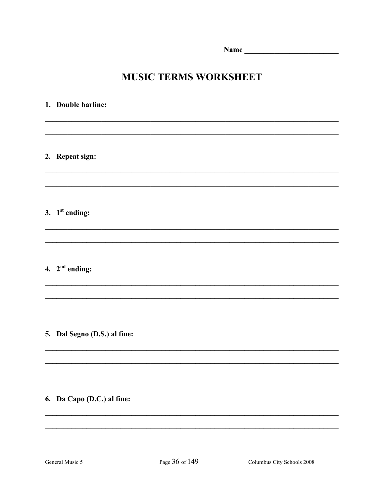# **MUSIC TERMS WORKSHEET**

# 1. Double barline: 2. Repeat sign: 3.  $1<sup>st</sup> ending:$ 4.  $2<sup>nd</sup> ending:$

## 5. Dal Segno (D.S.) al fine:

## 6. Da Capo (D.C.) al fine: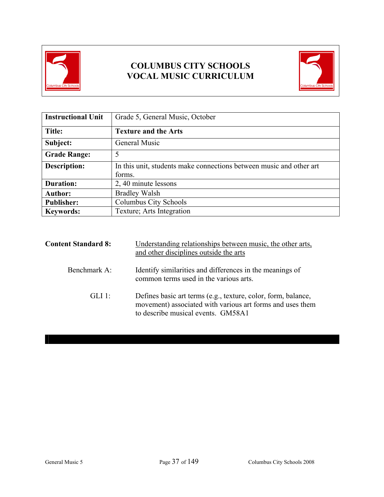

# **COLUMBUS CITY SCHOOLS VOCAL MUSIC CURRICULUM**



| <b>Instructional Unit</b> | Grade 5, General Music, October                                               |  |  |
|---------------------------|-------------------------------------------------------------------------------|--|--|
| Title:                    | <b>Texture and the Arts</b>                                                   |  |  |
| Subject:                  | General Music                                                                 |  |  |
| <b>Grade Range:</b>       | 5                                                                             |  |  |
| <b>Description:</b>       | In this unit, students make connections between music and other art<br>forms. |  |  |
| <b>Duration:</b>          | 2, 40 minute lessons                                                          |  |  |
| <b>Author:</b>            | <b>Bradley Walsh</b>                                                          |  |  |
| <b>Publisher:</b>         | Columbus City Schools                                                         |  |  |
| <b>Keywords:</b>          | Texture; Arts Integration                                                     |  |  |

| <b>Content Standard 8:</b> | Understanding relationships between music, the other arts,<br>and other disciplines outside the arts                                                             |
|----------------------------|------------------------------------------------------------------------------------------------------------------------------------------------------------------|
| Benchmark A:               | Identify similarities and differences in the meanings of<br>common terms used in the various arts.                                                               |
| $GLI$ 1:                   | Defines basic art terms (e.g., texture, color, form, balance,<br>movement) associated with various art forms and uses them<br>to describe musical events. GM58A1 |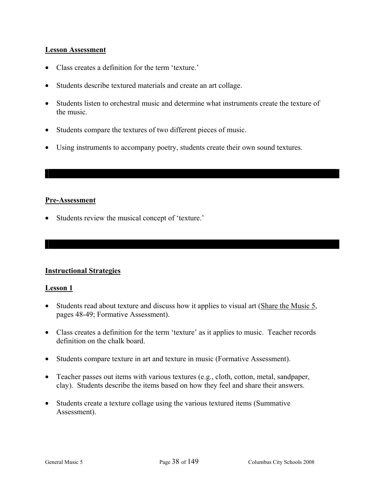## **Lesson Assessment**

- Class creates a definition for the term 'texture.'
- Students describe textured materials and create an art collage.
- Students listen to orchestral music and determine what instruments create the texture of the music.
- Students compare the textures of two different pieces of music.
- Using instruments to accompany poetry, students create their own sound textures.

## **Pre-Assessment**

• Students review the musical concept of 'texture.'

## **Instructional Strategies**

## **Lesson 1**

- Students read about texture and discuss how it applies to visual art (Share the Music 5, pages 48-49; Formative Assessment).
- Class creates a definition for the term 'texture' as it applies to music. Teacher records definition on the chalk board.
- Students compare texture in art and texture in music (Formative Assessment).
- Teacher passes out items with various textures (e.g., cloth, cotton, metal, sandpaper, clay). Students describe the items based on how they feel and share their answers.
- Students create a texture collage using the various textured items (Summative Assessment).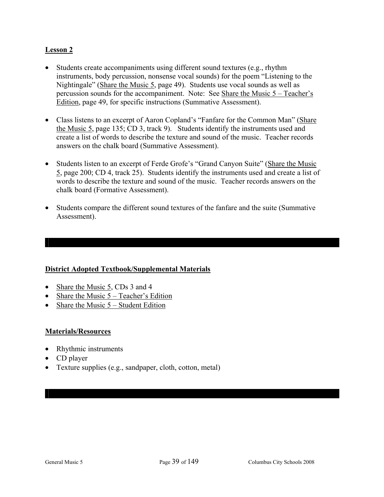## **Lesson 2**

- Students create accompaniments using different sound textures (e.g., rhythm instruments, body percussion, nonsense vocal sounds) for the poem "Listening to the Nightingale" (Share the Music 5, page 49). Students use vocal sounds as well as percussion sounds for the accompaniment. Note: See Share the Music  $5 - Teacher's$ Edition, page 49, for specific instructions (Summative Assessment).
- Class listens to an excerpt of Aaron Copland's "Fanfare for the Common Man" (Share the Music 5, page 135; CD 3, track 9). Students identify the instruments used and create a list of words to describe the texture and sound of the music. Teacher records answers on the chalk board (Summative Assessment).
- Students listen to an excerpt of Ferde Grofe's "Grand Canyon Suite" (Share the Music 5, page 200; CD 4, track 25). Students identify the instruments used and create a list of words to describe the texture and sound of the music. Teacher records answers on the chalk board (Formative Assessment).
- Students compare the different sound textures of the fanfare and the suite (Summative Assessment).

## **District Adopted Textbook/Supplemental Materials**

- Share the Music 5, CDs 3 and 4
- Share the Music 5 Teacher's Edition
- Share the Music  $5 -$  Student Edition

## **Materials/Resources**

- Rhythmic instruments
- CD player
- Texture supplies (e.g., sandpaper, cloth, cotton, metal)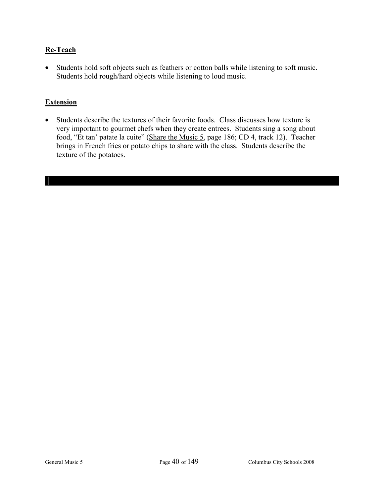## **Re-Teach**

• Students hold soft objects such as feathers or cotton balls while listening to soft music. Students hold rough/hard objects while listening to loud music.

## **Extension**

• Students describe the textures of their favorite foods. Class discusses how texture is very important to gourmet chefs when they create entrees. Students sing a song about food, "Et tan' patate la cuite" (Share the Music 5, page 186; CD 4, track 12). Teacher brings in French fries or potato chips to share with the class. Students describe the texture of the potatoes.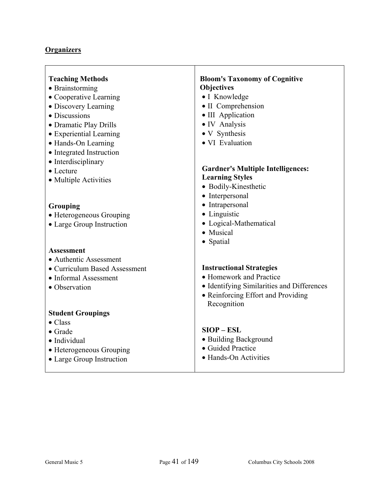# **Organizers**

| <b>Teaching Methods</b>                                                                                     | <b>Bloom's Taxonomy of Cognitive</b>                                                |
|-------------------------------------------------------------------------------------------------------------|-------------------------------------------------------------------------------------|
| • Brainstorming                                                                                             | <b>Objectives</b>                                                                   |
| • Cooperative Learning                                                                                      | • I Knowledge                                                                       |
| • Discovery Learning                                                                                        | • II Comprehension                                                                  |
| • Discussions                                                                                               | • III Application                                                                   |
| • Dramatic Play Drills                                                                                      | • IV Analysis                                                                       |
| • Experiential Learning                                                                                     | • V Synthesis                                                                       |
| • Hands-On Learning                                                                                         | • VI Evaluation                                                                     |
| • Integrated Instruction                                                                                    | <b>Gardner's Multiple Intelligences:</b>                                            |
| • Interdisciplinary                                                                                         | <b>Learning Styles</b>                                                              |
| $\bullet$ Lecture                                                                                           | · Bodily-Kinesthetic                                                                |
| • Multiple Activities                                                                                       | • Interpersonal                                                                     |
| Grouping<br>• Heterogeneous Grouping<br>• Large Group Instruction                                           | • Intrapersonal<br>• Linguistic<br>• Logical-Mathematical<br>• Musical<br>• Spatial |
| <b>Assessment</b>                                                                                           |                                                                                     |
| • Authentic Assessment                                                                                      | <b>Instructional Strategies</b>                                                     |
| • Curriculum Based Assessment                                                                               | • Homework and Practice                                                             |
| • Informal Assessment                                                                                       | • Identifying Similarities and Differences                                          |
| • Observation                                                                                               | • Reinforcing Effort and Providing                                                  |
| <b>Student Groupings</b>                                                                                    | Recognition                                                                         |
| $\bullet$ Class<br>$\bullet$ Grade<br>· Individual<br>• Heterogeneous Grouping<br>• Large Group Instruction | $SIOP - ESL$<br>• Building Background<br>• Guided Practice<br>• Hands-On Activities |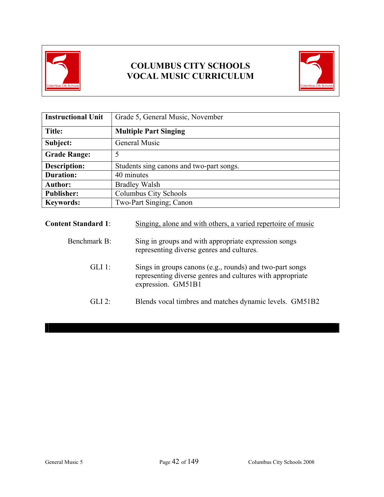

# **COLUMBUS CITY SCHOOLS VOCAL MUSIC CURRICULUM**



| <b>Instructional Unit</b> | Grade 5, General Music, November         |  |
|---------------------------|------------------------------------------|--|
| <b>Title:</b>             | <b>Multiple Part Singing</b>             |  |
| Subject:                  | General Music                            |  |
| <b>Grade Range:</b>       | 5                                        |  |
| <b>Description:</b>       | Students sing canons and two-part songs. |  |
| <b>Duration:</b>          | 40 minutes                               |  |
| <b>Author:</b>            | <b>Bradley Walsh</b>                     |  |
| <b>Publisher:</b>         | <b>Columbus City Schools</b>             |  |
| <b>Keywords:</b>          | Two-Part Singing; Canon                  |  |

| <b>Content Standard 1:</b> | Singing, alone and with others, a varied repertoire of music                                                                                |
|----------------------------|---------------------------------------------------------------------------------------------------------------------------------------------|
| Benchmark B:               | Sing in groups and with appropriate expression songs<br>representing diverse genres and cultures.                                           |
| $GLI$ 1:                   | Sings in groups canons (e.g., rounds) and two-part songs<br>representing diverse genres and cultures with appropriate<br>expression. GM51B1 |
| GL12                       | Blends vocal timbres and matches dynamic levels. GM51B2                                                                                     |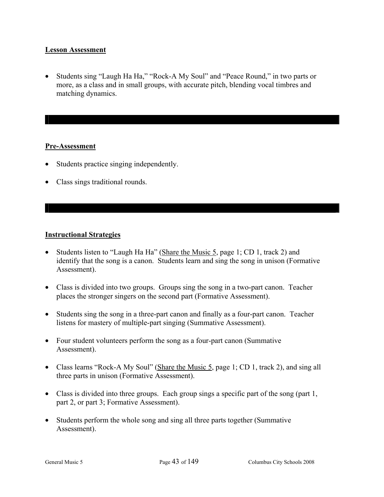## **Lesson Assessment**

• Students sing "Laugh Ha Ha," "Rock-A My Soul" and "Peace Round," in two parts or more, as a class and in small groups, with accurate pitch, blending vocal timbres and matching dynamics.

## **Pre-Assessment**

- Students practice singing independently.
- Class sings traditional rounds.

## **Instructional Strategies**

- Students listen to "Laugh Ha Ha" (Share the Music 5, page 1; CD 1, track 2) and identify that the song is a canon. Students learn and sing the song in unison (Formative Assessment).
- Class is divided into two groups. Groups sing the song in a two-part canon. Teacher places the stronger singers on the second part (Formative Assessment).
- Students sing the song in a three-part canon and finally as a four-part canon. Teacher listens for mastery of multiple-part singing (Summative Assessment).
- Four student volunteers perform the song as a four-part canon (Summative Assessment).
- Class learns "Rock-A My Soul" (Share the Music 5, page 1; CD 1, track 2), and sing all three parts in unison (Formative Assessment).
- Class is divided into three groups. Each group sings a specific part of the song (part 1, part 2, or part 3; Formative Assessment).
- Students perform the whole song and sing all three parts together (Summative Assessment).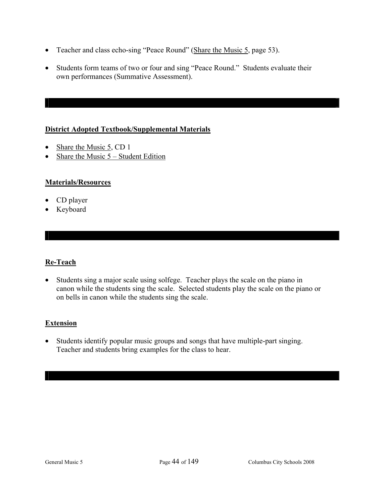- Teacher and class echo-sing "Peace Round" (Share the Music 5, page 53).
- Students form teams of two or four and sing "Peace Round." Students evaluate their own performances (Summative Assessment).

## **District Adopted Textbook/Supplemental Materials**

- Share the Music 5, CD 1
- Share the Music 5 Student Edition

## **Materials/Resources**

- CD player
- Keyboard

## **Re-Teach**

• Students sing a major scale using solfege. Teacher plays the scale on the piano in canon while the students sing the scale. Selected students play the scale on the piano or on bells in canon while the students sing the scale.

## **Extension**

• Students identify popular music groups and songs that have multiple-part singing. Teacher and students bring examples for the class to hear.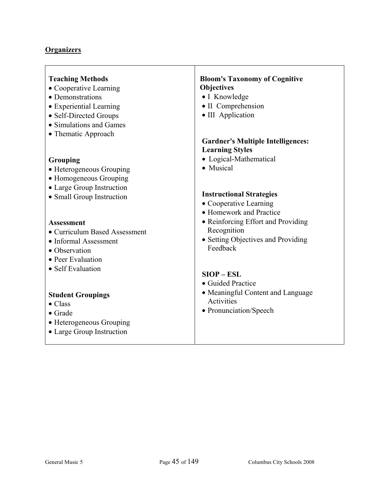# **Organizers**

| <b>Teaching Methods</b><br>• Cooperative Learning<br>• Demonstrations<br>• Experiential Learning<br>• Self-Directed Groups<br>• Simulations and Games | <b>Bloom's Taxonomy of Cognitive</b><br>Objectives<br>• I Knowledge<br>• II Comprehension<br>• III Application |
|-------------------------------------------------------------------------------------------------------------------------------------------------------|----------------------------------------------------------------------------------------------------------------|
| • Thematic Approach                                                                                                                                   | <b>Gardner's Multiple Intelligences:</b>                                                                       |
| Grouping<br>• Heterogeneous Grouping<br>• Homogeneous Grouping<br>• Large Group Instruction                                                           | <b>Learning Styles</b><br>• Logical-Mathematical<br>• Musical                                                  |
| • Small Group Instruction                                                                                                                             | <b>Instructional Strategies</b><br>• Cooperative Learning<br>• Homework and Practice                           |
| <b>Assessment</b><br>• Curriculum Based Assessment<br>• Informal Assessment<br>• Observation<br>• Peer Evaluation                                     | • Reinforcing Effort and Providing<br>Recognition<br>• Setting Objectives and Providing<br>Feedback            |
| • Self Evaluation                                                                                                                                     | $SIOP - ESL$<br>• Guided Practice                                                                              |
| <b>Student Groupings</b><br>$\bullet$ Class<br>$\bullet$ Grade<br>• Heterogeneous Grouping<br>• Large Group Instruction                               | • Meaningful Content and Language<br>Activities<br>• Pronunciation/Speech                                      |

ı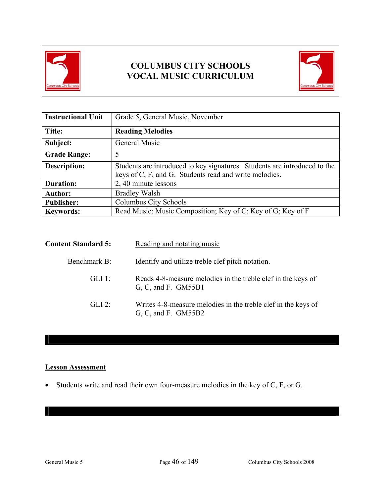

## **COLUMBUS CITY SCHOOLS VOCAL MUSIC CURRICULUM**



| <b>Instructional Unit</b> | Grade 5, General Music, November                                                                                                    |  |  |
|---------------------------|-------------------------------------------------------------------------------------------------------------------------------------|--|--|
| Title:                    | <b>Reading Melodies</b>                                                                                                             |  |  |
| Subject:                  | General Music                                                                                                                       |  |  |
| <b>Grade Range:</b>       | 5                                                                                                                                   |  |  |
| <b>Description:</b>       | Students are introduced to key signatures. Students are introduced to the<br>keys of C, F, and G. Students read and write melodies. |  |  |
| <b>Duration:</b>          | 2, 40 minute lessons                                                                                                                |  |  |
| <b>Author:</b>            | <b>Bradley Walsh</b>                                                                                                                |  |  |
| <b>Publisher:</b>         | Columbus City Schools                                                                                                               |  |  |
| <b>Keywords:</b>          | Read Music; Music Composition; Key of C; Key of G; Key of F                                                                         |  |  |

| <b>Content Standard 5:</b> | Reading and notating music                                                             |
|----------------------------|----------------------------------------------------------------------------------------|
| Benchmark B:               | Identify and utilize treble clef pitch notation.                                       |
| GLI 1:                     | Reads 4-8-measure melodies in the treble clef in the keys of<br>G, C, and F. GM55B1    |
| $GLI$ 2:                   | Writes 4-8-measure melodies in the treble clef in the keys of<br>G, C, and F. $GM55B2$ |

## **Lesson Assessment**

• Students write and read their own four-measure melodies in the key of C, F, or G.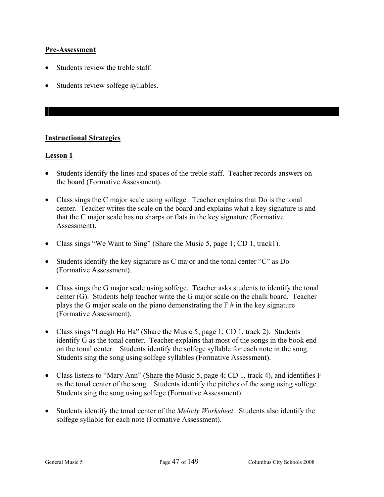## **Pre-Assessment**

- Students review the treble staff.
- Students review solfege syllables.

## **Instructional Strategies**

## **Lesson 1**

- Students identify the lines and spaces of the treble staff. Teacher records answers on the board (Formative Assessment).
- Class sings the C major scale using solfege. Teacher explains that Do is the tonal center. Teacher writes the scale on the board and explains what a key signature is and that the C major scale has no sharps or flats in the key signature (Formative Assessment).
- Class sings "We Want to Sing" (Share the Music 5, page 1; CD 1, track1).
- Students identify the key signature as C major and the tonal center "C" as Do (Formative Assessment).
- Class sings the G major scale using solfege. Teacher asks students to identify the tonal center (G). Students help teacher write the G major scale on the chalk board. Teacher plays the G major scale on the piano demonstrating the  $F \#$  in the key signature (Formative Assessment).
- Class sings "Laugh Ha Ha" (Share the Music 5, page 1; CD 1, track 2). Students identify G as the tonal center. Teacher explains that most of the songs in the book end on the tonal center. Students identify the solfege syllable for each note in the song. Students sing the song using solfege syllables (Formative Assessment).
- Class listens to "Mary Ann" (Share the Music 5, page 4; CD 1, track 4), and identifies F as the tonal center of the song. Students identify the pitches of the song using solfege. Students sing the song using solfege (Formative Assessment).
- Students identify the tonal center of the *Melody Worksheet*. Students also identify the solfege syllable for each note (Formative Assessment).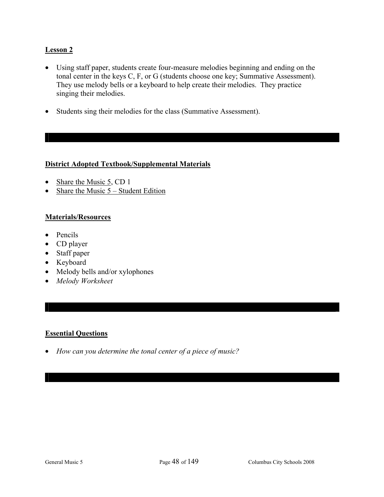## **Lesson 2**

- Using staff paper, students create four-measure melodies beginning and ending on the tonal center in the keys C, F, or G (students choose one key; Summative Assessment). They use melody bells or a keyboard to help create their melodies. They practice singing their melodies.
- Students sing their melodies for the class (Summative Assessment).

## **District Adopted Textbook/Supplemental Materials**

- Share the Music  $5$ , CD 1
- Share the Music  $5 -$  Student Edition

## **Materials/Resources**

- Pencils
- CD player
- Staff paper
- Keyboard
- Melody bells and/or xylophones
- *Melody Worksheet*

## **Essential Questions**

• *How can you determine the tonal center of a piece of music?*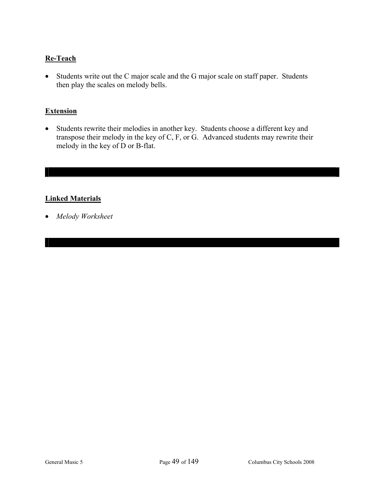## **Re-Teach**

• Students write out the C major scale and the G major scale on staff paper. Students then play the scales on melody bells.

## **Extension**

• Students rewrite their melodies in another key. Students choose a different key and transpose their melody in the key of C, F, or G. Advanced students may rewrite their melody in the key of D or B-flat.

## **Linked Materials**

• *Melody Worksheet*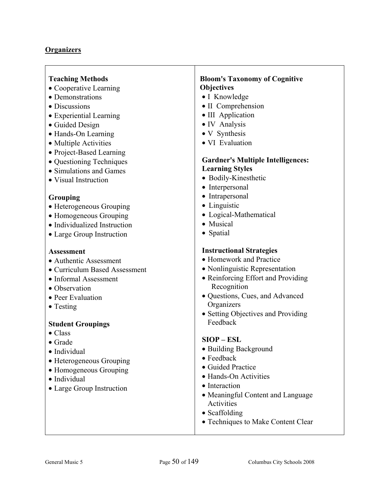## **Organizers**

## **Teaching Methods**

- Cooperative Learning
- Demonstrations
- Discussions
- Experiential Learning
- Guided Design
- Hands-On Learning
- Multiple Activities
- Project-Based Learning
- Questioning Techniques
- Simulations and Games
- Visual Instruction

## **Grouping**

- Heterogeneous Grouping
- Homogeneous Grouping
- Individualized Instruction
- Large Group Instruction

## **Assessment**

- Authentic Assessment
- Curriculum Based Assessment
- Informal Assessment
- Observation
- Peer Evaluation
- Testing

## **Student Groupings**

- Class
- Grade
- Individual
- Heterogeneous Grouping
- Homogeneous Grouping
- Individual
- Large Group Instruction

## **Bloom's Taxonomy of Cognitive Objectives**

- I Knowledge
- II Comprehension
- III Application
- IV Analysis
- V Synthesis
- VI Evaluation

## **Gardner's Multiple Intelligences: Learning Styles**

- Bodily-Kinesthetic
- Interpersonal
- Intrapersonal
- Linguistic
- Logical-Mathematical
- Musical
- Spatial

## **Instructional Strategies**

- Homework and Practice
- Nonlinguistic Representation
- Reinforcing Effort and Providing Recognition
- Questions, Cues, and Advanced **Organizers**
- Setting Objectives and Providing Feedback

## **SIOP – ESL**

- Building Background
- Feedback
- Guided Practice
- Hands-On Activities
- Interaction
- Meaningful Content and Language Activities
- Scaffolding
- Techniques to Make Content Clear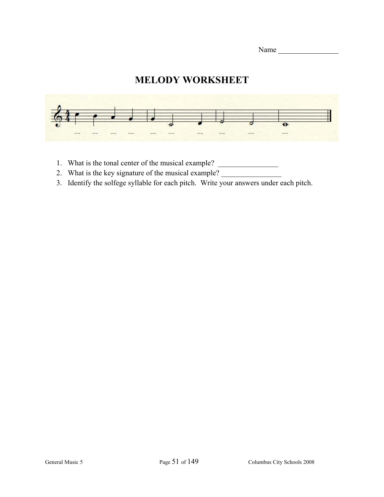| Name |  |  |  |  |
|------|--|--|--|--|
|      |  |  |  |  |

# **MELODY WORKSHEET**



- 1. What is the tonal center of the musical example? \_\_\_\_\_\_\_\_\_\_\_\_\_\_\_\_\_\_\_\_\_\_\_\_\_\_\_\_
- 2. What is the key signature of the musical example?
- 3. Identify the solfege syllable for each pitch. Write your answers under each pitch.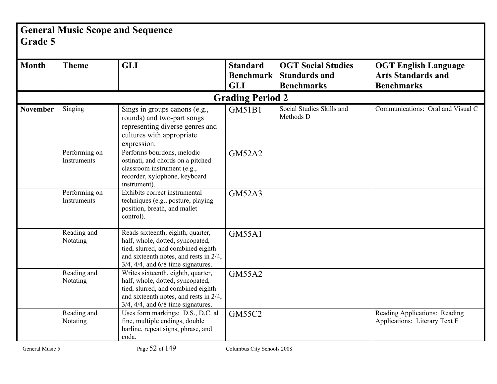# **General Music Scope and Sequence Grade 5**

| <b>Month</b>    | <b>Theme</b>                 | <b>GLI</b>                                                                                                                                                                                           | <b>Standard</b><br><b>Benchmark</b><br><b>GLI</b> | <b>OGT Social Studies</b><br><b>Standards and</b><br><b>Benchmarks</b> | <b>OGT English Language</b><br><b>Arts Standards and</b><br><b>Benchmarks</b> |
|-----------------|------------------------------|------------------------------------------------------------------------------------------------------------------------------------------------------------------------------------------------------|---------------------------------------------------|------------------------------------------------------------------------|-------------------------------------------------------------------------------|
|                 |                              |                                                                                                                                                                                                      | <b>Grading Period 2</b>                           |                                                                        |                                                                               |
| <b>November</b> | Singing                      | Sings in groups canons (e.g.,<br>rounds) and two-part songs<br>representing diverse genres and<br>cultures with appropriate<br>expression.                                                           | GM51B1                                            | Social Studies Skills and<br>Methods D                                 | Communications: Oral and Visual C                                             |
|                 | Performing on<br>Instruments | Performs bourdons, melodic<br>ostinati, and chords on a pitched<br>classroom instrument (e.g.,<br>recorder, xylophone, keyboard<br>instrument).                                                      | <b>GM52A2</b>                                     |                                                                        |                                                                               |
|                 | Performing on<br>Instruments | Exhibits correct instrumental<br>techniques (e.g., posture, playing<br>position, breath, and mallet<br>control).                                                                                     | <b>GM52A3</b>                                     |                                                                        |                                                                               |
|                 | Reading and<br>Notating      | Reads sixteenth, eighth, quarter,<br>half, whole, dotted, syncopated,<br>tied, slurred, and combined eighth<br>and sixteenth notes, and rests in 2/4,<br>$3/4$ , $4/4$ , and $6/8$ time signatures.  | <b>GM55A1</b>                                     |                                                                        |                                                                               |
|                 | Reading and<br>Notating      | Writes sixteenth, eighth, quarter,<br>half, whole, dotted, syncopated,<br>tied, slurred, and combined eighth<br>and sixteenth notes, and rests in 2/4,<br>$3/4$ , $4/4$ , and $6/8$ time signatures. | <b>GM55A2</b>                                     |                                                                        |                                                                               |
|                 | Reading and<br>Notating      | Uses form markings: D.S., D.C. al<br>fine, multiple endings, double<br>barline, repeat signs, phrase, and<br>coda.                                                                                   | <b>GM55C2</b>                                     |                                                                        | Reading Applications: Reading<br>Applications: Literary Text F                |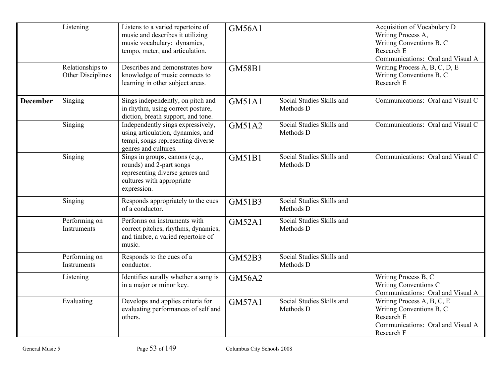|                 | Listening                             | Listens to a varied repertoire of<br>music and describes it utilizing<br>music vocabulary: dynamics,<br>tempo, meter, and articulation.   | <b>GM56A1</b> |                                        | Acquisition of Vocabulary D<br>Writing Process A,<br>Writing Conventions B, C<br>Research E<br>Communications: Oral and Visual A |
|-----------------|---------------------------------------|-------------------------------------------------------------------------------------------------------------------------------------------|---------------|----------------------------------------|----------------------------------------------------------------------------------------------------------------------------------|
|                 | Relationships to<br>Other Disciplines | Describes and demonstrates how<br>knowledge of music connects to<br>learning in other subject areas.                                      | <b>GM58B1</b> |                                        | Writing Process A, B, C, D, E<br>Writing Conventions B, C<br>Research E                                                          |
| <b>December</b> | Singing                               | Sings independently, on pitch and<br>in rhythm, using correct posture,<br>diction, breath support, and tone.                              | <b>GM51A1</b> | Social Studies Skills and<br>Methods D | Communications: Oral and Visual C                                                                                                |
|                 | Singing                               | Independently sings expressively,<br>using articulation, dynamics, and<br>tempi, songs representing diverse<br>genres and cultures.       | <b>GM51A2</b> | Social Studies Skills and<br>Methods D | Communications: Oral and Visual C                                                                                                |
|                 | Singing                               | Sings in groups, canons (e.g.,<br>rounds) and 2-part songs<br>representing diverse genres and<br>cultures with appropriate<br>expression. | <b>GM51B1</b> | Social Studies Skills and<br>Methods D | Communications: Oral and Visual C                                                                                                |
|                 | Singing                               | Responds appropriately to the cues<br>of a conductor.                                                                                     | GM51B3        | Social Studies Skills and<br>Methods D |                                                                                                                                  |
|                 | Performing on<br>Instruments          | Performs on instruments with<br>correct pitches, rhythms, dynamics,<br>and timbre, a varied repertoire of<br>music.                       | <b>GM52A1</b> | Social Studies Skills and<br>Methods D |                                                                                                                                  |
|                 | Performing on<br>Instruments          | Responds to the cues of a<br>conductor.                                                                                                   | <b>GM52B3</b> | Social Studies Skills and<br>Methods D |                                                                                                                                  |
|                 | Listening                             | Identifies aurally whether a song is<br>in a major or minor key.                                                                          | <b>GM56A2</b> |                                        | Writing Process B, C<br>Writing Conventions C<br>Communications: Oral and Visual A                                               |
|                 | Evaluating                            | Develops and applies criteria for<br>evaluating performances of self and<br>others.                                                       | <b>GM57A1</b> | Social Studies Skills and<br>Methods D | Writing Process A, B, C, E<br>Writing Conventions B, C<br>Research E<br>Communications: Oral and Visual A<br>Research F          |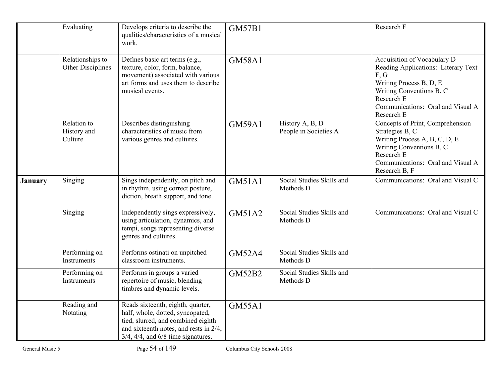|                | Evaluating                            | Develops criteria to describe the<br>qualities/characteristics of a musical<br>work.                                                                                                                | <b>GM57B1</b> |                                          | Research F                                                                                                                                                                                         |
|----------------|---------------------------------------|-----------------------------------------------------------------------------------------------------------------------------------------------------------------------------------------------------|---------------|------------------------------------------|----------------------------------------------------------------------------------------------------------------------------------------------------------------------------------------------------|
|                | Relationships to<br>Other Disciplines | Defines basic art terms (e.g.,<br>texture, color, form, balance,<br>movement) associated with various<br>art forms and uses them to describe<br>musical events.                                     | <b>GM58A1</b> |                                          | Acquisition of Vocabulary D<br>Reading Applications: Literary Text<br>F, G<br>Writing Process B, D, E<br>Writing Conventions B, C<br>Research E<br>Communications: Oral and Visual A<br>Research E |
|                | Relation to<br>History and<br>Culture | Describes distinguishing<br>characteristics of music from<br>various genres and cultures.                                                                                                           | <b>GM59A1</b> | History A, B, D<br>People in Societies A | Concepts of Print, Comprehension<br>Strategies B, C<br>Writing Process A, B, C, D, E<br>Writing Conventions B, C<br>Research E<br>Communications: Oral and Visual A<br>Research B, F               |
| <b>January</b> | Singing                               | Sings independently, on pitch and<br>in rhythm, using correct posture,<br>diction, breath support, and tone.                                                                                        | <b>GM51A1</b> | Social Studies Skills and<br>Methods D   | Communications: Oral and Visual C                                                                                                                                                                  |
|                | Singing                               | Independently sings expressively,<br>using articulation, dynamics, and<br>tempi, songs representing diverse<br>genres and cultures.                                                                 | GM51A2        | Social Studies Skills and<br>Methods D   | Communications: Oral and Visual C                                                                                                                                                                  |
|                | Performing on<br>Instruments          | Performs ostinati on unpitched<br>classroom instruments.                                                                                                                                            | <b>GM52A4</b> | Social Studies Skills and<br>Methods D   |                                                                                                                                                                                                    |
|                | Performing on<br>Instruments          | Performs in groups a varied<br>repertoire of music, blending<br>timbres and dynamic levels.                                                                                                         | <b>GM52B2</b> | Social Studies Skills and<br>Methods D   |                                                                                                                                                                                                    |
|                | Reading and<br>Notating               | Reads sixteenth, eighth, quarter,<br>half, whole, dotted, syncopated,<br>tied, slurred, and combined eighth<br>and sixteenth notes, and rests in 2/4,<br>$3/4$ , $4/4$ , and $6/8$ time signatures. | <b>GM55A1</b> |                                          |                                                                                                                                                                                                    |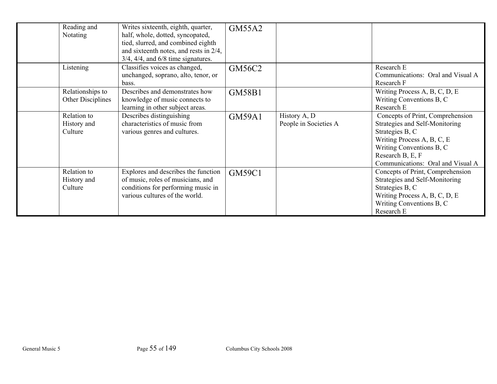| Reading and<br>Notating               | Writes sixteenth, eighth, quarter,<br>half, whole, dotted, syncopated,<br>tied, slurred, and combined eighth<br>and sixteenth notes, and rests in $2/4$ ,<br>$3/4$ , $4/4$ , and $6/8$ time signatures. | GM55A2        |                                       |                                                                                                                                                                                                          |
|---------------------------------------|---------------------------------------------------------------------------------------------------------------------------------------------------------------------------------------------------------|---------------|---------------------------------------|----------------------------------------------------------------------------------------------------------------------------------------------------------------------------------------------------------|
| Listening                             | Classifies voices as changed,<br>unchanged, soprano, alto, tenor, or<br>bass.                                                                                                                           | GM56C2        |                                       | Research E<br>Communications: Oral and Visual A<br>Research F                                                                                                                                            |
| Relationships to<br>Other Disciplines | Describes and demonstrates how<br>knowledge of music connects to<br>learning in other subject areas.                                                                                                    | <b>GM58B1</b> |                                       | Writing Process A, B, C, D, E<br>Writing Conventions B, C<br>Research E                                                                                                                                  |
| Relation to<br>History and<br>Culture | Describes distinguishing<br>characteristics of music from<br>various genres and cultures.                                                                                                               | <b>GM59A1</b> | History A, D<br>People in Societies A | Concepts of Print, Comprehension<br>Strategies and Self-Monitoring<br>Strategies B, C<br>Writing Process A, B, C, E<br>Writing Conventions B, C<br>Research B, E, F<br>Communications: Oral and Visual A |
| Relation to<br>History and<br>Culture | Explores and describes the function<br>of music, roles of musicians, and<br>conditions for performing music in<br>various cultures of the world.                                                        | <b>GM59C1</b> |                                       | Concepts of Print, Comprehension<br>Strategies and Self-Monitoring<br>Strategies B, C<br>Writing Process A, B, C, D, E<br>Writing Conventions B, C<br>Research E                                         |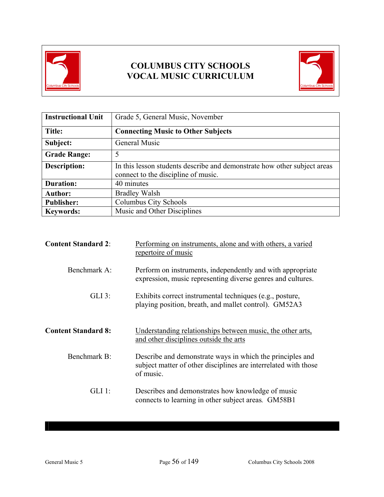

# **COLUMBUS CITY SCHOOLS VOCAL MUSIC CURRICULUM**



| <b>Instructional Unit</b> | Grade 5, General Music, November                                                                                |
|---------------------------|-----------------------------------------------------------------------------------------------------------------|
| Title:                    | <b>Connecting Music to Other Subjects</b>                                                                       |
| Subject:                  | General Music                                                                                                   |
| <b>Grade Range:</b>       | 5                                                                                                               |
| <b>Description:</b>       | In this lesson students describe and demonstrate how other subject areas<br>connect to the discipline of music. |
| <b>Duration:</b>          | 40 minutes                                                                                                      |
| <b>Author:</b>            | <b>Bradley Walsh</b>                                                                                            |
| <b>Publisher:</b>         | Columbus City Schools                                                                                           |
| <b>Keywords:</b>          | Music and Other Disciplines                                                                                     |

| <b>Content Standard 2:</b> | Performing on instruments, alone and with others, a varied<br>repertoire of music                                                         |
|----------------------------|-------------------------------------------------------------------------------------------------------------------------------------------|
| Benchmark A:               | Perform on instruments, independently and with appropriate<br>expression, music representing diverse genres and cultures.                 |
| $GLI$ 3:                   | Exhibits correct instrumental techniques (e.g., posture,<br>playing position, breath, and mallet control). GM52A3                         |
| <b>Content Standard 8:</b> | Understanding relationships between music, the other arts,<br>and other disciplines outside the arts                                      |
| Benchmark B:               | Describe and demonstrate ways in which the principles and<br>subject matter of other disciplines are interrelated with those<br>of music. |
| $GLI$ 1:                   | Describes and demonstrates how knowledge of music<br>connects to learning in other subject areas. GM58B1                                  |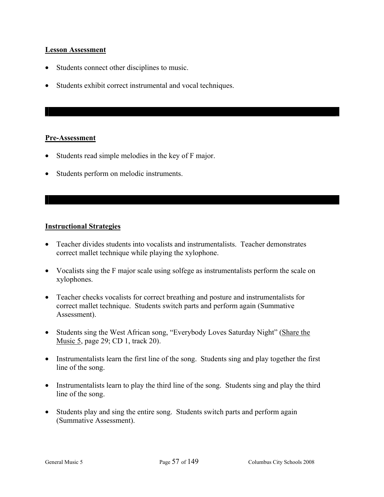## **Lesson Assessment**

- Students connect other disciplines to music.
- Students exhibit correct instrumental and vocal techniques.

## **Pre-Assessment**

- Students read simple melodies in the key of F major.
- Students perform on melodic instruments.

## **Instructional Strategies**

- Teacher divides students into vocalists and instrumentalists. Teacher demonstrates correct mallet technique while playing the xylophone.
- Vocalists sing the F major scale using solfege as instrumentalists perform the scale on xylophones.
- Teacher checks vocalists for correct breathing and posture and instrumentalists for correct mallet technique. Students switch parts and perform again (Summative Assessment).
- Students sing the West African song, "Everybody Loves Saturday Night" (Share the Music 5, page 29; CD 1, track 20).
- Instrumentalists learn the first line of the song. Students sing and play together the first line of the song.
- Instrumentalists learn to play the third line of the song. Students sing and play the third line of the song.
- Students play and sing the entire song. Students switch parts and perform again (Summative Assessment).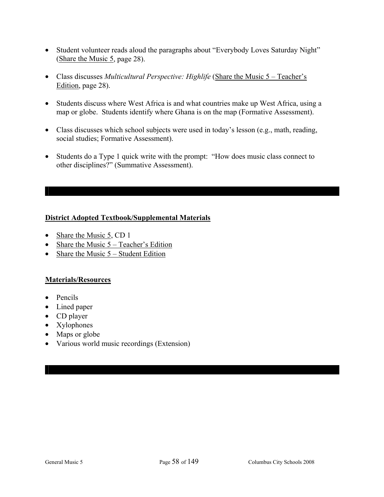- Student volunteer reads aloud the paragraphs about "Everybody Loves Saturday Night" (Share the Music 5, page 28).
- Class discusses *Multicultural Perspective: Highlife* (Share the Music 5 Teacher's Edition, page 28).
- Students discuss where West Africa is and what countries make up West Africa, using a map or globe. Students identify where Ghana is on the map (Formative Assessment).
- Class discusses which school subjects were used in today's lesson (e.g., math, reading, social studies; Formative Assessment).
- Students do a Type 1 quick write with the prompt: "How does music class connect to other disciplines?" (Summative Assessment).

## **District Adopted Textbook/Supplemental Materials**

- Share the Music 5, CD 1
- Share the Music  $5 Teacher's Edition$
- Share the Music  $5 -$  Student Edition

## **Materials/Resources**

- Pencils
- Lined paper
- CD player
- Xylophones
- Maps or globe
- Various world music recordings (Extension)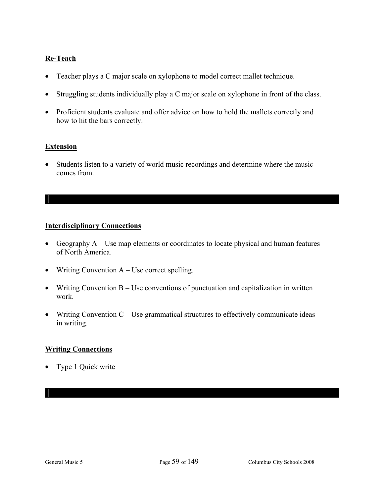## **Re-Teach**

- Teacher plays a C major scale on xylophone to model correct mallet technique.
- Struggling students individually play a C major scale on xylophone in front of the class.
- Proficient students evaluate and offer advice on how to hold the mallets correctly and how to hit the bars correctly.

## **Extension**

• Students listen to a variety of world music recordings and determine where the music comes from.

## **Interdisciplinary Connections**

- Geography A Use map elements or coordinates to locate physical and human features of North America.
- Writing Convention A Use correct spelling.
- Writing Convention B Use conventions of punctuation and capitalization in written work.
- Writing Convention  $C -$  Use grammatical structures to effectively communicate ideas in writing.

## **Writing Connections**

• Type 1 Quick write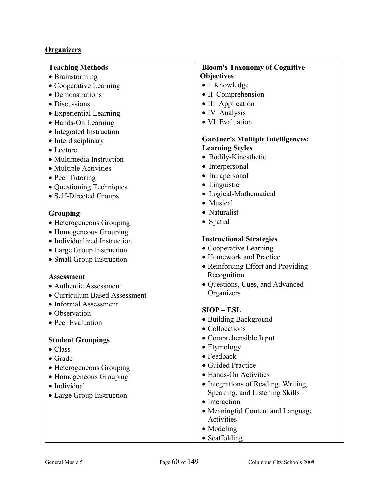## **Organizers**

## **Teaching Methods**

- Brainstorming
- Cooperative Learning
- Demonstrations
- Discussions
- Experiential Learning
- Hands-On Learning
- Integrated Instruction
- Interdisciplinary
- Lecture
- Multimedia Instruction
- Multiple Activities
- Peer Tutoring
- Ouestioning Techniques
- Self-Directed Groups

## **Grouping**

- Heterogeneous Grouping
- Homogeneous Grouping
- Individualized Instruction
- Large Group Instruction
- Small Group Instruction

## **Assessment**

- Authentic Assessment
- Curriculum Based Assessment
- Informal Assessment
- Observation
- Peer Evaluation

## **Student Groupings**

- Class
- Grade
- Heterogeneous Grouping
- Homogeneous Grouping
- Individual
- Large Group Instruction

## **Bloom's Taxonomy of Cognitive Objectives**

- I Knowledge
- II Comprehension
- III Application
- IV Analysis
- VI Evaluation

## **Gardner's Multiple Intelligences: Learning Styles**

- Bodily-Kinesthetic
- Interpersonal
- Intrapersonal
- Linguistic
- Logical-Mathematical
- Musical
- Naturalist
- Spatial

## **Instructional Strategies**

- Cooperative Learning
- Homework and Practice
- Reinforcing Effort and Providing Recognition
- Questions, Cues, and Advanced **Organizers**

## **SIOP – ESL**

- Building Background
- Collocations
- Comprehensible Input
- Etymology
- Feedback
- Guided Practice
- Hands-On Activities
- Integrations of Reading, Writing, Speaking, and Listening Skills
- Interaction
- Meaningful Content and Language Activities
- Modeling
- Scaffolding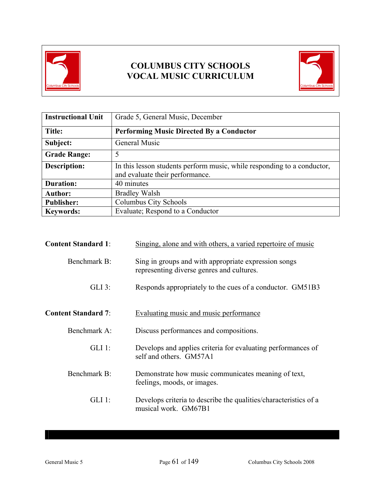

# **COLUMBUS CITY SCHOOLS VOCAL MUSIC CURRICULUM**



| <b>Instructional Unit</b> | Grade 5, General Music, December                                                                           |  |
|---------------------------|------------------------------------------------------------------------------------------------------------|--|
| Title:                    | <b>Performing Music Directed By a Conductor</b>                                                            |  |
| Subject:                  | General Music                                                                                              |  |
| <b>Grade Range:</b>       | 5                                                                                                          |  |
| Description:              | In this lesson students perform music, while responding to a conductor,<br>and evaluate their performance. |  |
| <b>Duration:</b>          | 40 minutes                                                                                                 |  |
| <b>Author:</b>            | <b>Bradley Walsh</b>                                                                                       |  |
| <b>Publisher:</b>         | Columbus City Schools                                                                                      |  |
| <b>Keywords:</b>          | Evaluate; Respond to a Conductor                                                                           |  |

| <b>Content Standard 1:</b> | Singing, alone and with others, a varied repertoire of music                                      |
|----------------------------|---------------------------------------------------------------------------------------------------|
| Benchmark B:               | Sing in groups and with appropriate expression songs<br>representing diverse genres and cultures. |
| $GLI$ 3:                   | Responds appropriately to the cues of a conductor. GM51B3                                         |
| <b>Content Standard 7:</b> | Evaluating music and music performance                                                            |
| Benchmark A:               | Discuss performances and compositions.                                                            |
| $GLI$ 1:                   | Develops and applies criteria for evaluating performances of<br>self and others. GM57A1           |
| Benchmark B:               | Demonstrate how music communicates meaning of text,<br>feelings, moods, or images.                |
| $GLI$ 1:                   | Develops criteria to describe the qualities/characteristics of a<br>musical work. GM67B1          |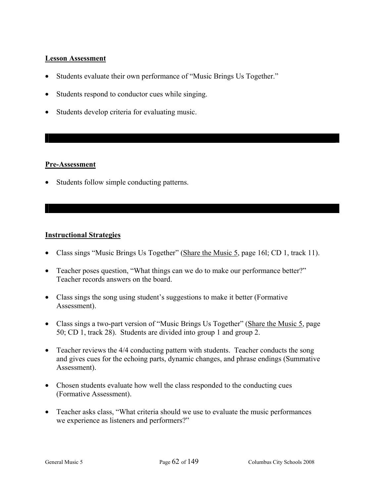## **Lesson Assessment**

- Students evaluate their own performance of "Music Brings Us Together."
- Students respond to conductor cues while singing.
- Students develop criteria for evaluating music.

## **Pre-Assessment**

• Students follow simple conducting patterns.

## **Instructional Strategies**

- Class sings "Music Brings Us Together" (Share the Music 5, page 161; CD 1, track 11).
- Teacher poses question, "What things can we do to make our performance better?" Teacher records answers on the board.
- Class sings the song using student's suggestions to make it better (Formative Assessment).
- Class sings a two-part version of "Music Brings Us Together" (Share the Music 5, page 50; CD 1, track 28). Students are divided into group 1 and group 2.
- Teacher reviews the 4/4 conducting pattern with students. Teacher conducts the song and gives cues for the echoing parts, dynamic changes, and phrase endings (Summative Assessment).
- Chosen students evaluate how well the class responded to the conducting cues (Formative Assessment).
- Teacher asks class, "What criteria should we use to evaluate the music performances we experience as listeners and performers?"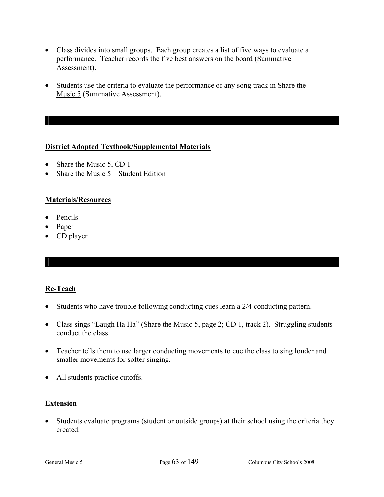- Class divides into small groups. Each group creates a list of five ways to evaluate a performance. Teacher records the five best answers on the board (Summative Assessment).
- Students use the criteria to evaluate the performance of any song track in Share the Music 5 (Summative Assessment).

## **District Adopted Textbook/Supplemental Materials**

- Share the Music 5, CD 1
- Share the Music  $5 -$  Student Edition

## **Materials/Resources**

- Pencils
- Paper
- CD player

## **Re-Teach**

- Students who have trouble following conducting cues learn a 2/4 conducting pattern.
- Class sings "Laugh Ha Ha" (Share the Music 5, page 2; CD 1, track 2). Struggling students conduct the class.
- Teacher tells them to use larger conducting movements to cue the class to sing louder and smaller movements for softer singing.
- All students practice cutoffs.

## **Extension**

• Students evaluate programs (student or outside groups) at their school using the criteria they created.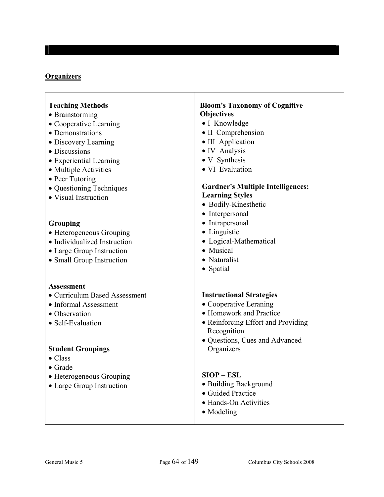## **Organizers**

| <b>Teaching Methods</b> |  |
|-------------------------|--|
|-------------------------|--|

- Brainstorming
- Cooperative Learning
- Demonstrations
- Discovery Learning
- Discussions
- Experiential Learning
- Multiple Activities
- Peer Tutoring
- Questioning Techniques
- Visual Instruction

## **Grouping**

- Heterogeneous Grouping
- Individualized Instruction
- Large Group Instruction
- Small Group Instruction

#### **Assessment**

- Curriculum Based Assessment
- Informal Assessment
- Observation
- Self-Evaluation

## **Student Groupings**

- Class
- Grade
- Heterogeneous Grouping
- Large Group Instruction

## **Bloom's Taxonomy of Cognitive Objectives**

- I Knowledge
- II Comprehension
- III Application
- IV Analysis
- V Synthesis
- VI Evaluation

#### **Gardner's Multiple Intelligences: Learning Styles**

- Bodily-Kinesthetic
- Interpersonal
- Intrapersonal
- Linguistic
- Logical-Mathematical
- Musical
- Naturalist
- Spatial

## **Instructional Strategies**

- Cooperative Leraning
- Homework and Practice
- Reinforcing Effort and Providing Recognition
- Questions, Cues and Advanced **Organizers**

#### **SIOP – ESL**

- Building Background
- Guided Practice
- Hands-On Activities
- Modeling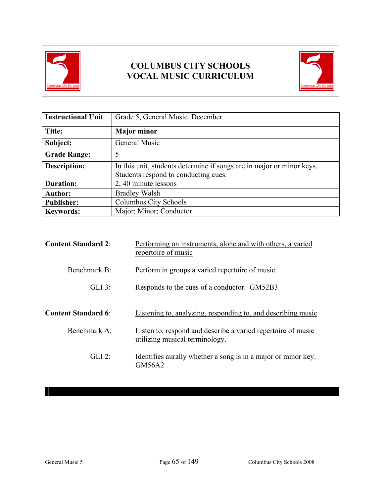

# **COLUMBUS CITY SCHOOLS VOCAL MUSIC CURRICULUM**



| <b>Instructional Unit</b> | Grade 5, General Music, December                                                                              |  |
|---------------------------|---------------------------------------------------------------------------------------------------------------|--|
| Title:                    | <b>Major minor</b>                                                                                            |  |
| Subject:                  | General Music                                                                                                 |  |
| <b>Grade Range:</b>       | 5                                                                                                             |  |
| <b>Description:</b>       | In this unit, students determine if songs are in major or minor keys.<br>Students respond to conducting cues. |  |
| <b>Duration:</b>          | 2, 40 minute lessons                                                                                          |  |
| <b>Author:</b>            | <b>Bradley Walsh</b>                                                                                          |  |
| <b>Publisher:</b>         | Columbus City Schools                                                                                         |  |
| <b>Keywords:</b>          | Major; Minor; Conductor                                                                                       |  |

| <b>Content Standard 2:</b> | Performing on instruments, alone and with others, a varied<br>repertoire of music              |
|----------------------------|------------------------------------------------------------------------------------------------|
| Benchmark B:               | Perform in groups a varied repertoire of music.                                                |
| $GLI$ 3:                   | Responds to the cues of a conductor. GM52B3                                                    |
| <b>Content Standard 6:</b> | Listening to, analyzing, responding to, and describing music                                   |
| Benchmark A:               | Listen to, respond and describe a varied repertoire of music<br>utilizing musical terminology. |
| $GLI$ 2:                   | Identifies aurally whether a song is in a major or minor key.<br>GM56A2                        |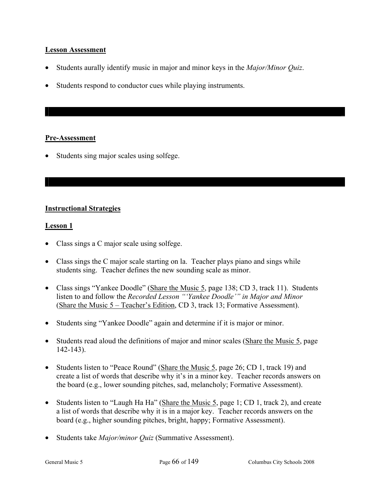## **Lesson Assessment**

- Students aurally identify music in major and minor keys in the *Major/Minor Quiz*.
- Students respond to conductor cues while playing instruments.

## **Pre-Assessment**

• Students sing major scales using solfege.

## **Instructional Strategies**

## **Lesson 1**

- Class sings a C major scale using solfege.
- Class sings the C major scale starting on la. Teacher plays piano and sings while students sing. Teacher defines the new sounding scale as minor.
- Class sings "Yankee Doodle" (Share the Music 5, page 138; CD 3, track 11). Students listen to and follow the *Recorded Lesson "'Yankee Doodle'" in Major and Minor*  (Share the Music 5 – Teacher's Edition, CD 3, track 13; Formative Assessment).
- Students sing "Yankee Doodle" again and determine if it is major or minor.
- Students read aloud the definitions of major and minor scales (Share the Music 5, page 142-143).
- Students listen to "Peace Round" (Share the Music 5, page 26; CD 1, track 19) and create a list of words that describe why it's in a minor key. Teacher records answers on the board (e.g., lower sounding pitches, sad, melancholy; Formative Assessment).
- Students listen to "Laugh Ha Ha" (Share the Music 5, page 1; CD 1, track 2), and create a list of words that describe why it is in a major key. Teacher records answers on the board (e.g., higher sounding pitches, bright, happy; Formative Assessment).
- Students take *Major/minor Quiz* (Summative Assessment).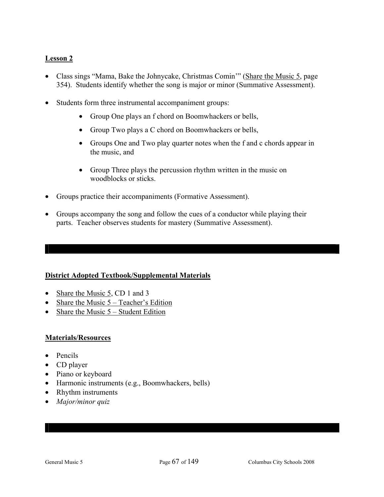## **Lesson 2**

- Class sings "Mama, Bake the Johnycake, Christmas Comin'" (Share the Music 5, page 354). Students identify whether the song is major or minor (Summative Assessment).
- Students form three instrumental accompaniment groups:
	- Group One plays an f chord on Boomwhackers or bells,
	- Group Two plays a C chord on Boomwhackers or bells,
	- Groups One and Two play quarter notes when the f and c chords appear in the music, and
	- Group Three plays the percussion rhythm written in the music on woodblocks or sticks.
- Groups practice their accompaniments (Formative Assessment).
- Groups accompany the song and follow the cues of a conductor while playing their parts. Teacher observes students for mastery (Summative Assessment).

## **District Adopted Textbook/Supplemental Materials**

- Share the Music 5, CD 1 and 3
- Share the Music 5 Teacher's Edition
- Share the Music 5 Student Edition

## **Materials/Resources**

- Pencils
- CD player
- Piano or keyboard
- Harmonic instruments (e.g., Boomwhackers, bells)
- Rhythm instruments
- *Major/minor quiz*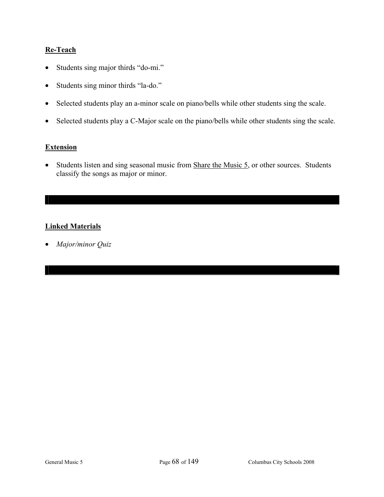## **Re-Teach**

- Students sing major thirds "do-mi."
- Students sing minor thirds "la-do."
- Selected students play an a-minor scale on piano/bells while other students sing the scale.
- Selected students play a C-Major scale on the piano/bells while other students sing the scale.

## **Extension**

• Students listen and sing seasonal music from Share the Music 5, or other sources. Students classify the songs as major or minor.

## **Linked Materials**

• *Major/minor Quiz*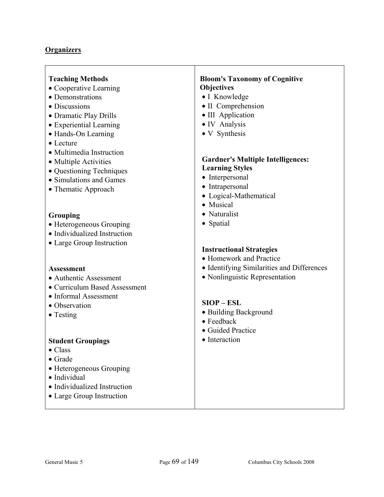# **Organizers**

| <b>Teaching Methods</b>                             | <b>Bloom's Taxonomy of Cognitive</b>       |
|-----------------------------------------------------|--------------------------------------------|
| • Cooperative Learning                              | Objectives                                 |
| • Demonstrations                                    | • I Knowledge                              |
| • Discussions                                       | · II Comprehension                         |
| • Dramatic Play Drills                              | • III Application                          |
| • Experiential Learning                             | • IV Analysis                              |
| • Hands-On Learning                                 | • V Synthesis                              |
| $\bullet$ Lecture                                   |                                            |
| • Multimedia Instruction                            |                                            |
|                                                     | <b>Gardner's Multiple Intelligences:</b>   |
| • Multiple Activities                               | <b>Learning Styles</b>                     |
| • Questioning Techniques<br>• Simulations and Games | • Interpersonal                            |
|                                                     | • Intrapersonal                            |
| • Thematic Approach                                 | • Logical-Mathematical                     |
|                                                     | • Musical                                  |
| <b>Grouping</b>                                     | • Naturalist                               |
| • Heterogeneous Grouping                            | • Spatial                                  |
| • Individualized Instruction                        |                                            |
| • Large Group Instruction                           |                                            |
|                                                     | <b>Instructional Strategies</b>            |
|                                                     | • Homework and Practice                    |
| <b>Assessment</b>                                   | • Identifying Similarities and Differences |
| • Authentic Assessment                              | • Nonlinguistic Representation             |
| • Curriculum Based Assessment                       |                                            |
| • Informal Assessment                               |                                            |
| • Observation                                       | $SIOP - ESL$                               |
| $\bullet$ Testing                                   | • Building Background                      |
|                                                     | $\bullet$ Feedback                         |
|                                                     | • Guided Practice                          |
| <b>Student Groupings</b>                            | • Interaction                              |
| $\bullet$ Class                                     |                                            |
| $\bullet$ Grade                                     |                                            |
| • Heterogeneous Grouping                            |                                            |
| · Individual                                        |                                            |
| • Individualized Instruction                        |                                            |
| • Large Group Instruction                           |                                            |
|                                                     |                                            |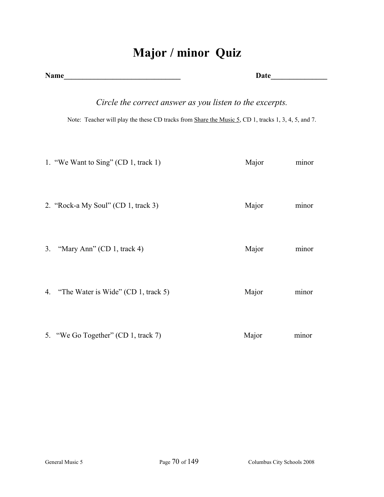# **Major / minor Quiz**

| <b>Name</b> |                                                                                                                                                                 |       |       |
|-------------|-----------------------------------------------------------------------------------------------------------------------------------------------------------------|-------|-------|
|             | Circle the correct answer as you listen to the excerpts.<br>Note: Teacher will play the these CD tracks from Share the Music 5, CD 1, tracks 1, 3, 4, 5, and 7. |       |       |
|             | 1. "We Want to Sing" (CD 1, track 1)                                                                                                                            | Major | minor |
|             | 2. "Rock-a My Soul" (CD 1, track 3)                                                                                                                             | Major | minor |
| 3.          | "Mary Ann" (CD 1, track 4)                                                                                                                                      | Major | minor |
| 4.          | "The Water is Wide" (CD 1, track 5)                                                                                                                             | Major | minor |
|             | 5. "We Go Together" (CD 1, track 7)                                                                                                                             | Major | minor |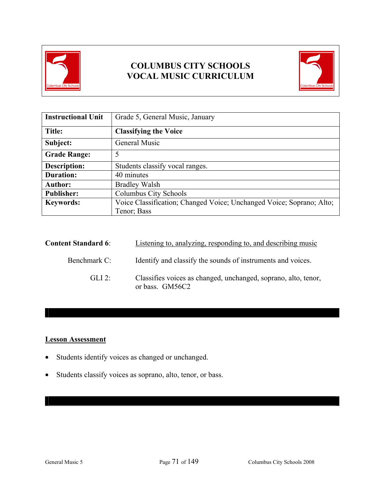



| <b>Instructional Unit</b> | Grade 5, General Music, January                                      |  |  |
|---------------------------|----------------------------------------------------------------------|--|--|
| Title:                    | <b>Classifying the Voice</b>                                         |  |  |
| Subject:                  | General Music                                                        |  |  |
| <b>Grade Range:</b>       | 5                                                                    |  |  |
| <b>Description:</b>       | Students classify vocal ranges.                                      |  |  |
| <b>Duration:</b>          | 40 minutes                                                           |  |  |
| <b>Author:</b>            | <b>Bradley Walsh</b>                                                 |  |  |
| <b>Publisher:</b>         | Columbus City Schools                                                |  |  |
| <b>Keywords:</b>          | Voice Classification; Changed Voice; Unchanged Voice; Soprano; Alto; |  |  |
|                           | Tenor; Bass                                                          |  |  |

| <b>Content Standard 6:</b> | Listening to, analyzing, responding to, and describing music                      |
|----------------------------|-----------------------------------------------------------------------------------|
| Benchmark C:               | Identify and classify the sounds of instruments and voices.                       |
| $GLI$ 2:                   | Classifies voices as changed, unchanged, soprano, alto, tenor,<br>or bass. GM56C2 |

## **Lesson Assessment**

- Students identify voices as changed or unchanged.
- Students classify voices as soprano, alto, tenor, or bass.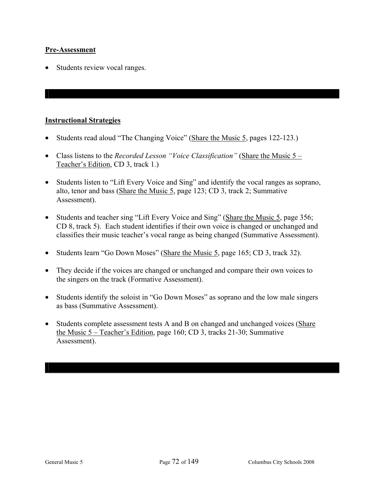#### **Pre-Assessment**

• Students review vocal ranges.

### **Instructional Strategies**

- Students read aloud "The Changing Voice" (Share the Music 5, pages 122-123.)
- Class listens to the *Recorded Lesson "Voice Classification"* (Share the Music 5 Teacher's Edition, CD 3, track 1.)
- Students listen to "Lift Every Voice and Sing" and identify the vocal ranges as soprano, alto, tenor and bass (Share the Music 5, page 123; CD 3, track 2; Summative Assessment).
- Students and teacher sing "Lift Every Voice and Sing" (Share the Music 5, page 356; CD 8, track 5). Each student identifies if their own voice is changed or unchanged and classifies their music teacher's vocal range as being changed (Summative Assessment).
- Students learn "Go Down Moses" (Share the Music 5, page 165; CD 3, track 32).
- They decide if the voices are changed or unchanged and compare their own voices to the singers on the track (Formative Assessment).
- Students identify the soloist in "Go Down Moses" as soprano and the low male singers as bass (Summative Assessment).
- Students complete assessment tests A and B on changed and unchanged voices (Share the Music 5 – Teacher's Edition, page 160; CD 3, tracks 21-30; Summative Assessment).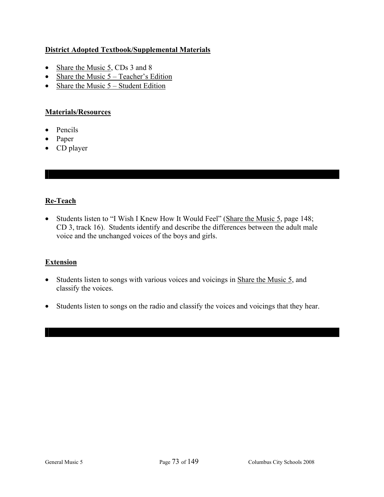## **District Adopted Textbook/Supplemental Materials**

- Share the Music 5, CDs 3 and 8
- Share the Music  $5 Teacher's Edition$
- Share the Music  $5 -$  Student Edition

### **Materials/Resources**

- Pencils
- Paper
- CD player

## **Re-Teach**

• Students listen to "I Wish I Knew How It Would Feel" (Share the Music 5, page 148; CD 3, track 16). Students identify and describe the differences between the adult male voice and the unchanged voices of the boys and girls.

#### **Extension**

- Students listen to songs with various voices and voicings in Share the Music 5, and classify the voices.
- Students listen to songs on the radio and classify the voices and voicings that they hear.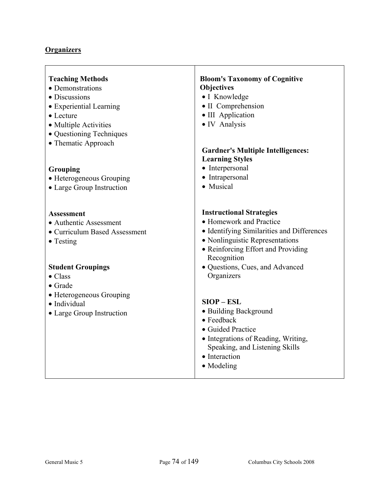# **Organizers**

| <b>Teaching Methods</b><br>• Demonstrations<br>• Discussions<br>• Experiential Learning<br>• Lecture<br>• Multiple Activities<br>• Questioning Techniques<br>• Thematic Approach<br>Grouping<br>• Heterogeneous Grouping | <b>Bloom's Taxonomy of Cognitive</b><br>Objectives<br>• I Knowledge<br>· II Comprehension<br>• III Application<br>• IV Analysis<br><b>Gardner's Multiple Intelligences:</b><br><b>Learning Styles</b><br>• Interpersonal<br>• Intrapersonal |
|--------------------------------------------------------------------------------------------------------------------------------------------------------------------------------------------------------------------------|---------------------------------------------------------------------------------------------------------------------------------------------------------------------------------------------------------------------------------------------|
| • Large Group Instruction                                                                                                                                                                                                | • Musical                                                                                                                                                                                                                                   |
| Assessment<br>• Authentic Assessment<br>• Curriculum Based Assessment<br>$\bullet$ Testing                                                                                                                               | <b>Instructional Strategies</b><br>• Homework and Practice<br>• Identifying Similarities and Differences<br>• Nonlinguistic Representations<br>• Reinforcing Effort and Providing<br>Recognition                                            |
| <b>Student Groupings</b><br>$\bullet$ Class<br>$\bullet$ Grade                                                                                                                                                           | • Questions, Cues, and Advanced<br>Organizers                                                                                                                                                                                               |
| • Heterogeneous Grouping<br>· Individual<br>• Large Group Instruction                                                                                                                                                    | $SIOP - ESL$<br>• Building Background<br>$\bullet$ Feedback<br>• Guided Practice<br>• Integrations of Reading, Writing,<br>Speaking, and Listening Skills<br>• Interaction<br>• Modeling                                                    |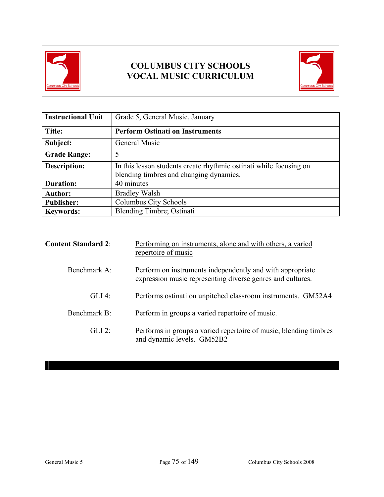



| <b>Instructional Unit</b> | Grade 5, General Music, January                                                                               |  |  |
|---------------------------|---------------------------------------------------------------------------------------------------------------|--|--|
| Title:                    | <b>Perform Ostinati on Instruments</b>                                                                        |  |  |
| Subject:                  | General Music                                                                                                 |  |  |
| <b>Grade Range:</b>       | 5                                                                                                             |  |  |
| <b>Description:</b>       | In this lesson students create rhythmic ostinati while focusing on<br>blending timbres and changing dynamics. |  |  |
| <b>Duration:</b>          | 40 minutes                                                                                                    |  |  |
| <b>Author:</b>            | <b>Bradley Walsh</b>                                                                                          |  |  |
| <b>Publisher:</b>         | Columbus City Schools                                                                                         |  |  |
| <b>Keywords:</b>          | <b>Blending Timbre; Ostinati</b>                                                                              |  |  |

| <b>Content Standard 2:</b> | Performing on instruments, alone and with others, a varied<br>repertoire of music                                       |  |  |  |  |
|----------------------------|-------------------------------------------------------------------------------------------------------------------------|--|--|--|--|
| Benchmark A:               | Perform on instruments independently and with appropriate<br>expression music representing diverse genres and cultures. |  |  |  |  |
| $GLI$ 4:                   | Performs ostinati on unpitched classroom instruments. GM52A4                                                            |  |  |  |  |
| Benchmark B:               | Perform in groups a varied repertoire of music.                                                                         |  |  |  |  |
| $GLI$ 2:                   | Performs in groups a varied repertoire of music, blending timbres<br>and dynamic levels. GM52B2                         |  |  |  |  |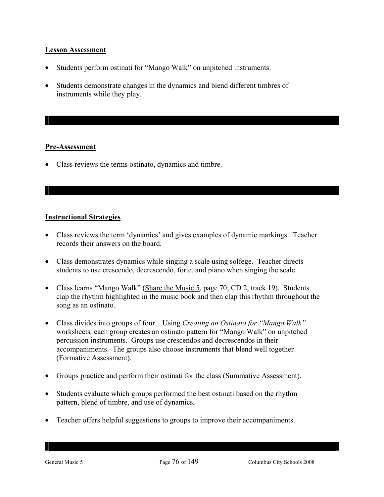#### **Lesson Assessment**

- Students perform ostinati for "Mango Walk" on unpitched instruments.
- Students demonstrate changes in the dynamics and blend different timbres of instruments while they play.

#### **Pre-Assessment**

• Class reviews the terms ostinato, dynamics and timbre.

#### **Instructional Strategies**

- Class reviews the term 'dynamics' and gives examples of dynamic markings. Teacher records their answers on the board.
- Class demonstrates dynamics while singing a scale using solfege. Teacher directs students to use crescendo, decrescendo, forte, and piano when singing the scale.
- Class learns "Mango Walk" (Share the Music 5, page 70; CD 2, track 19). Students clap the rhythm highlighted in the music book and then clap this rhythm throughout the song as an ostinato.
- Class divides into groups of four. Using *Creating an Ostinato for "Mango Walk"*  worksheets*,* each group creates an ostinato pattern for "Mango Walk" on unpitched percussion instruments. Groups use crescendos and decrescendos in their accompaniments. The groups also choose instruments that blend well together (Formative Assessment).
- Groups practice and perform their ostinati for the class (Summative Assessment).
- Students evaluate which groups performed the best ostinati based on the rhythm pattern, blend of timbre, and use of dynamics.
- Teacher offers helpful suggestions to groups to improve their accompaniments.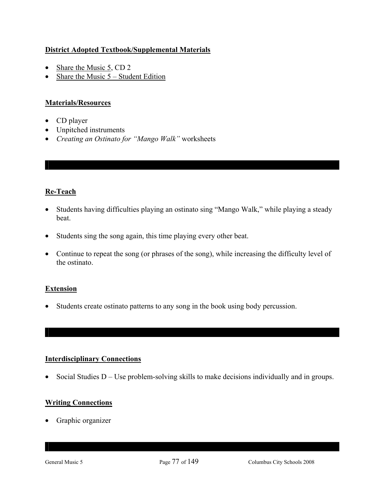## **District Adopted Textbook/Supplemental Materials**

- Share the Music 5, CD 2
- Share the Music 5 Student Edition

## **Materials/Resources**

- CD player
- Unpitched instruments
- *Creating an Ostinato for "Mango Walk"* worksheets

## **Re-Teach**

- Students having difficulties playing an ostinato sing "Mango Walk," while playing a steady beat.
- Students sing the song again, this time playing every other beat.
- Continue to repeat the song (or phrases of the song), while increasing the difficulty level of the ostinato.

#### **Extension**

• Students create ostinato patterns to any song in the book using body percussion.

#### **Interdisciplinary Connections**

• Social Studies D – Use problem-solving skills to make decisions individually and in groups.

## **Writing Connections**

• Graphic organizer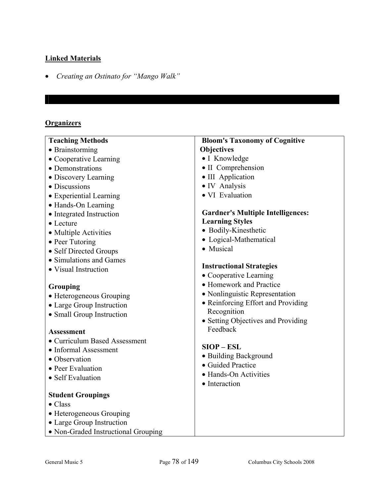## **Linked Materials**

• *Creating an Ostinato for "Mango Walk"* 

## **Organizers**

| <b>Teaching Methods</b>             | <b>Bloom's Taxonomy of Cognitive</b>     |
|-------------------------------------|------------------------------------------|
| • Brainstorming                     | <b>Objectives</b>                        |
| • Cooperative Learning              | • I Knowledge                            |
| • Demonstrations                    | • II Comprehension                       |
| • Discovery Learning                | • III Application                        |
| • Discussions                       | • IV Analysis                            |
| • Experiential Learning             | · VI Evaluation                          |
| • Hands-On Learning                 |                                          |
| • Integrated Instruction            | <b>Gardner's Multiple Intelligences:</b> |
| • Lecture                           | <b>Learning Styles</b>                   |
| • Multiple Activities               | • Bodily-Kinesthetic                     |
| • Peer Tutoring                     | • Logical-Mathematical                   |
| • Self Directed Groups              | • Musical                                |
| • Simulations and Games             |                                          |
| • Visual Instruction                | <b>Instructional Strategies</b>          |
|                                     | • Cooperative Learning                   |
| Grouping                            | • Homework and Practice                  |
| • Heterogeneous Grouping            | · Nonlinguistic Representation           |
| • Large Group Instruction           | • Reinforcing Effort and Providing       |
| • Small Group Instruction           | Recognition                              |
|                                     | • Setting Objectives and Providing       |
| <b>Assessment</b>                   | Feedback                                 |
| • Curriculum Based Assessment       |                                          |
| • Informal Assessment               | $SIOP - ESL$                             |
| • Observation                       | • Building Background                    |
| • Peer Evaluation                   | • Guided Practice                        |
| • Self Evaluation                   | • Hands-On Activities                    |
|                                     | • Interaction                            |
| <b>Student Groupings</b>            |                                          |
| $\bullet$ Class                     |                                          |
| • Heterogeneous Grouping            |                                          |
| • Large Group Instruction           |                                          |
| • Non-Graded Instructional Grouping |                                          |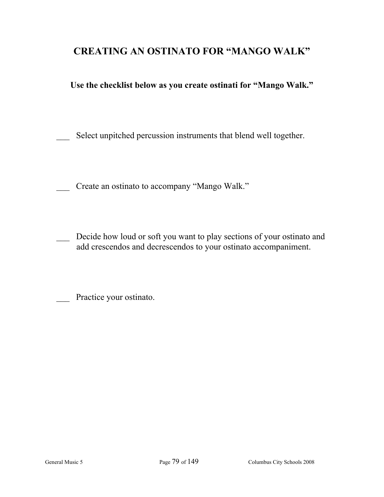# **CREATING AN OSTINATO FOR "MANGO WALK"**

## **Use the checklist below as you create ostinati for "Mango Walk."**

Select unpitched percussion instruments that blend well together.

Create an ostinato to accompany "Mango Walk."

Decide how loud or soft you want to play sections of your ostinato and add crescendos and decrescendos to your ostinato accompaniment.

Practice your ostinato.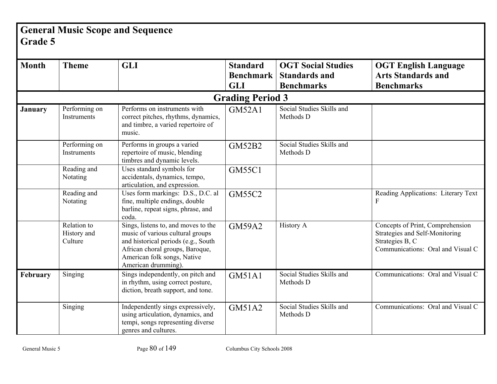# **General Music Scope and Sequence Grade 5**

| <b>Month</b>   | <b>Theme</b>                          | <b>GLI</b>                                                                                                                                                                                              | <b>Standard</b><br><b>Benchmark</b><br><b>GLI</b> | <b>OGT Social Studies</b><br><b>Standards and</b><br><b>Benchmarks</b> | <b>OGT English Language</b><br><b>Arts Standards and</b><br><b>Benchmarks</b>                                              |  |  |
|----------------|---------------------------------------|---------------------------------------------------------------------------------------------------------------------------------------------------------------------------------------------------------|---------------------------------------------------|------------------------------------------------------------------------|----------------------------------------------------------------------------------------------------------------------------|--|--|
|                |                                       |                                                                                                                                                                                                         | <b>Grading Period 3</b>                           |                                                                        |                                                                                                                            |  |  |
| <b>January</b> | Performing on<br>Instruments          | Performs on instruments with<br>correct pitches, rhythms, dynamics,<br>and timbre, a varied repertoire of<br>music.                                                                                     | GM52A1                                            | Social Studies Skills and<br>Methods D                                 |                                                                                                                            |  |  |
|                | Performing on<br>Instruments          | Performs in groups a varied<br>repertoire of music, blending<br>timbres and dynamic levels.                                                                                                             | <b>GM52B2</b>                                     | Social Studies Skills and<br>Methods D                                 |                                                                                                                            |  |  |
|                | Reading and<br>Notating               | Uses standard symbols for<br>accidentals, dynamics, tempo,<br>articulation, and expression.                                                                                                             | <b>GM55C1</b>                                     |                                                                        |                                                                                                                            |  |  |
|                | Reading and<br>Notating               | Uses form markings: D.S., D.C. al<br>fine, multiple endings, double<br>barline, repeat signs, phrase, and<br>coda.                                                                                      | <b>GM55C2</b>                                     |                                                                        | Reading Applications: Literary Text<br>F                                                                                   |  |  |
|                | Relation to<br>History and<br>Culture | Sings, listens to, and moves to the<br>music of various cultural groups<br>and historical periods (e.g., South<br>African choral groups, Baroque,<br>American folk songs, Native<br>American drumming). | <b>GM59A2</b>                                     | <b>History A</b>                                                       | Concepts of Print, Comprehension<br>Strategies and Self-Monitoring<br>Strategies B, C<br>Communications: Oral and Visual C |  |  |
| February       | Singing                               | Sings independently, on pitch and<br>in rhythm, using correct posture,<br>diction, breath support, and tone.                                                                                            | GM51A1                                            | Social Studies Skills and<br>Methods D                                 | Communications: Oral and Visual C                                                                                          |  |  |
|                | Singing                               | Independently sings expressively,<br>using articulation, dynamics, and<br>tempi, songs representing diverse<br>genres and cultures.                                                                     | GM51A2                                            | Social Studies Skills and<br>Methods D                                 | Communications: Oral and Visual C                                                                                          |  |  |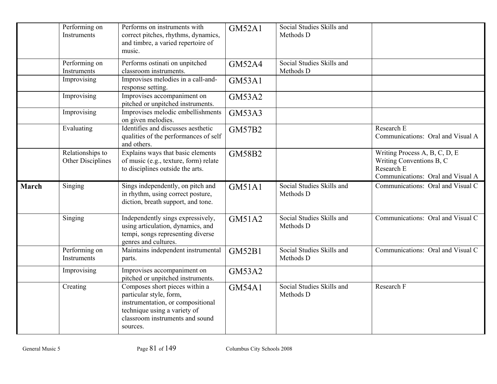|       | Performing on<br>Instruments          | Performs on instruments with<br>correct pitches, rhythms, dynamics,<br>and timbre, a varied repertoire of<br>music.                                                           | <b>GM52A1</b> | Social Studies Skills and<br>Methods D |                                                                                                              |
|-------|---------------------------------------|-------------------------------------------------------------------------------------------------------------------------------------------------------------------------------|---------------|----------------------------------------|--------------------------------------------------------------------------------------------------------------|
|       | Performing on<br>Instruments          | Performs ostinati on unpitched<br>classroom instruments.                                                                                                                      | <b>GM52A4</b> | Social Studies Skills and<br>Methods D |                                                                                                              |
|       | Improvising                           | Improvises melodies in a call-and-<br>response setting.                                                                                                                       | <b>GM53A1</b> |                                        |                                                                                                              |
|       | Improvising                           | Improvises accompaniment on<br>pitched or unpitched instruments.                                                                                                              | <b>GM53A2</b> |                                        |                                                                                                              |
|       | Improvising                           | Improvises melodic embellishments<br>on given melodies.                                                                                                                       | <b>GM53A3</b> |                                        |                                                                                                              |
|       | Evaluating                            | Identifies and discusses aesthetic<br>qualities of the performances of self<br>and others.                                                                                    | <b>GM57B2</b> |                                        | Research E<br>Communications: Oral and Visual A                                                              |
|       | Relationships to<br>Other Disciplines | Explains ways that basic elements<br>of music (e.g., texture, form) relate<br>to disciplines outside the arts.                                                                | <b>GM58B2</b> |                                        | Writing Process A, B, C, D, E<br>Writing Conventions B, C<br>Research E<br>Communications: Oral and Visual A |
| March | Singing                               | Sings independently, on pitch and<br>in rhythm, using correct posture,<br>diction, breath support, and tone.                                                                  | <b>GM51A1</b> | Social Studies Skills and<br>Methods D | Communications: Oral and Visual C                                                                            |
|       | Singing                               | Independently sings expressively,<br>using articulation, dynamics, and<br>tempi, songs representing diverse<br>genres and cultures.                                           | <b>GM51A2</b> | Social Studies Skills and<br>Methods D | Communications: Oral and Visual C                                                                            |
|       | Performing on<br>Instruments          | Maintains independent instrumental<br>parts.                                                                                                                                  | <b>GM52B1</b> | Social Studies Skills and<br>Methods D | Communications: Oral and Visual C                                                                            |
|       | Improvising                           | Improvises accompaniment on<br>pitched or unpitched instruments.                                                                                                              | <b>GM53A2</b> |                                        |                                                                                                              |
|       | Creating                              | Composes short pieces within a<br>particular style, form,<br>instrumentation, or compositional<br>technique using a variety of<br>classroom instruments and sound<br>sources. | <b>GM54A1</b> | Social Studies Skills and<br>Methods D | Research F                                                                                                   |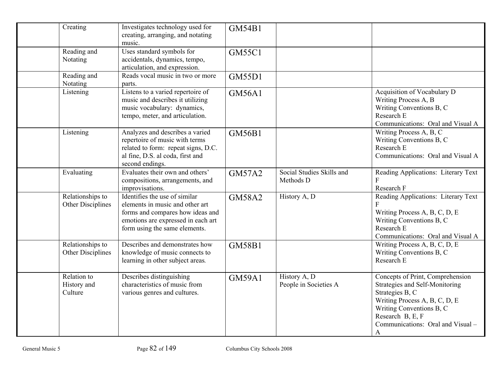| Creating                              | Investigates technology used for<br>creating, arranging, and notating<br>music.                                                                                             | <b>GM54B1</b> |                                        |                                                                                                                                                                                                                  |
|---------------------------------------|-----------------------------------------------------------------------------------------------------------------------------------------------------------------------------|---------------|----------------------------------------|------------------------------------------------------------------------------------------------------------------------------------------------------------------------------------------------------------------|
| Reading and<br>Notating               | Uses standard symbols for<br>accidentals, dynamics, tempo,<br>articulation, and expression.                                                                                 | <b>GM55C1</b> |                                        |                                                                                                                                                                                                                  |
| Reading and<br>Notating               | Reads vocal music in two or more<br>parts.                                                                                                                                  | <b>GM55D1</b> |                                        |                                                                                                                                                                                                                  |
| Listening                             | Listens to a varied repertoire of<br>music and describes it utilizing<br>music vocabulary: dynamics,<br>tempo, meter, and articulation.                                     | <b>GM56A1</b> |                                        | Acquisition of Vocabulary D<br>Writing Process A, B<br>Writing Conventions B, C<br>Research E<br>Communications: Oral and Visual A                                                                               |
| Listening                             | Analyzes and describes a varied<br>repertoire of music with terms<br>related to form: repeat signs, D.C.<br>al fine, D.S. al coda, first and<br>second endings.             | <b>GM56B1</b> |                                        | Writing Process A, B, C<br>Writing Conventions B, C<br>Research E<br>Communications: Oral and Visual A                                                                                                           |
| Evaluating                            | Evaluates their own and others'<br>compositions, arrangements, and<br>improvisations.                                                                                       | <b>GM57A2</b> | Social Studies Skills and<br>Methods D | Reading Applications: Literary Text<br>Research F                                                                                                                                                                |
| Relationships to<br>Other Disciplines | Identifies the use of similar<br>elements in music and other art<br>forms and compares how ideas and<br>emotions are expressed in each art<br>form using the same elements. | <b>GM58A2</b> | History A, D                           | Reading Applications: Literary Text<br>Writing Process A, B, C, D, E<br>Writing Conventions B, C<br>Research E<br>Communications: Oral and Visual A                                                              |
| Relationships to<br>Other Disciplines | Describes and demonstrates how<br>knowledge of music connects to<br>learning in other subject areas.                                                                        | <b>GM58B1</b> |                                        | Writing Process A, B, C, D, E<br>Writing Conventions B, C<br>Research E                                                                                                                                          |
| Relation to<br>History and<br>Culture | Describes distinguishing<br>characteristics of music from<br>various genres and cultures.                                                                                   | <b>GM59A1</b> | History A, D<br>People in Societies A  | Concepts of Print, Comprehension<br>Strategies and Self-Monitoring<br>Strategies B, C<br>Writing Process A, B, C, D, E<br>Writing Conventions B, C<br>Research B, E, F<br>Communications: Oral and Visual -<br>A |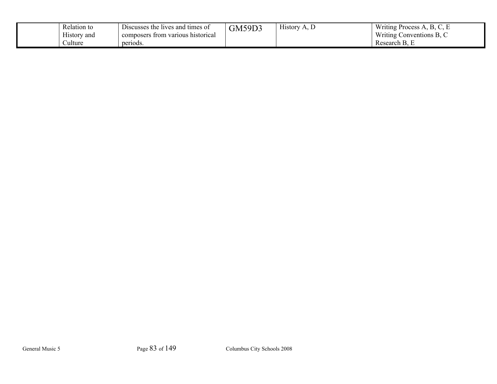| Relation to<br>$\mathbf{v}$<br>History and | $\overline{\phantom{a}}$<br>Discusses the lives and times of<br>composers from various historical | <b>GM59D3</b> | $\mathbf{v}$<br>History<br>1 L. | Writing<br><b>Process</b><br>$\sim$ , $\sim$<br><u>.</u><br>Writing<br>$\mathbf{D}$<br>Conventions $B, C$ |
|--------------------------------------------|---------------------------------------------------------------------------------------------------|---------------|---------------------------------|-----------------------------------------------------------------------------------------------------------|
| Culture                                    | periods.                                                                                          |               |                                 | $\sqrt{ }$<br>Research B.                                                                                 |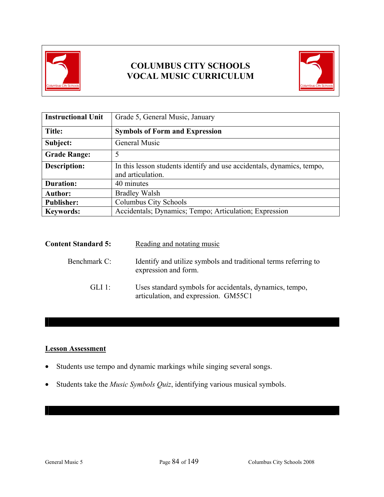



| <b>Instructional Unit</b> | Grade 5, General Music, January                                                             |
|---------------------------|---------------------------------------------------------------------------------------------|
| Title:                    | <b>Symbols of Form and Expression</b>                                                       |
| Subject:                  | General Music                                                                               |
| <b>Grade Range:</b>       | 5                                                                                           |
| <b>Description:</b>       | In this lesson students identify and use accidentals, dynamics, tempo,<br>and articulation. |
| <b>Duration:</b>          | 40 minutes                                                                                  |
| <b>Author:</b>            | <b>Bradley Walsh</b>                                                                        |
| <b>Publisher:</b>         | Columbus City Schools                                                                       |
| <b>Keywords:</b>          | Accidentals; Dynamics; Tempo; Articulation; Expression                                      |

| <b>Content Standard 5:</b> | Reading and notating music                                                                      |
|----------------------------|-------------------------------------------------------------------------------------------------|
| Benchmark C:               | Identify and utilize symbols and traditional terms referring to<br>expression and form.         |
| $GLI$ 1:                   | Uses standard symbols for accidentals, dynamics, tempo,<br>articulation, and expression. GM55C1 |

### **Lesson Assessment**

- Students use tempo and dynamic markings while singing several songs.
- Students take the *Music Symbols Quiz*, identifying various musical symbols.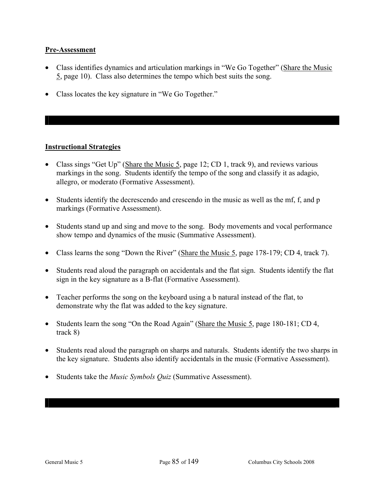#### **Pre-Assessment**

- Class identifies dynamics and articulation markings in "We Go Together" (Share the Music 5, page 10). Class also determines the tempo which best suits the song.
- Class locates the key signature in "We Go Together."

## **Instructional Strategies**

- Class sings "Get Up" (Share the Music 5, page 12; CD 1, track 9), and reviews various markings in the song. Students identify the tempo of the song and classify it as adagio, allegro, or moderato (Formative Assessment).
- Students identify the decrescendo and crescendo in the music as well as the mf, f, and p markings (Formative Assessment).
- Students stand up and sing and move to the song. Body movements and vocal performance show tempo and dynamics of the music (Summative Assessment).
- Class learns the song "Down the River" (Share the Music 5, page 178-179; CD 4, track 7).
- Students read aloud the paragraph on accidentals and the flat sign. Students identify the flat sign in the key signature as a B-flat (Formative Assessment).
- Teacher performs the song on the keyboard using a b natural instead of the flat, to demonstrate why the flat was added to the key signature.
- Students learn the song "On the Road Again" (Share the Music 5, page 180-181; CD 4, track 8)
- Students read aloud the paragraph on sharps and naturals. Students identify the two sharps in the key signature. Students also identify accidentals in the music (Formative Assessment).
- Students take the *Music Symbols Quiz* (Summative Assessment).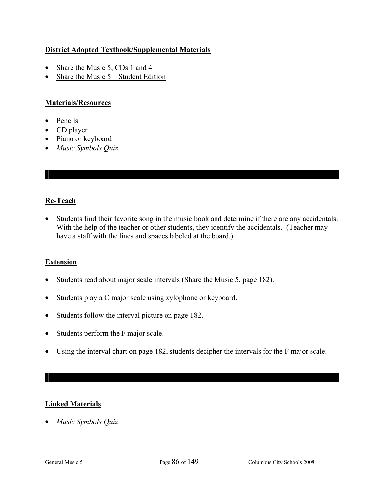## **District Adopted Textbook/Supplemental Materials**

- Share the Music 5, CDs 1 and 4
- Share the Music  $5 -$  Student Edition

## **Materials/Resources**

- Pencils
- CD player
- Piano or keyboard
- *Music Symbols Quiz*

## **Re-Teach**

• Students find their favorite song in the music book and determine if there are any accidentals. With the help of the teacher or other students, they identify the accidentals. (Teacher may have a staff with the lines and spaces labeled at the board.)

#### **Extension**

- Students read about major scale intervals (Share the Music 5, page 182).
- Students play a C major scale using xylophone or keyboard.
- Students follow the interval picture on page 182.
- Students perform the F major scale.
- Using the interval chart on page 182, students decipher the intervals for the F major scale.

## **Linked Materials**

• *Music Symbols Quiz*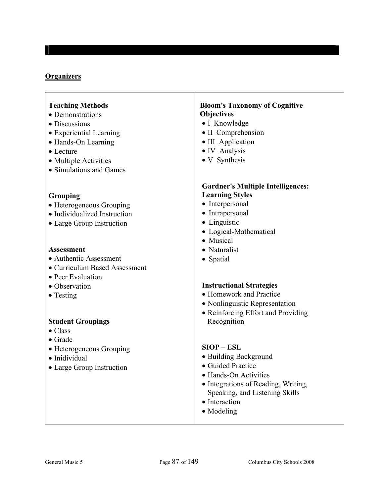### **Organizers**

#### **Teaching Methods**

- Demonstrations
- Discussions
- Experiential Learning
- Hands-On Learning
- Lecture
- Multiple Activities
- Simulations and Games

#### **Grouping**

- Heterogeneous Grouping
- Individualized Instruction
- Large Group Instruction

### **Assessment**

- Authentic Assessment
- Curriculum Based Assessment
- Peer Evaluation
- Observation
- Testing

#### **Student Groupings**

- Class
- Grade
- Heterogeneous Grouping
- Inidividual
- Large Group Instruction

#### **Bloom's Taxonomy of Cognitive Objectives**

- I Knowledge
- II Comprehension
- III Application
- IV Analysis
- V Synthesis

#### **Gardner's Multiple Intelligences: Learning Styles**

- Interpersonal
- Intrapersonal
- Linguistic
- Logical-Mathematical
- Musical
- Naturalist
- Spatial

#### **Instructional Strategies**

- Homework and Practice
- Nonlinguistic Representation
- Reinforcing Effort and Providing Recognition

#### **SIOP – ESL**

- Building Background
- Guided Practice
- Hands-On Activities
- Integrations of Reading, Writing, Speaking, and Listening Skills
- Interaction
- Modeling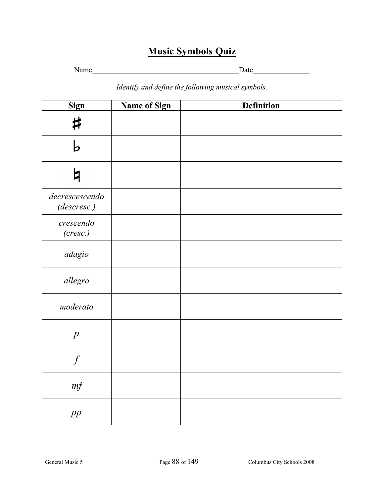# **Music Symbols Quiz**

Name\_\_\_\_\_\_\_\_\_\_\_\_\_\_\_\_\_\_\_\_\_\_\_\_\_\_\_\_\_\_\_\_\_\_\_\_\_\_\_Date\_\_\_\_\_\_\_\_\_\_\_\_\_\_\_

*Identify and define the following musical symbols.* 

| Sign                          | Name of Sign | <b>Definition</b> |
|-------------------------------|--------------|-------------------|
| ♯                             |              |                   |
| Ь                             |              |                   |
| b                             |              |                   |
| decrescescendo<br>(descresc.) |              |                   |
| crescendo<br>(cresc.)         |              |                   |
| adagio                        |              |                   |
| allegro                       |              |                   |
| moderato                      |              |                   |
| $\boldsymbol{p}$              |              |                   |
| $\boldsymbol{f}$              |              |                   |
| $\it mf$                      |              |                   |
| pp                            |              |                   |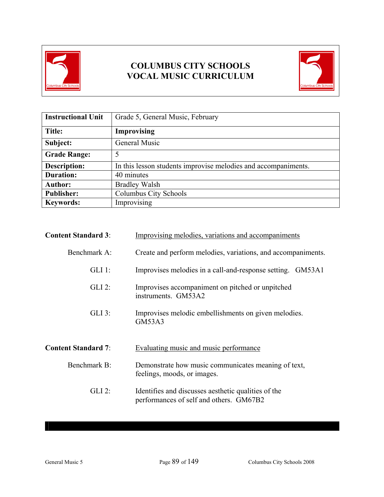



| <b>Instructional Unit</b> | Grade 5, General Music, February                               |
|---------------------------|----------------------------------------------------------------|
| Title:                    | <b>Improvising</b>                                             |
| Subject:                  | General Music                                                  |
| <b>Grade Range:</b>       |                                                                |
| <b>Description:</b>       | In this lesson students improvise melodies and accompaniments. |
| <b>Duration:</b>          | 40 minutes                                                     |
| <b>Author:</b>            | <b>Bradley Walsh</b>                                           |
| <b>Publisher:</b>         | Columbus City Schools                                          |
| <b>Keywords:</b>          | Improvising                                                    |

| <b>Content Standard 3:</b> | Improvising melodies, variations and accompaniments                                            |  |
|----------------------------|------------------------------------------------------------------------------------------------|--|
| Benchmark A:               | Create and perform melodies, variations, and accompaniments.                                   |  |
| $GLI$ 1:                   | Improvises melodies in a call-and-response setting. GM53A1                                     |  |
| $GLI$ 2:                   | Improvises accompaniment on pitched or unpitched<br>instruments. GM53A2                        |  |
| $GLI$ 3:                   | Improvises melodic embellishments on given melodies.<br>GM53A3                                 |  |
| <b>Content Standard 7:</b> | Evaluating music and music performance                                                         |  |
| Benchmark B:               | Demonstrate how music communicates meaning of text,<br>feelings, moods, or images.             |  |
| $GLI$ 2:                   | Identifies and discusses aesthetic qualities of the<br>performances of self and others. GM67B2 |  |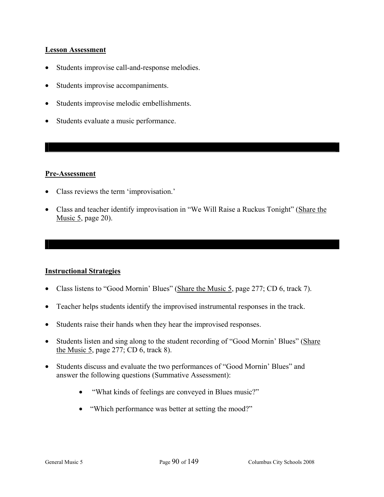#### Lesson Assessment

- Students improvise call-and-response melodies.
- Students improvise accompaniments.
- Students improvise melodic embellishments.
- Students evaluate a music performance.

#### **Pre-Assessment**

- Class reviews the term 'improvisation.'
- Class and teacher identify improvisation in "We Will Raise a Ruckus Tonight" (Share the Music 5, page 20).

#### **Instructional Strategies**

- Class listens to "Good Mornin' Blues" (Share the Music 5, page 277; CD 6, track 7).
- Teacher helps students identify the improvised instrumental responses in the track.
- Students raise their hands when they hear the improvised responses.
- Students listen and sing along to the student recording of "Good Mornin' Blues" (Share the Music 5, page 277; CD 6, track 8).
- Students discuss and evaluate the two performances of "Good Mornin' Blues" and answer the following questions (Summative Assessment):
	- "What kinds of feelings are conveyed in Blues music?"
	- "Which performance was better at setting the mood?"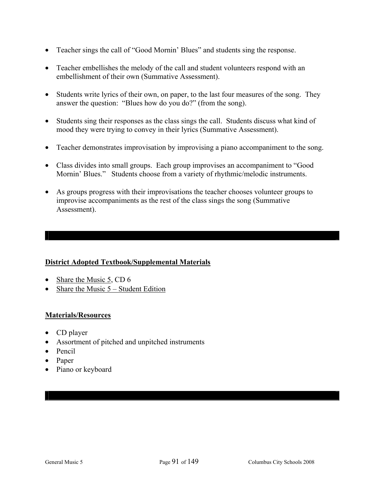- Teacher sings the call of "Good Mornin' Blues" and students sing the response.
- Teacher embellishes the melody of the call and student volunteers respond with an embellishment of their own (Summative Assessment).
- Students write lyrics of their own, on paper, to the last four measures of the song. They answer the question: "Blues how do you do?" (from the song).
- Students sing their responses as the class sings the call. Students discuss what kind of mood they were trying to convey in their lyrics (Summative Assessment).
- Teacher demonstrates improvisation by improvising a piano accompaniment to the song.
- Class divides into small groups. Each group improvises an accompaniment to "Good Mornin' Blues." Students choose from a variety of rhythmic/melodic instruments.
- As groups progress with their improvisations the teacher chooses volunteer groups to improvise accompaniments as the rest of the class sings the song (Summative Assessment).

## **District Adopted Textbook/Supplemental Materials**

- Share the Music 5, CD 6
- Share the Music 5 Student Edition

#### **Materials/Resources**

- CD player
- Assortment of pitched and unpitched instruments
- Pencil
- Paper
- Piano or keyboard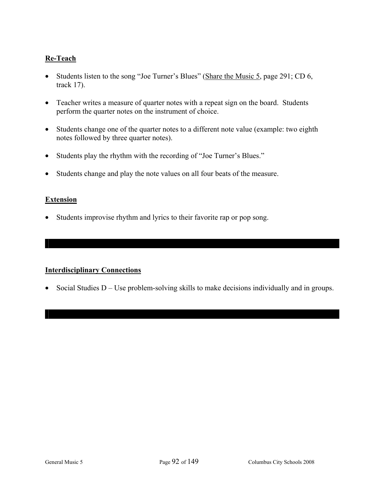## **Re-Teach**

- Students listen to the song "Joe Turner's Blues" (Share the Music 5, page 291; CD 6, track 17).
- Teacher writes a measure of quarter notes with a repeat sign on the board. Students perform the quarter notes on the instrument of choice.
- Students change one of the quarter notes to a different note value (example: two eighth notes followed by three quarter notes).
- Students play the rhythm with the recording of "Joe Turner's Blues."
- Students change and play the note values on all four beats of the measure.

#### **Extension**

• Students improvise rhythm and lyrics to their favorite rap or pop song.

#### **Interdisciplinary Connections**

• Social Studies D – Use problem-solving skills to make decisions individually and in groups.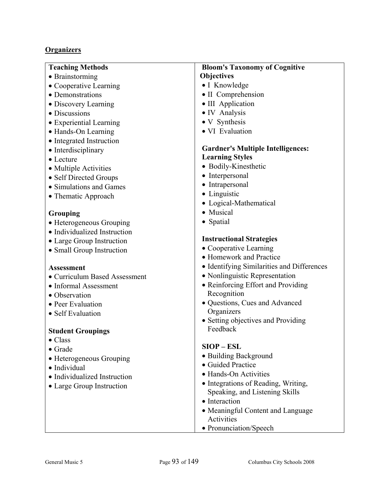# **Organizers**

| <b>Teaching Methods</b>       | <b>Bloom's Taxonomy of Cognitive</b>       |
|-------------------------------|--------------------------------------------|
| • Brainstorming               | <b>Objectives</b>                          |
| • Cooperative Learning        | • I Knowledge                              |
| • Demonstrations              | • II Comprehension                         |
| • Discovery Learning          | • III Application                          |
| • Discussions                 | • IV Analysis                              |
| • Experiential Learning       | • V Synthesis                              |
| • Hands-On Learning           | • VI Evaluation                            |
| • Integrated Instruction      |                                            |
| • Interdisciplinary           | <b>Gardner's Multiple Intelligences:</b>   |
| • Lecture                     | <b>Learning Styles</b>                     |
| • Multiple Activities         | • Bodily-Kinesthetic                       |
| • Self Directed Groups        | • Interpersonal                            |
| • Simulations and Games       | Intrapersonal<br>$\bullet$                 |
| • Thematic Approach           | • Linguistic                               |
|                               | • Logical-Mathematical                     |
| Grouping                      | • Musical                                  |
| • Heterogeneous Grouping      | • Spatial                                  |
| • Individualized Instruction  |                                            |
| • Large Group Instruction     | <b>Instructional Strategies</b>            |
| • Small Group Instruction     | • Cooperative Learning                     |
|                               | • Homework and Practice                    |
| <b>Assessment</b>             | • Identifying Similarities and Differences |
| • Curriculum Based Assessment | • Nonlinguistic Representation             |
| • Informal Assessment         | • Reinforcing Effort and Providing         |
| • Observation                 | Recognition                                |
| • Peer Evaluation             | · Questions, Cues and Advanced             |
| • Self Evaluation             | Organizers                                 |
|                               | • Setting objectives and Providing         |
| <b>Student Groupings</b>      | Feedback                                   |
| Class                         |                                            |
| $\bullet$ Grade               | $SIOP - ESL$                               |
| • Heterogeneous Grouping      | • Building Background                      |
| · Individual                  | • Guided Practice                          |
| • Individualized Instruction  | • Hands-On Activities                      |
| • Large Group Instruction     | • Integrations of Reading, Writing,        |
|                               | Speaking, and Listening Skills             |
|                               | • Interaction                              |
|                               | • Meaningful Content and Language          |
|                               | Activities                                 |
|                               | • Pronunciation/Speech                     |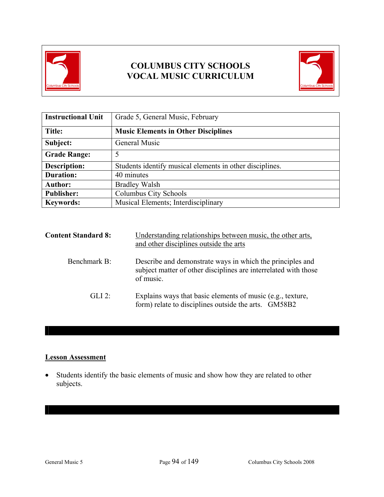



| <b>Instructional Unit</b> | Grade 5, General Music, February                         |
|---------------------------|----------------------------------------------------------|
| Title:                    | <b>Music Elements in Other Disciplines</b>               |
| Subject:                  | General Music                                            |
| <b>Grade Range:</b>       | 5                                                        |
| Description:              | Students identify musical elements in other disciplines. |
| <b>Duration:</b>          | 40 minutes                                               |
| <b>Author:</b>            | <b>Bradley Walsh</b>                                     |
| <b>Publisher:</b>         | Columbus City Schools                                    |
| <b>Keywords:</b>          | Musical Elements; Interdisciplinary                      |

| <b>Content Standard 8:</b> | Understanding relationships between music, the other arts,<br>and other disciplines outside the arts                                      |
|----------------------------|-------------------------------------------------------------------------------------------------------------------------------------------|
| Benchmark B:               | Describe and demonstrate ways in which the principles and<br>subject matter of other disciplines are interrelated with those<br>of music. |
| GL12                       | Explains ways that basic elements of music (e.g., texture,<br>form) relate to disciplines outside the arts. GM58B2                        |

## **Lesson Assessment**

• Students identify the basic elements of music and show how they are related to other subjects.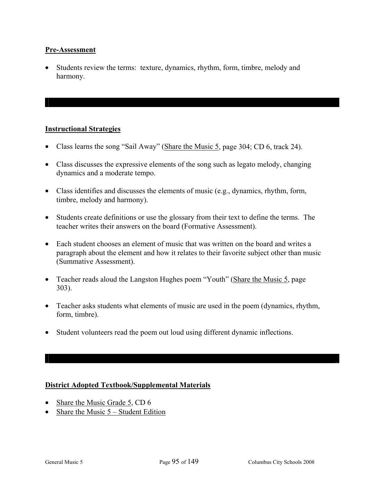#### **Pre-Assessment**

• Students review the terms: texture, dynamics, rhythm, form, timbre, melody and harmony.

#### **Instructional Strategies**

- Class learns the song "Sail Away" (Share the Music 5, page 304; CD 6, track 24).
- Class discusses the expressive elements of the song such as legato melody, changing dynamics and a moderate tempo.
- Class identifies and discusses the elements of music (e.g., dynamics, rhythm, form, timbre, melody and harmony).
- Students create definitions or use the glossary from their text to define the terms. The teacher writes their answers on the board (Formative Assessment).
- Each student chooses an element of music that was written on the board and writes a paragraph about the element and how it relates to their favorite subject other than music (Summative Assessment).
- Teacher reads aloud the Langston Hughes poem "Youth" (Share the Music 5, page 303).
- Teacher asks students what elements of music are used in the poem (dynamics, rhythm, form, timbre).
- Student volunteers read the poem out loud using different dynamic inflections.

#### **District Adopted Textbook/Supplemental Materials**

- Share the Music Grade 5, CD 6
- Share the Music  $5 -$  Student Edition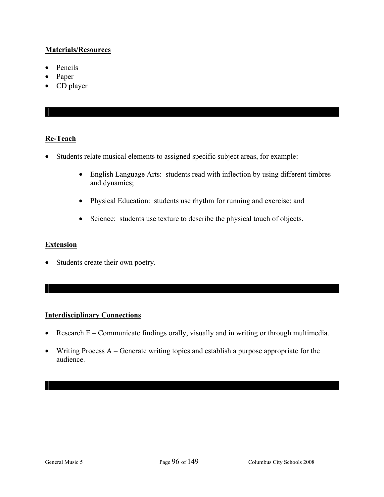### **Materials/Resources**

- Pencils
- Paper
- CD player

## **Re-Teach**

- Students relate musical elements to assigned specific subject areas, for example:
	- English Language Arts: students read with inflection by using different timbres and dynamics;
	- Physical Education: students use rhythm for running and exercise; and
	- Science: students use texture to describe the physical touch of objects.

## **Extension**

• Students create their own poetry.

#### **Interdisciplinary Connections**

- Research E Communicate findings orally, visually and in writing or through multimedia.
- Writing Process A Generate writing topics and establish a purpose appropriate for the audience.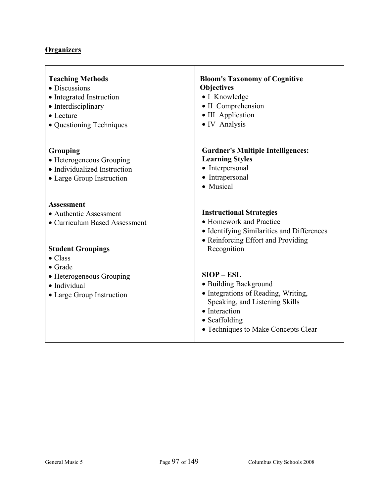## **Organizers**

| <b>Teaching Methods</b>                                                                           | <b>Bloom's Taxonomy of Cognitive</b>                                                                                                                                                            |
|---------------------------------------------------------------------------------------------------|-------------------------------------------------------------------------------------------------------------------------------------------------------------------------------------------------|
| • Discussions                                                                                     | <b>Objectives</b>                                                                                                                                                                               |
| • Integrated Instruction                                                                          | • I Knowledge                                                                                                                                                                                   |
| • Interdisciplinary                                                                               | • II Comprehension                                                                                                                                                                              |
| • Lecture                                                                                         | • III Application                                                                                                                                                                               |
| • Questioning Techniques                                                                          | • IV Analysis                                                                                                                                                                                   |
| Grouping<br>• Heterogeneous Grouping<br>• Individualized Instruction<br>• Large Group Instruction | <b>Gardner's Multiple Intelligences:</b><br><b>Learning Styles</b><br>• Interpersonal<br>• Intrapersonal<br>• Musical                                                                           |
| <b>Assessment</b>                                                                                 | <b>Instructional Strategies</b>                                                                                                                                                                 |
| • Authentic Assessment                                                                            | • Homework and Practice                                                                                                                                                                         |
| • Curriculum Based Assessment                                                                     | • Identifying Similarities and Differences                                                                                                                                                      |
| <b>Student Groupings</b>                                                                          | • Reinforcing Effort and Providing                                                                                                                                                              |
| $\bullet$ Class                                                                                   | Recognition                                                                                                                                                                                     |
| $\bullet$ Grade<br>• Heterogeneous Grouping<br>· Individual<br>• Large Group Instruction          | $SIOP - ESL$<br>• Building Background<br>• Integrations of Reading, Writing,<br>Speaking, and Listening Skills<br>• Interaction<br>$\bullet$ Scaffolding<br>• Techniques to Make Concepts Clear |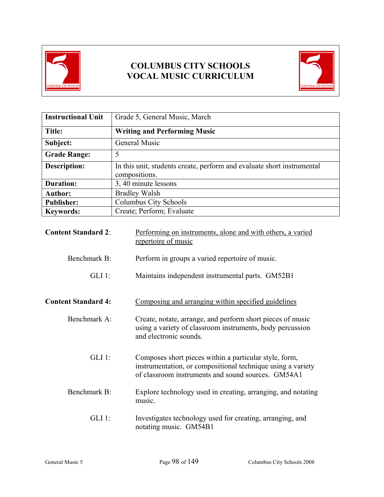



| <b>Instructional Unit</b> | Grade 5, General Music, March                                                           |
|---------------------------|-----------------------------------------------------------------------------------------|
| Title:                    | <b>Writing and Performing Music</b>                                                     |
| Subject:                  | General Music                                                                           |
| <b>Grade Range:</b>       | 5                                                                                       |
| <b>Description:</b>       | In this unit, students create, perform and evaluate short instrumental<br>compositions. |
| <b>Duration:</b>          | 3, 40 minute lessons                                                                    |
| <b>Author:</b>            | <b>Bradley Walsh</b>                                                                    |
| <b>Publisher:</b>         | Columbus City Schools                                                                   |
| <b>Keywords:</b>          | Create; Perform; Evaluate                                                               |

| <b>Content Standard 2:</b> | Performing on instruments, alone and with others, a varied<br>repertoire of music                                                                                           |
|----------------------------|-----------------------------------------------------------------------------------------------------------------------------------------------------------------------------|
| Benchmark B:               | Perform in groups a varied repertoire of music.                                                                                                                             |
| $GLI$ 1:                   | Maintains independent instrumental parts. GM52B1                                                                                                                            |
| <b>Content Standard 4:</b> | Composing and arranging within specified guidelines                                                                                                                         |
| Benchmark A:               | Create, notate, arrange, and perform short pieces of music<br>using a variety of classroom instruments, body percussion<br>and electronic sounds.                           |
| $GLI$ 1:                   | Composes short pieces within a particular style, form,<br>instrumentation, or compositional technique using a variety<br>of classroom instruments and sound sources. GM54A1 |
| Benchmark B:               | Explore technology used in creating, arranging, and notating<br>music.                                                                                                      |
| $GLI$ 1:                   | Investigates technology used for creating, arranging, and<br>notating music. GM54B1                                                                                         |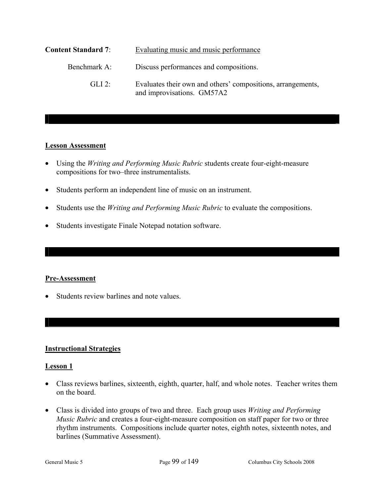| <b>Content Standard 7:</b> | Evaluating music and music performance                                                    |
|----------------------------|-------------------------------------------------------------------------------------------|
| Benchmark A:               | Discuss performances and compositions.                                                    |
| $GLI$ 2:                   | Evaluates their own and others' compositions, arrangements,<br>and improvisations. GM57A2 |

#### **Lesson Assessment**

- Using the *Writing and Performing Music Rubric* students create four-eight-measure compositions for two–three instrumentalists.
- Students perform an independent line of music on an instrument.
- Students use the *Writing and Performing Music Rubric* to evaluate the compositions.
- Students investigate Finale Notepad notation software.

#### **Pre-Assessment**

• Students review barlines and note values.

#### **Instructional Strategies**

#### **Lesson 1**

- Class reviews barlines, sixteenth, eighth, quarter, half, and whole notes. Teacher writes them on the board.
- Class is divided into groups of two and three. Each group uses *Writing and Performing Music Rubric* and creates a four-eight-measure composition on staff paper for two or three rhythm instruments. Compositions include quarter notes, eighth notes, sixteenth notes, and barlines (Summative Assessment).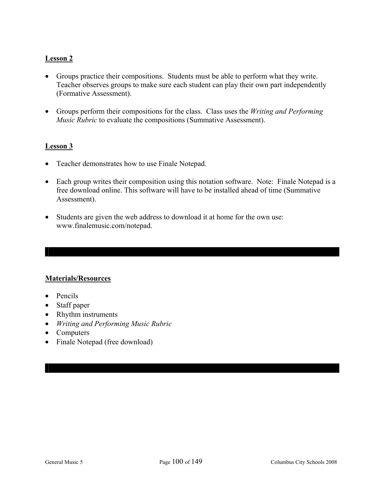## **Lesson 2**

- Groups practice their compositions. Students must be able to perform what they write. Teacher observes groups to make sure each student can play their own part independently (Formative Assessment).
- Groups perform their compositions for the class. Class uses the *Writing and Performing Music Rubric* to evaluate the compositions (Summative Assessment).

#### **Lesson 3**

- Teacher demonstrates how to use Finale Notepad.
- Each group writes their composition using this notation software. Note: Finale Notepad is a free download online. This software will have to be installed ahead of time (Summative Assessment).
- Students are given the web address to download it at home for the own use: www.finalemusic.com/notepad.

#### **Materials/Resources**

- Pencils
- Staff paper
- Rhythm instruments
- *Writing and Performing Music Rubric*
- Computers
- Finale Notepad (free download)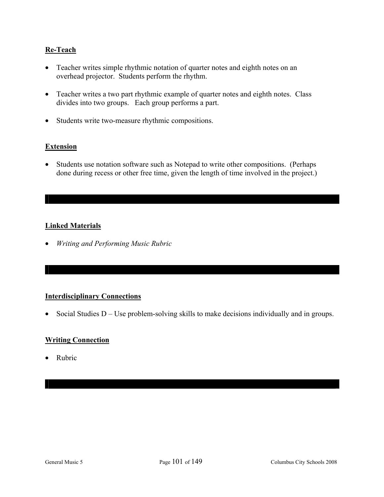## **Re-Teach**

- Teacher writes simple rhythmic notation of quarter notes and eighth notes on an overhead projector. Students perform the rhythm.
- Teacher writes a two part rhythmic example of quarter notes and eighth notes. Class divides into two groups. Each group performs a part.
- Students write two-measure rhythmic compositions.

#### **Extension**

• Students use notation software such as Notepad to write other compositions. (Perhaps done during recess or other free time, given the length of time involved in the project.)

## **Linked Materials**

• *Writing and Performing Music Rubric* 

#### **Interdisciplinary Connections**

• Social Studies D – Use problem-solving skills to make decisions individually and in groups.

#### **Writing Connection**

• Rubric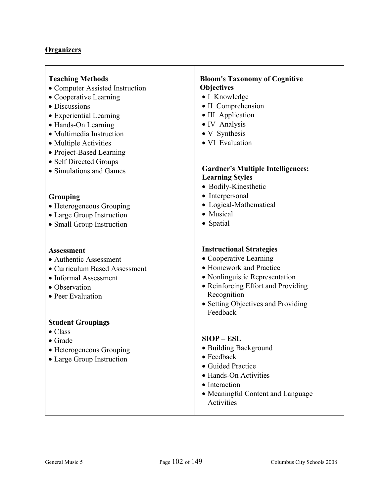#### **Organizers**

#### **Teaching Methods**

- Computer Assisted Instruction
- Cooperative Learning
- Discussions
- Experiential Learning
- Hands-On Learning
- Multimedia Instruction
- Multiple Activities
- Project-Based Learning
- Self Directed Groups
- Simulations and Games

#### **Grouping**

- Heterogeneous Grouping
- Large Group Instruction
- Small Group Instruction

#### **Assessment**

- Authentic Assessment
- Curriculum Based Assessment
- Informal Assessment
- Observation
- Peer Evaluation

#### **Student Groupings**

- Class
- Grade
- Heterogeneous Grouping
- Large Group Instruction

#### **Bloom's Taxonomy of Cognitive Objectives**

- I Knowledge
- II Comprehension
- III Application
- IV Analysis
- V Synthesis
- VI Evaluation

#### **Gardner's Multiple Intelligences: Learning Styles**

- Bodily-Kinesthetic
- Interpersonal
- Logical-Mathematical
- Musical
- Spatial

#### **Instructional Strategies**

- Cooperative Learning
- Homework and Practice
- Nonlinguistic Representation
- Reinforcing Effort and Providing Recognition
- Setting Objectives and Providing Feedback

#### **SIOP – ESL**

- Building Background
- Feedback
- Guided Practice
- Hands-On Activities
- Interaction
- Meaningful Content and Language **Activities**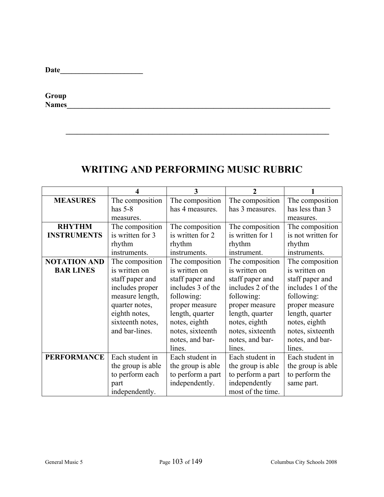**Group Names\_\_\_\_\_\_\_\_\_\_\_\_\_\_\_\_\_\_\_\_\_\_\_\_\_\_\_\_\_\_\_\_\_\_\_\_\_\_\_\_\_\_\_\_\_\_\_\_\_\_\_\_\_\_\_\_\_\_\_\_\_\_\_\_\_\_\_\_\_\_** 

# **WRITING AND PERFORMING MUSIC RUBRIC**

 $\mathcal{L} = \{ \mathcal{L} = \{ \mathcal{L} \mid \mathcal{L} = \{ \mathcal{L} \mid \mathcal{L} = \{ \mathcal{L} \mid \mathcal{L} = \{ \mathcal{L} \mid \mathcal{L} = \{ \mathcal{L} \mid \mathcal{L} = \{ \mathcal{L} \mid \mathcal{L} = \{ \mathcal{L} \mid \mathcal{L} = \{ \mathcal{L} \mid \mathcal{L} = \{ \mathcal{L} \mid \mathcal{L} = \{ \mathcal{L} \mid \mathcal{L} = \{ \mathcal{L} \mid \mathcal{L} = \{ \mathcal{L} \mid \mathcal{L} =$ 

|                     |                   | 3                 | 2                 |                    |
|---------------------|-------------------|-------------------|-------------------|--------------------|
| <b>MEASURES</b>     | The composition   | The composition   | The composition   | The composition    |
|                     | has $5-8$         | has 4 measures.   | has 3 measures.   | has less than 3    |
|                     | measures.         |                   |                   | measures.          |
| <b>RHYTHM</b>       | The composition   | The composition   | The composition   | The composition    |
| <b>INSTRUMENTS</b>  | is written for 3  | is written for 2  | is written for 1  | is not written for |
|                     | rhythm            | rhythm            | rhythm            | rhythm             |
|                     | instruments.      | instruments.      | instrument.       | instruments.       |
| <b>NOTATION AND</b> | The composition   | The composition   | The composition   | The composition    |
| <b>BAR LINES</b>    | is written on     | is written on     | is written on     | is written on      |
|                     | staff paper and   | staff paper and   | staff paper and   | staff paper and    |
|                     | includes proper   | includes 3 of the | includes 2 of the | includes 1 of the  |
|                     | measure length,   | following:        | following:        | following:         |
|                     | quarter notes,    | proper measure    | proper measure    | proper measure     |
|                     | eighth notes,     | length, quarter   | length, quarter   | length, quarter    |
|                     | sixteenth notes,  | notes, eighth     | notes, eighth     | notes, eighth      |
|                     | and bar-lines.    | notes, sixteenth  | notes, sixteenth  | notes, sixteenth   |
|                     |                   | notes, and bar-   | notes, and bar-   | notes, and bar-    |
|                     |                   | lines.            | lines.            | lines.             |
| <b>PERFORMANCE</b>  | Each student in   | Each student in   | Each student in   | Each student in    |
|                     | the group is able | the group is able | the group is able | the group is able  |
|                     | to perform each   | to perform a part | to perform a part | to perform the     |
|                     | part              | independently.    | independently     | same part.         |
|                     | independently.    |                   | most of the time. |                    |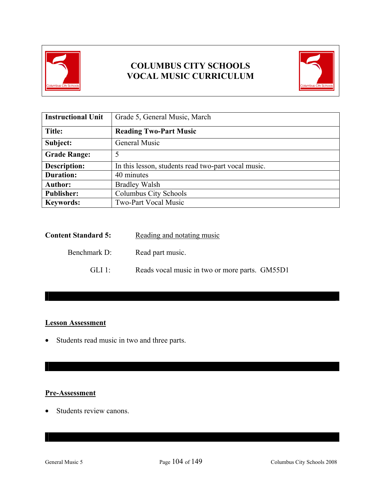



| <b>Instructional Unit</b> | Grade 5, General Music, March                       |  |
|---------------------------|-----------------------------------------------------|--|
| Title:                    | <b>Reading Two-Part Music</b>                       |  |
| Subject:                  | General Music                                       |  |
| <b>Grade Range:</b>       | 5                                                   |  |
| <b>Description:</b>       | In this lesson, students read two-part vocal music. |  |
| <b>Duration:</b>          | 40 minutes                                          |  |
| <b>Author:</b>            | <b>Bradley Walsh</b>                                |  |
| <b>Publisher:</b>         | Columbus City Schools                               |  |
| <b>Keywords:</b>          | <b>Two-Part Vocal Music</b>                         |  |

| <b>Content Standard 5:</b> | Reading and notating music                     |
|----------------------------|------------------------------------------------|
| Benchmark D:               | Read part music.                               |
| GLI 1.                     | Reads vocal music in two or more parts. GM55D1 |

## **Lesson Assessment**

• Students read music in two and three parts.

## **Pre-Assessment**

• Students review canons.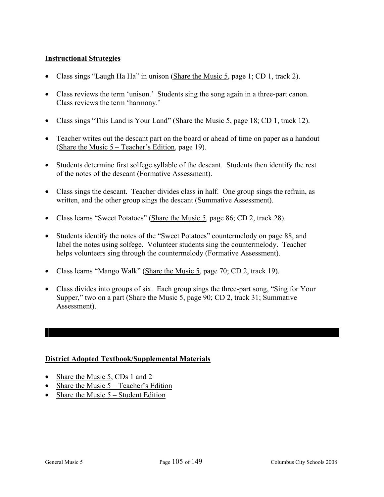## **Instructional Strategies**

- Class sings "Laugh Ha Ha" in unison (Share the Music 5, page 1; CD 1, track 2).
- Class reviews the term 'unison.' Students sing the song again in a three-part canon. Class reviews the term 'harmony.'
- Class sings "This Land is Your Land" (Share the Music 5, page 18; CD 1, track 12).
- Teacher writes out the descant part on the board or ahead of time on paper as a handout (Share the Music 5 – Teacher's Edition, page 19).
- Students determine first solfege syllable of the descant. Students then identify the rest of the notes of the descant (Formative Assessment).
- Class sings the descant. Teacher divides class in half. One group sings the refrain, as written, and the other group sings the descant (Summative Assessment).
- Class learns "Sweet Potatoes" (Share the Music 5, page 86; CD 2, track 28).
- Students identify the notes of the "Sweet Potatoes" countermelody on page 88, and label the notes using solfege. Volunteer students sing the countermelody. Teacher helps volunteers sing through the countermelody (Formative Assessment).
- Class learns "Mango Walk" (Share the Music 5, page 70; CD 2, track 19).
- Class divides into groups of six. Each group sings the three-part song, "Sing for Your Supper," two on a part (Share the Music 5, page 90; CD 2, track 31; Summative Assessment).

## **District Adopted Textbook/Supplemental Materials**

- Share the Music 5, CDs 1 and 2
- Share the Music  $5 Teacher's Edition$
- Share the Music  $5 -$  Student Edition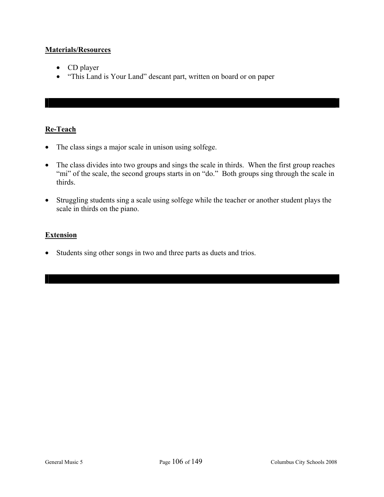### **Materials/Resources**

- CD player
- "This Land is Your Land" descant part, written on board or on paper

# **Re-Teach**

- The class sings a major scale in unison using solfege.
- The class divides into two groups and sings the scale in thirds. When the first group reaches "mi" of the scale, the second groups starts in on "do." Both groups sing through the scale in thirds.
- Struggling students sing a scale using solfege while the teacher or another student plays the scale in thirds on the piano.

# **Extension**

• Students sing other songs in two and three parts as duets and trios.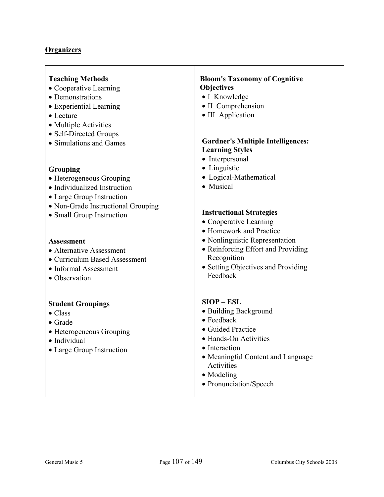| <b>Teaching Methods</b><br>• Cooperative Learning<br>• Demonstrations<br>• Experiential Learning<br>• Lecture<br>• Multiple Activities<br>• Self-Directed Groups<br>• Simulations and Games                                                                                                      | <b>Bloom's Taxonomy of Cognitive</b><br><b>Objectives</b><br>• I Knowledge<br>• II Comprehension<br>• III Application<br><b>Gardner's Multiple Intelligences:</b><br><b>Learning Styles</b>                                                                                                             |
|--------------------------------------------------------------------------------------------------------------------------------------------------------------------------------------------------------------------------------------------------------------------------------------------------|---------------------------------------------------------------------------------------------------------------------------------------------------------------------------------------------------------------------------------------------------------------------------------------------------------|
| Grouping<br>• Heterogeneous Grouping<br>• Individualized Instruction<br>• Large Group Instruction<br>• Non-Grade Instructional Grouping<br>• Small Group Instruction<br><b>Assessment</b><br>• Alternative Assessment<br>• Curriculum Based Assessment<br>• Informal Assessment<br>• Observation | • Interpersonal<br>• Linguistic<br>• Logical-Mathematical<br>• Musical<br><b>Instructional Strategies</b><br>• Cooperative Learning<br>• Homework and Practice<br>• Nonlinguistic Representation<br>• Reinforcing Effort and Providing<br>Recognition<br>• Setting Objectives and Providing<br>Feedback |
| <b>Student Groupings</b><br>$\bullet$ Class<br>$\bullet$ Grade<br>• Heterogeneous Grouping<br>· Individual<br>• Large Group Instruction                                                                                                                                                          | $SIOP - ESL$<br>• Building Background<br>$\bullet$ Feedback<br>• Guided Practice<br>• Hands-On Activities<br>• Interaction<br>• Meaningful Content and Language<br>Activities<br>• Modeling<br>• Pronunciation/Speech                                                                                   |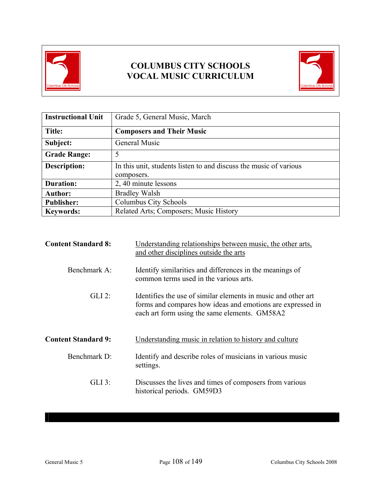

# **COLUMBUS CITY SCHOOLS VOCAL MUSIC CURRICULUM**



| <b>Instructional Unit</b> | Grade 5, General Music, March                                                   |
|---------------------------|---------------------------------------------------------------------------------|
| Title:                    | <b>Composers and Their Music</b>                                                |
| Subject:                  | General Music                                                                   |
| <b>Grade Range:</b>       | 5                                                                               |
| <b>Description:</b>       | In this unit, students listen to and discuss the music of various<br>composers. |
| <b>Duration:</b>          | 2, 40 minute lessons                                                            |
| <b>Author:</b>            | <b>Bradley Walsh</b>                                                            |
| <b>Publisher:</b>         | Columbus City Schools                                                           |
| <b>Keywords:</b>          | Related Arts; Composers; Music History                                          |

| <b>Content Standard 8:</b> | Understanding relationships between music, the other arts,<br>and other disciplines outside the arts                                                                         |
|----------------------------|------------------------------------------------------------------------------------------------------------------------------------------------------------------------------|
| Benchmark A:               | Identify similarities and differences in the meanings of<br>common terms used in the various arts.                                                                           |
| $GLI$ 2:                   | Identifies the use of similar elements in music and other art<br>forms and compares how ideas and emotions are expressed in<br>each art form using the same elements. GM58A2 |
| <b>Content Standard 9:</b> | Understanding music in relation to history and culture                                                                                                                       |
| Benchmark D:               | Identify and describe roles of musicians in various music                                                                                                                    |
|                            | settings.                                                                                                                                                                    |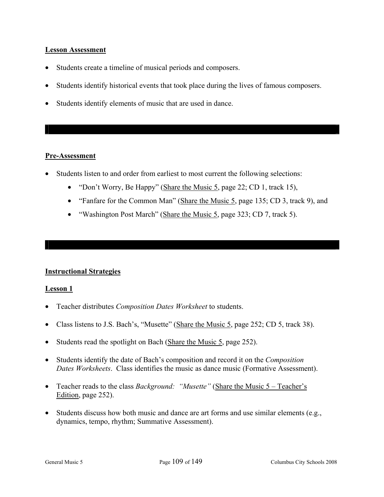### **Lesson Assessment**

- Students create a timeline of musical periods and composers.
- Students identify historical events that took place during the lives of famous composers.
- Students identify elements of music that are used in dance.

### **Pre-Assessment**

- Students listen to and order from earliest to most current the following selections:
	- "Don't Worry, Be Happy" (Share the Music 5, page 22; CD 1, track 15),
	- "Fanfare for the Common Man" (Share the Music 5, page 135; CD 3, track 9), and
	- "Washington Post March" (Share the Music 5, page 323; CD 7, track 5).

### **Instructional Strategies**

### **Lesson 1**

- Teacher distributes *Composition Dates Worksheet* to students.
- Class listens to J.S. Bach's, "Musette" (Share the Music 5, page 252; CD 5, track 38).
- Students read the spotlight on Bach (Share the Music 5, page 252).
- Students identify the date of Bach's composition and record it on the *Composition Dates Worksheets*. Class identifies the music as dance music (Formative Assessment).
- Teacher reads to the class *Background: "Musette"* (Share the Music 5 Teacher's Edition, page 252).
- Students discuss how both music and dance are art forms and use similar elements (e.g., dynamics, tempo, rhythm; Summative Assessment).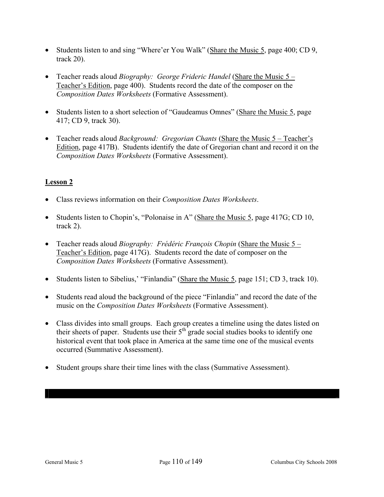- Students listen to and sing "Where'er You Walk" (Share the Music 5, page 400; CD 9, track 20).
- Teacher reads aloud *Biography: George Frideric Handel* (Share the Music 5 Teacher's Edition, page 400). Students record the date of the composer on the *Composition Dates Worksheets* (Formative Assessment).
- Students listen to a short selection of "Gaudeamus Omnes" (Share the Music 5, page 417; CD 9, track 30).
- Teacher reads aloud *Background: Gregorian Chants* (Share the Music 5 Teacher's Edition, page 417B). Students identify the date of Gregorian chant and record it on the *Composition Dates Worksheets* (Formative Assessment).

# **Lesson 2**

- Class reviews information on their *Composition Dates Worksheets*.
- Students listen to Chopin's, "Polonaise in A" (Share the Music 5, page 417G; CD 10, track 2).
- Teacher reads aloud *Biography: Frédéric François Chopin* (Share the Music 5 Teacher's Edition, page 417G). Students record the date of composer on the *Composition Dates Worksheets* (Formative Assessment).
- Students listen to Sibelius,' "Finlandia" (Share the Music 5, page 151; CD 3, track 10).
- Students read aloud the background of the piece "Finlandia" and record the date of the music on the *Composition Dates Worksheets* (Formative Assessment).
- Class divides into small groups. Each group creates a timeline using the dates listed on their sheets of paper. Students use their  $5<sup>th</sup>$  grade social studies books to identify one historical event that took place in America at the same time one of the musical events occurred (Summative Assessment).
- Student groups share their time lines with the class (Summative Assessment).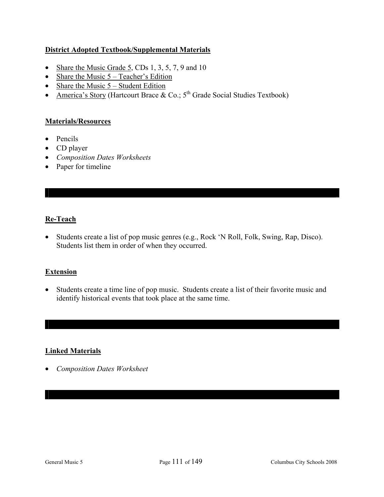# **District Adopted Textbook/Supplemental Materials**

- Share the Music Grade  $5$ , CDs 1, 3, 5, 7, 9 and 10
- Share the Music  $5 Teacher's Edition$
- Share the Music  $5 -$  Student Edition
- America's Story (Hartcourt Brace  $\&$  Co.; 5<sup>th</sup> Grade Social Studies Textbook)

### **Materials/Resources**

- Pencils
- CD player
- *Composition Dates Worksheets*
- Paper for timeline

# **Re-Teach**

• Students create a list of pop music genres (e.g., Rock 'N Roll, Folk, Swing, Rap, Disco). Students list them in order of when they occurred.

## **Extension**

• Students create a time line of pop music. Students create a list of their favorite music and identify historical events that took place at the same time.

## **Linked Materials**

• *Composition Dates Worksheet*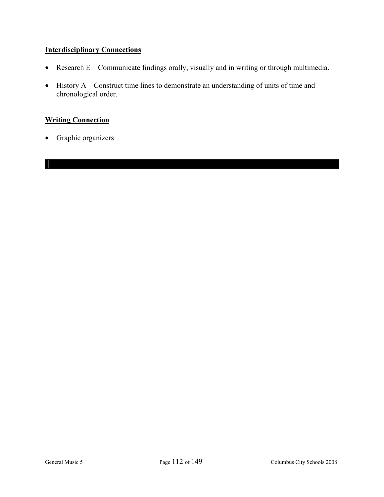# **Interdisciplinary Connections**

- Research E Communicate findings orally, visually and in writing or through multimedia.
- History A Construct time lines to demonstrate an understanding of units of time and chronological order.

# **Writing Connection**

• Graphic organizers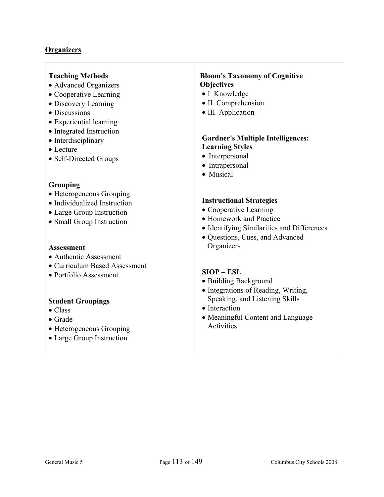| <b>Teaching Methods</b>                                                                                                                                                                                      | <b>Bloom's Taxonomy of Cognitive</b>                                                                                                                                               |
|--------------------------------------------------------------------------------------------------------------------------------------------------------------------------------------------------------------|------------------------------------------------------------------------------------------------------------------------------------------------------------------------------------|
| • Advanced Organizers                                                                                                                                                                                        | Objectives                                                                                                                                                                         |
| • Cooperative Learning                                                                                                                                                                                       | • I Knowledge                                                                                                                                                                      |
| • Discovery Learning                                                                                                                                                                                         | • II Comprehension                                                                                                                                                                 |
| • Discussions                                                                                                                                                                                                | • III Application                                                                                                                                                                  |
| • Experiential learning                                                                                                                                                                                      | <b>Gardner's Multiple Intelligences:</b>                                                                                                                                           |
| • Integrated Instruction                                                                                                                                                                                     | <b>Learning Styles</b>                                                                                                                                                             |
| • Interdisciplinary                                                                                                                                                                                          | • Interpersonal                                                                                                                                                                    |
| $\bullet$ Lecture                                                                                                                                                                                            | • Intrapersonal                                                                                                                                                                    |
| • Self-Directed Groups                                                                                                                                                                                       | • Musical                                                                                                                                                                          |
| Grouping                                                                                                                                                                                                     | <b>Instructional Strategies</b>                                                                                                                                                    |
| • Heterogeneous Grouping                                                                                                                                                                                     | • Cooperative Learning                                                                                                                                                             |
| • Individualized Instruction                                                                                                                                                                                 | • Homework and Practice                                                                                                                                                            |
| • Large Group Instruction                                                                                                                                                                                    | • Identifying Similarities and Differences                                                                                                                                         |
| • Small Group Instruction                                                                                                                                                                                    | · Questions, Cues, and Advanced                                                                                                                                                    |
| <b>Assessment</b>                                                                                                                                                                                            | Organizers                                                                                                                                                                         |
| • Authentic Assessment<br>• Curriculum Based Assessment<br>• Portfolio Assessment<br><b>Student Groupings</b><br>$\bullet$ Class<br>$\bullet$ Grade<br>• Heterogeneous Grouping<br>• Large Group Instruction | $SIOP - ESL$<br>• Building Background<br>· Integrations of Reading, Writing,<br>Speaking, and Listening Skills<br>• Interaction<br>• Meaningful Content and Language<br>Activities |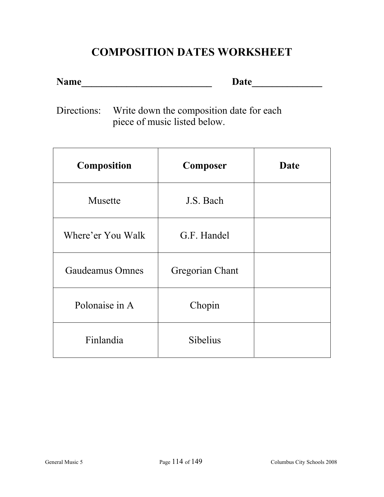# **COMPOSITION DATES WORKSHEET**

**Name\_\_\_\_\_\_\_\_\_\_\_\_\_\_\_\_\_\_\_\_\_\_\_\_\_\_ Date\_\_\_\_\_\_\_\_\_\_\_\_\_\_** 

Directions: Write down the composition date for each piece of music listed below.

| <b>Composition</b>     | <b>Composer</b> | Date |
|------------------------|-----------------|------|
| Musette                | J.S. Bach       |      |
| Where'er You Walk      | G.F. Handel     |      |
| <b>Gaudeamus Omnes</b> | Gregorian Chant |      |
| Polonaise in A         | Chopin          |      |
| Finlandia              | <b>Sibelius</b> |      |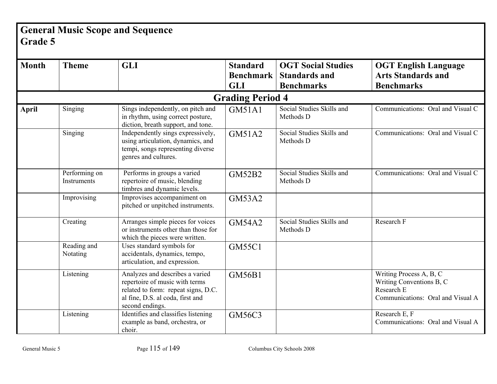# **General Music Scope and Sequence Grade 5**

| <b>Month</b> | <b>Theme</b>                 | <b>GLI</b>                                                                                                                                                      | <b>Standard</b>         | <b>OGT Social Studies</b>              | <b>OGT English Language</b>                                                                            |
|--------------|------------------------------|-----------------------------------------------------------------------------------------------------------------------------------------------------------------|-------------------------|----------------------------------------|--------------------------------------------------------------------------------------------------------|
|              |                              |                                                                                                                                                                 | <b>Benchmark</b>        | <b>Standards and</b>                   | <b>Arts Standards and</b>                                                                              |
|              |                              |                                                                                                                                                                 | <b>GLI</b>              | <b>Benchmarks</b>                      | <b>Benchmarks</b>                                                                                      |
|              |                              |                                                                                                                                                                 | <b>Grading Period 4</b> |                                        |                                                                                                        |
| <b>April</b> | Singing                      | Sings independently, on pitch and<br>in rhythm, using correct posture,<br>diction, breath support, and tone.                                                    | <b>GM51A1</b>           | Social Studies Skills and<br>Methods D | Communications: Oral and Visual C                                                                      |
|              | Singing                      | Independently sings expressively,<br>using articulation, dynamics, and<br>tempi, songs representing diverse<br>genres and cultures.                             | <b>GM51A2</b>           | Social Studies Skills and<br>Methods D | Communications: Oral and Visual C                                                                      |
|              | Performing on<br>Instruments | Performs in groups a varied<br>repertoire of music, blending<br>timbres and dynamic levels.                                                                     | <b>GM52B2</b>           | Social Studies Skills and<br>Methods D | Communications: Oral and Visual C                                                                      |
|              | Improvising                  | Improvises accompaniment on<br>pitched or unpitched instruments.                                                                                                | <b>GM53A2</b>           |                                        |                                                                                                        |
|              | Creating                     | Arranges simple pieces for voices<br>or instruments other than those for<br>which the pieces were written.                                                      | <b>GM54A2</b>           | Social Studies Skills and<br>Methods D | Research F                                                                                             |
|              | Reading and<br>Notating      | Uses standard symbols for<br>accidentals, dynamics, tempo,<br>articulation, and expression.                                                                     | <b>GM55C1</b>           |                                        |                                                                                                        |
|              | Listening                    | Analyzes and describes a varied<br>repertoire of music with terms<br>related to form: repeat signs, D.C.<br>al fine, D.S. al coda, first and<br>second endings. | <b>GM56B1</b>           |                                        | Writing Process A, B, C<br>Writing Conventions B, C<br>Research E<br>Communications: Oral and Visual A |
|              | Listening                    | Identifies and classifies listening<br>example as band, orchestra, or<br>choir.                                                                                 | <b>GM56C3</b>           |                                        | Research E, F<br>Communications: Oral and Visual A                                                     |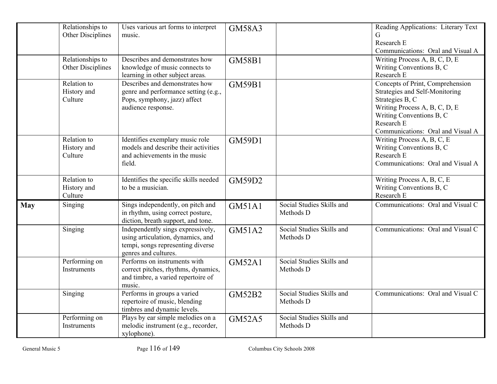|            | Relationships to<br>Other Disciplines | Uses various art forms to interpret<br>music.                                                                                       | <b>GM58A3</b> |                                        | Reading Applications: Literary Text<br>G<br>Research E<br>Communications: Oral and Visual A                                                                                                           |
|------------|---------------------------------------|-------------------------------------------------------------------------------------------------------------------------------------|---------------|----------------------------------------|-------------------------------------------------------------------------------------------------------------------------------------------------------------------------------------------------------|
|            | Relationships to<br>Other Disciplines | Describes and demonstrates how<br>knowledge of music connects to<br>learning in other subject areas.                                | <b>GM58B1</b> |                                        | Writing Process A, B, C, D, E<br>Writing Conventions B, C<br>Research E                                                                                                                               |
|            | Relation to<br>History and<br>Culture | Describes and demonstrates how<br>genre and performance setting (e.g.,<br>Pops, symphony, jazz) affect<br>audience response.        | <b>GM59B1</b> |                                        | Concepts of Print, Comprehension<br>Strategies and Self-Monitoring<br>Strategies B, C<br>Writing Process A, B, C, D, E<br>Writing Conventions B, C<br>Research E<br>Communications: Oral and Visual A |
|            | Relation to<br>History and<br>Culture | Identifies exemplary music role<br>models and describe their activities<br>and achievements in the music<br>field.                  | <b>GM59D1</b> |                                        | Writing Process A, B, C, E<br>Writing Conventions B, C<br>Research E<br>Communications: Oral and Visual A                                                                                             |
|            | Relation to<br>History and<br>Culture | Identifies the specific skills needed<br>to be a musician.                                                                          | <b>GM59D2</b> |                                        | Writing Process A, B, C, E<br>Writing Conventions B, C<br>Research E                                                                                                                                  |
| <b>May</b> | Singing                               | Sings independently, on pitch and<br>in rhythm, using correct posture,<br>diction, breath support, and tone.                        | <b>GM51A1</b> | Social Studies Skills and<br>Methods D | Communications: Oral and Visual C                                                                                                                                                                     |
|            | Singing                               | Independently sings expressively,<br>using articulation, dynamics, and<br>tempi, songs representing diverse<br>genres and cultures. | GM51A2        | Social Studies Skills and<br>Methods D | Communications: Oral and Visual C                                                                                                                                                                     |
|            | Performing on<br>Instruments          | Performs on instruments with<br>correct pitches, rhythms, dynamics,<br>and timbre, a varied repertoire of<br>music.                 | <b>GM52A1</b> | Social Studies Skills and<br>Methods D |                                                                                                                                                                                                       |
|            | Singing                               | Performs in groups a varied<br>repertoire of music, blending<br>timbres and dynamic levels.                                         | <b>GM52B2</b> | Social Studies Skills and<br>Methods D | Communications: Oral and Visual C                                                                                                                                                                     |
|            | Performing on<br>Instruments          | Plays by ear simple melodies on a<br>melodic instrument (e.g., recorder,<br>xylophone).                                             | <b>GM52A5</b> | Social Studies Skills and<br>Methods D |                                                                                                                                                                                                       |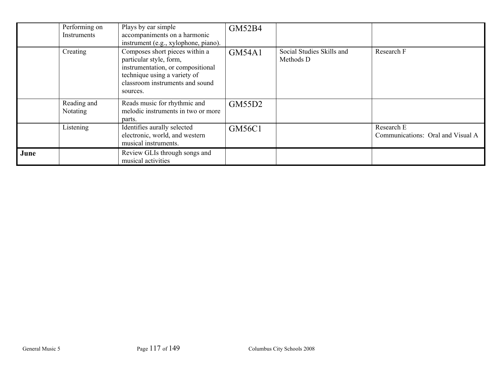|      | Performing on<br>Instruments | Plays by ear simple<br>accompaniments on a harmonic<br>instrument (e.g., xylophone, piano).                                                                                   | <b>GM52B4</b> |                                        |                                                 |
|------|------------------------------|-------------------------------------------------------------------------------------------------------------------------------------------------------------------------------|---------------|----------------------------------------|-------------------------------------------------|
|      | Creating                     | Composes short pieces within a<br>particular style, form,<br>instrumentation, or compositional<br>technique using a variety of<br>classroom instruments and sound<br>sources. | <b>GM54A1</b> | Social Studies Skills and<br>Methods D | Research F                                      |
|      | Reading and<br>Notating      | Reads music for rhythmic and<br>melodic instruments in two or more<br>parts.                                                                                                  | GM55D2        |                                        |                                                 |
|      | Listening                    | Identifies aurally selected<br>electronic, world, and western<br>musical instruments.                                                                                         | GM56C1        |                                        | Research E<br>Communications: Oral and Visual A |
| June |                              | Review GLIs through songs and<br>musical activities                                                                                                                           |               |                                        |                                                 |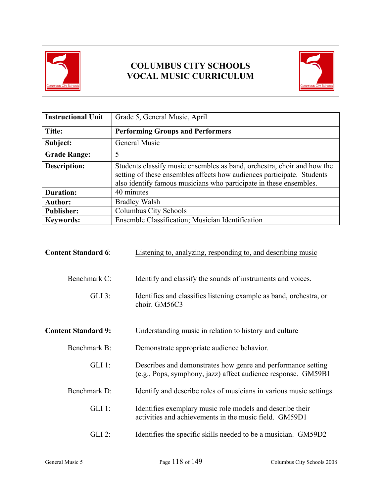

# **COLUMBUS CITY SCHOOLS VOCAL MUSIC CURRICULUM**



| <b>Instructional Unit</b> | Grade 5, General Music, April                                                                                                                                                                                           |  |
|---------------------------|-------------------------------------------------------------------------------------------------------------------------------------------------------------------------------------------------------------------------|--|
| Title:                    | <b>Performing Groups and Performers</b>                                                                                                                                                                                 |  |
| Subject:                  | General Music                                                                                                                                                                                                           |  |
| <b>Grade Range:</b>       | 5                                                                                                                                                                                                                       |  |
| <b>Description:</b>       | Students classify music ensembles as band, orchestra, choir and how the<br>setting of these ensembles affects how audiences participate. Students<br>also identify famous musicians who participate in these ensembles. |  |
| <b>Duration:</b>          | 40 minutes                                                                                                                                                                                                              |  |
| <b>Author:</b>            | <b>Bradley Walsh</b>                                                                                                                                                                                                    |  |
| <b>Publisher:</b>         | Columbus City Schools                                                                                                                                                                                                   |  |
| <b>Keywords:</b>          | Ensemble Classification; Musician Identification                                                                                                                                                                        |  |

| <b>Content Standard 6:</b> | Listening to, analyzing, responding to, and describing music                                                                  |
|----------------------------|-------------------------------------------------------------------------------------------------------------------------------|
| Benchmark C:               | Identify and classify the sounds of instruments and voices.                                                                   |
| $GLI$ 3:                   | Identifies and classifies listening example as band, orchestra, or<br>choir. GM56C3                                           |
| <b>Content Standard 9:</b> | Understanding music in relation to history and culture                                                                        |
| Benchmark B:               | Demonstrate appropriate audience behavior.                                                                                    |
| $GLI$ 1:                   | Describes and demonstrates how genre and performance setting<br>(e.g., Pops, symphony, jazz) affect audience response. GM59B1 |
| Benchmark D:               | Identify and describe roles of musicians in various music settings.                                                           |
| $GLI$ 1:                   | Identifies exemplary music role models and describe their<br>activities and achievements in the music field. GM59D1           |
| $GLI$ 2:                   | Identifies the specific skills needed to be a musician. GM59D2                                                                |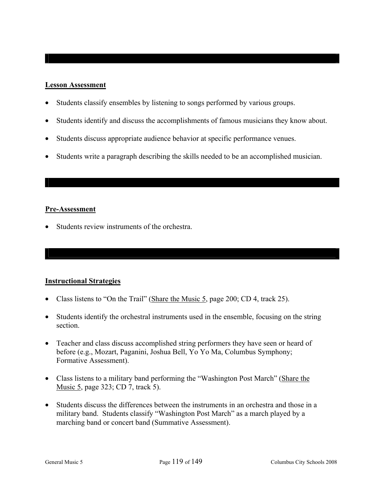### **Lesson Assessment**

- Students classify ensembles by listening to songs performed by various groups.
- Students identify and discuss the accomplishments of famous musicians they know about.
- Students discuss appropriate audience behavior at specific performance venues.
- Students write a paragraph describing the skills needed to be an accomplished musician.

### **Pre-Assessment**

• Students review instruments of the orchestra.

## **Instructional Strategies**

- Class listens to "On the Trail" (Share the Music 5, page 200; CD 4, track 25).
- Students identify the orchestral instruments used in the ensemble, focusing on the string section.
- Teacher and class discuss accomplished string performers they have seen or heard of before (e.g., Mozart, Paganini, Joshua Bell, Yo Yo Ma, Columbus Symphony; Formative Assessment).
- Class listens to a military band performing the "Washington Post March" (Share the Music 5, page 323; CD 7, track 5).
- Students discuss the differences between the instruments in an orchestra and those in a military band. Students classify "Washington Post March" as a march played by a marching band or concert band (Summative Assessment).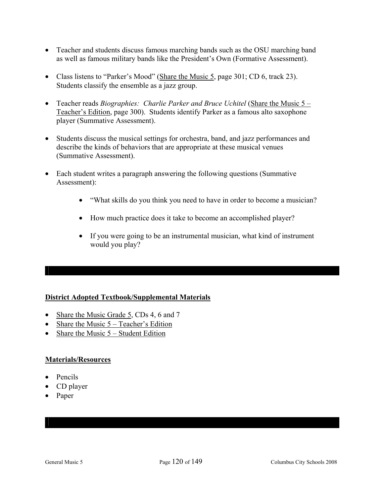- Teacher and students discuss famous marching bands such as the OSU marching band as well as famous military bands like the President's Own (Formative Assessment).
- Class listens to "Parker's Mood" (Share the Music 5, page 301; CD 6, track 23). Students classify the ensemble as a jazz group.
- Teacher reads *Biographies: Charlie Parker and Bruce Uchitel* (Share the Music 5 Teacher's Edition, page 300). Students identify Parker as a famous alto saxophone player (Summative Assessment).
- Students discuss the musical settings for orchestra, band, and jazz performances and describe the kinds of behaviors that are appropriate at these musical venues (Summative Assessment).
- Each student writes a paragraph answering the following questions (Summative Assessment):
	- "What skills do you think you need to have in order to become a musician?
	- How much practice does it take to become an accomplished player?
	- If you were going to be an instrumental musician, what kind of instrument would you play?

## **District Adopted Textbook/Supplemental Materials**

- Share the Music Grade 5, CDs 4, 6 and 7
- Share the Music  $5 Teacher's Edition$
- Share the Music  $5 -$  Student Edition

### **Materials/Resources**

- Pencils
- CD player
- Paper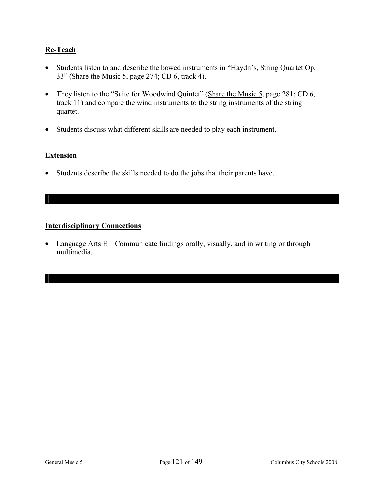# **Re-Teach**

- Students listen to and describe the bowed instruments in "Haydn's, String Quartet Op. 33" (Share the Music 5, page 274; CD 6, track 4).
- They listen to the "Suite for Woodwind Quintet" (Share the Music 5, page 281; CD 6, track 11) and compare the wind instruments to the string instruments of the string quartet.
- Students discuss what different skills are needed to play each instrument.

### **Extension**

• Students describe the skills needed to do the jobs that their parents have.

## **Interdisciplinary Connections**

• Language Arts  $E -$ Communicate findings orally, visually, and in writing or through multimedia.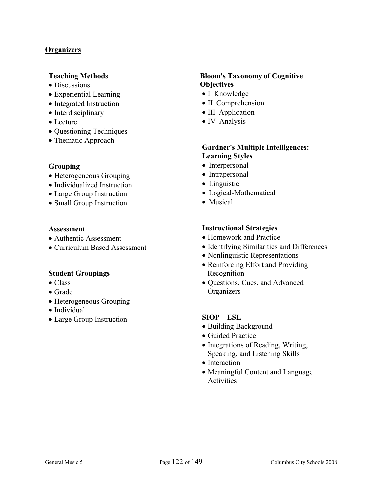| <b>Teaching Methods</b><br>• Discussions<br>• Experiential Learning<br>• Integrated Instruction<br>• Interdisciplinary<br>• Lecture<br>• Questioning Techniques<br>• Thematic Approach | <b>Bloom's Taxonomy of Cognitive</b><br><b>Objectives</b><br>· I Knowledge<br>• II Comprehension<br>• III Application<br>· IV Analysis                                                                                                            |
|----------------------------------------------------------------------------------------------------------------------------------------------------------------------------------------|---------------------------------------------------------------------------------------------------------------------------------------------------------------------------------------------------------------------------------------------------|
| <b>Grouping</b><br>• Heterogeneous Grouping<br>• Individualized Instruction<br>• Large Group Instruction<br>• Small Group Instruction                                                  | <b>Gardner's Multiple Intelligences:</b><br><b>Learning Styles</b><br>• Interpersonal<br>• Intrapersonal<br>• Linguistic<br>• Logical-Mathematical<br>• Musical                                                                                   |
| <b>Assessment</b><br>• Authentic Assessment<br>• Curriculum Based Assessment<br><b>Student Groupings</b><br>$\bullet$ Class<br>$\bullet$ Grade<br>• Heterogeneous Grouping             | <b>Instructional Strategies</b><br>• Homework and Practice<br>• Identifying Similarities and Differences<br>• Nonlinguistic Representations<br>• Reinforcing Effort and Providing<br>Recognition<br>• Questions, Cues, and Advanced<br>Organizers |
| • Individual<br>• Large Group Instruction                                                                                                                                              | $SIOP - ESL$<br>• Building Background<br>• Guided Practice<br>• Integrations of Reading, Writing,<br>Speaking, and Listening Skills<br>• Interaction<br>• Meaningful Content and Language<br>Activities                                           |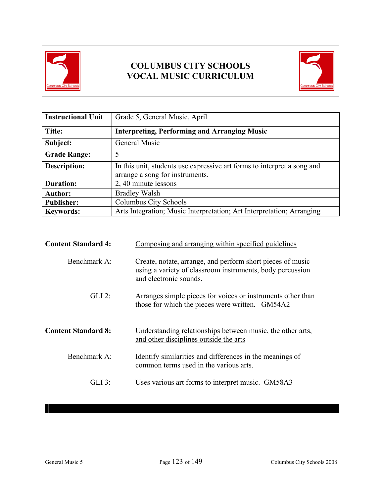

# **COLUMBUS CITY SCHOOLS VOCAL MUSIC CURRICULUM**



| <b>Instructional Unit</b> | Grade 5, General Music, April                                                                              |  |
|---------------------------|------------------------------------------------------------------------------------------------------------|--|
| Title:                    | <b>Interpreting, Performing and Arranging Music</b>                                                        |  |
| Subject:                  | General Music                                                                                              |  |
| <b>Grade Range:</b>       | 5                                                                                                          |  |
| <b>Description:</b>       | In this unit, students use expressive art forms to interpret a song and<br>arrange a song for instruments. |  |
| <b>Duration:</b>          | 2, 40 minute lessons                                                                                       |  |
| <b>Author:</b>            | <b>Bradley Walsh</b>                                                                                       |  |
| <b>Publisher:</b>         | Columbus City Schools                                                                                      |  |
| <b>Keywords:</b>          | Arts Integration; Music Interpretation; Art Interpretation; Arranging                                      |  |

| <b>Content Standard 4:</b> | Composing and arranging within specified guidelines                                                                                               |  |
|----------------------------|---------------------------------------------------------------------------------------------------------------------------------------------------|--|
| Benchmark A:               | Create, notate, arrange, and perform short pieces of music<br>using a variety of classroom instruments, body percussion<br>and electronic sounds. |  |
| $GLI$ 2:                   | Arranges simple pieces for voices or instruments other than<br>those for which the pieces were written. GM54A2                                    |  |
| <b>Content Standard 8:</b> | Understanding relationships between music, the other arts,<br>and other disciplines outside the arts                                              |  |
| Benchmark A:               | Identify similarities and differences in the meanings of<br>common terms used in the various arts.                                                |  |
| $GLI$ 3:                   | Uses various art forms to interpret music. GM58A3                                                                                                 |  |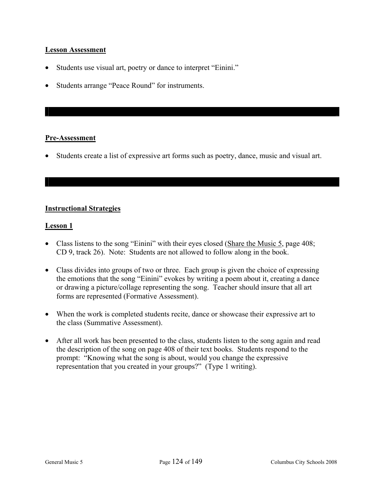### **Lesson Assessment**

- Students use visual art, poetry or dance to interpret "Einini."
- Students arrange "Peace Round" for instruments.

### **Pre-Assessment**

• Students create a list of expressive art forms such as poetry, dance, music and visual art.

## **Instructional Strategies**

### **Lesson 1**

- Class listens to the song "Einini" with their eyes closed (Share the Music 5, page 408; CD 9, track 26). Note: Students are not allowed to follow along in the book.
- Class divides into groups of two or three. Each group is given the choice of expressing the emotions that the song "Einini" evokes by writing a poem about it, creating a dance or drawing a picture/collage representing the song. Teacher should insure that all art forms are represented (Formative Assessment).
- When the work is completed students recite, dance or showcase their expressive art to the class (Summative Assessment).
- After all work has been presented to the class, students listen to the song again and read the description of the song on page 408 of their text books. Students respond to the prompt: "Knowing what the song is about, would you change the expressive representation that you created in your groups?" (Type 1 writing).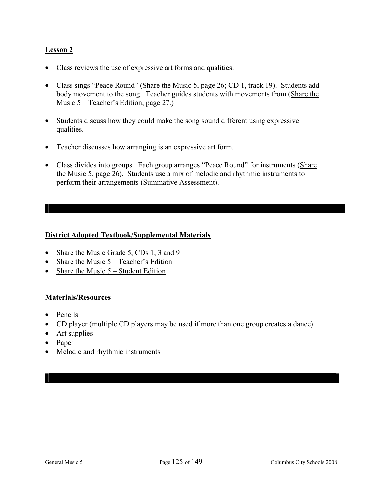# **Lesson 2**

- Class reviews the use of expressive art forms and qualities.
- Class sings "Peace Round" (Share the Music 5, page 26; CD 1, track 19). Students add body movement to the song. Teacher guides students with movements from (Share the Music 5 – Teacher's Edition, page 27.)
- Students discuss how they could make the song sound different using expressive qualities.
- Teacher discusses how arranging is an expressive art form.
- Class divides into groups. Each group arranges "Peace Round" for instruments (Share the Music 5, page 26). Students use a mix of melodic and rhythmic instruments to perform their arrangements (Summative Assessment).

## **District Adopted Textbook/Supplemental Materials**

- Share the Music Grade 5, CDs 1, 3 and 9
- Share the Music  $5 Teacher's Edition$
- Share the Music  $5 -$  Student Edition

### **Materials/Resources**

- Pencils
- CD player (multiple CD players may be used if more than one group creates a dance)
- Art supplies
- Paper
- Melodic and rhythmic instruments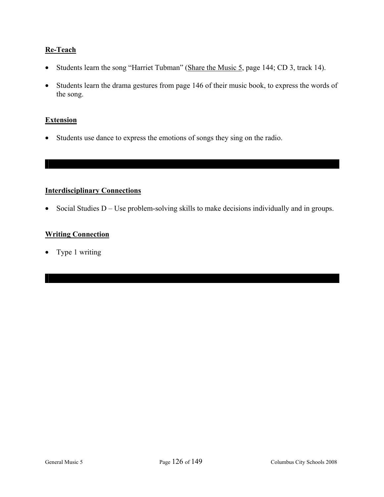# **Re-Teach**

- Students learn the song "Harriet Tubman" (Share the Music 5, page 144; CD 3, track 14).
- Students learn the drama gestures from page 146 of their music book, to express the words of the song.

### **Extension**

• Students use dance to express the emotions of songs they sing on the radio.

# **Interdisciplinary Connections**

• Social Studies D – Use problem-solving skills to make decisions individually and in groups.

# **Writing Connection**

• Type 1 writing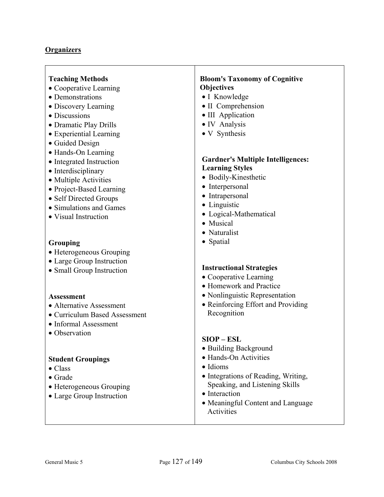| <b>Teaching Methods</b><br>• Cooperative Learning<br>• Demonstrations<br>• Discovery Learning<br>• Discussions<br>• Dramatic Play Drills<br>• Experiential Learning<br>• Guided Design                   | <b>Bloom's Taxonomy of Cognitive</b><br><b>Objectives</b><br>• I Knowledge<br>• II Comprehension<br>• III Application<br>• IV Analysis<br>• V Synthesis                                                 |
|----------------------------------------------------------------------------------------------------------------------------------------------------------------------------------------------------------|---------------------------------------------------------------------------------------------------------------------------------------------------------------------------------------------------------|
| • Hands-On Learning<br>• Integrated Instruction<br>• Interdisciplinary<br>• Multiple Activities<br>• Project-Based Learning<br>• Self Directed Groups<br>• Simulations and Games<br>• Visual Instruction | <b>Gardner's Multiple Intelligences:</b><br><b>Learning Styles</b><br>• Bodily-Kinesthetic<br>• Interpersonal<br>• Intrapersonal<br>• Linguistic<br>• Logical-Mathematical<br>• Musical<br>• Naturalist |
| Grouping<br>• Heterogeneous Grouping<br>• Large Group Instruction<br>• Small Group Instruction                                                                                                           | • Spatial<br><b>Instructional Strategies</b><br>• Cooperative Learning<br>• Homework and Practice                                                                                                       |
| <b>Assessment</b><br>• Alternative Assessment<br>• Curriculum Based Assessment<br>• Informal Assessment<br>• Observation                                                                                 | • Nonlinguistic Representation<br>• Reinforcing Effort and Providing<br>Recognition<br>$SIOP - ESL$                                                                                                     |
| <b>Student Groupings</b><br>$\bullet$ Class<br>$\bullet$ Grade<br>• Heterogeneous Grouping<br>• Large Group Instruction                                                                                  | • Building Background<br>• Hands-On Activities<br>· Idioms<br>• Integrations of Reading, Writing,<br>Speaking, and Listening Skills<br>• Interaction<br>• Meaningful Content and Language<br>Activities |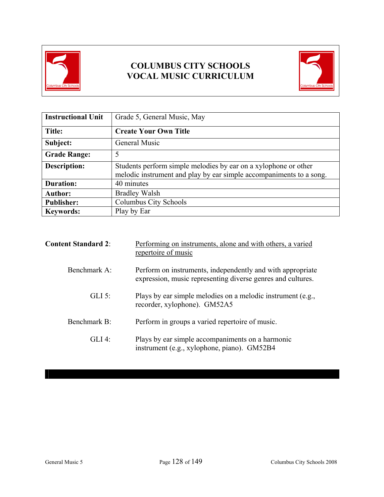

# **COLUMBUS CITY SCHOOLS VOCAL MUSIC CURRICULUM**



| <b>Instructional Unit</b> | Grade 5, General Music, May                                                                                                            |  |
|---------------------------|----------------------------------------------------------------------------------------------------------------------------------------|--|
| Title:                    | <b>Create Your Own Title</b>                                                                                                           |  |
| Subject:                  | General Music                                                                                                                          |  |
| <b>Grade Range:</b>       | 5                                                                                                                                      |  |
| <b>Description:</b>       | Students perform simple melodies by ear on a xylophone or other<br>melodic instrument and play by ear simple accompaniments to a song. |  |
| <b>Duration:</b>          | 40 minutes                                                                                                                             |  |
| <b>Author:</b>            | <b>Bradley Walsh</b>                                                                                                                   |  |
| <b>Publisher:</b>         | Columbus City Schools                                                                                                                  |  |
| <b>Keywords:</b>          | Play by Ear                                                                                                                            |  |

| <b>Content Standard 2:</b> | Performing on instruments, alone and with others, a varied<br>repertoire of music                                         |
|----------------------------|---------------------------------------------------------------------------------------------------------------------------|
| Benchmark $A^T$            | Perform on instruments, independently and with appropriate<br>expression, music representing diverse genres and cultures. |
| $GLI$ 5:                   | Plays by ear simple melodies on a melodic instrument (e.g.,<br>recorder, xylophone). GM52A5                               |
| Benchmark B:               | Perform in groups a varied repertoire of music.                                                                           |
| $GLI$ 4:                   | Plays by ear simple accompaniments on a harmonic<br>instrument (e.g., xylophone, piano). GM52B4                           |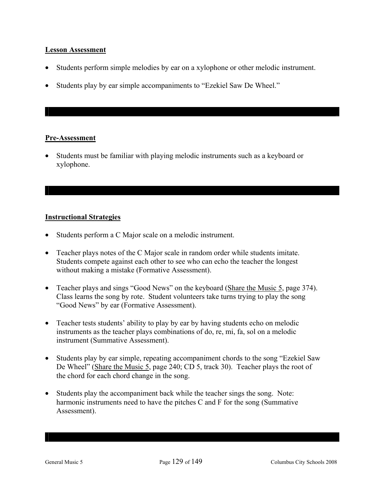### **Lesson Assessment**

- Students perform simple melodies by ear on a xylophone or other melodic instrument.
- Students play by ear simple accompaniments to "Ezekiel Saw De Wheel."

### **Pre-Assessment**

• Students must be familiar with playing melodic instruments such as a keyboard or xylophone.

## **Instructional Strategies**

- Students perform a C Major scale on a melodic instrument.
- Teacher plays notes of the C Major scale in random order while students imitate. Students compete against each other to see who can echo the teacher the longest without making a mistake (Formative Assessment).
- Teacher plays and sings "Good News" on the keyboard (Share the Music 5, page 374). Class learns the song by rote. Student volunteers take turns trying to play the song "Good News" by ear (Formative Assessment).
- Teacher tests students' ability to play by ear by having students echo on melodic instruments as the teacher plays combinations of do, re, mi, fa, sol on a melodic instrument (Summative Assessment).
- Students play by ear simple, repeating accompaniment chords to the song "Ezekiel Saw De Wheel" (Share the Music 5, page 240; CD 5, track 30). Teacher plays the root of the chord for each chord change in the song.
- Students play the accompaniment back while the teacher sings the song. Note: harmonic instruments need to have the pitches C and F for the song (Summative Assessment).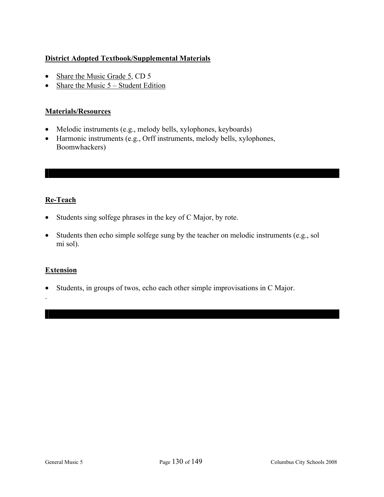# **District Adopted Textbook/Supplemental Materials**

- Share the Music Grade 5, CD 5
- Share the Music  $5 -$  Student Edition

### **Materials/Resources**

- Melodic instruments (e.g., melody bells, xylophones, keyboards)
- Harmonic instruments (e.g., Orff instruments, melody bells, xylophones, Boomwhackers)

# **Re-Teach**

- Students sing solfege phrases in the key of C Major, by rote.
- Students then echo simple solfege sung by the teacher on melodic instruments (e.g., sol mi sol).

### **Extension**

.

• Students, in groups of twos, echo each other simple improvisations in C Major.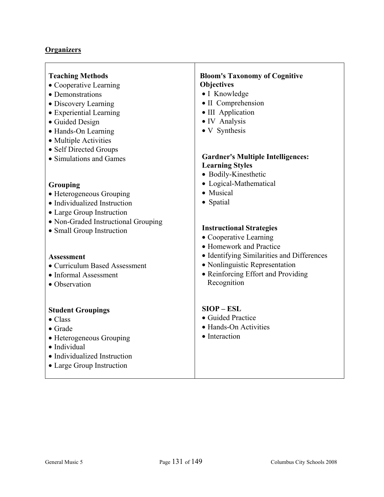| <b>Teaching Methods</b><br>• Cooperative Learning<br>• Demonstrations<br>• Discovery Learning<br>• Experiential Learning<br>• Guided Design<br>• Hands-On Learning<br>• Multiple Activities<br>• Self Directed Groups<br>• Simulations and Games<br>Grouping<br>• Heterogeneous Grouping<br>• Individualized Instruction<br>• Large Group Instruction<br>• Non-Graded Instructional Grouping<br>• Small Group Instruction | <b>Bloom's Taxonomy of Cognitive</b><br><b>Objectives</b><br>• I Knowledge<br>• II Comprehension<br>• III Application<br>• IV Analysis<br>• V Synthesis<br><b>Gardner's Multiple Intelligences:</b><br><b>Learning Styles</b><br>• Bodily-Kinesthetic<br>• Logical-Mathematical<br>• Musical<br>• Spatial<br><b>Instructional Strategies</b><br>• Cooperative Learning |
|---------------------------------------------------------------------------------------------------------------------------------------------------------------------------------------------------------------------------------------------------------------------------------------------------------------------------------------------------------------------------------------------------------------------------|------------------------------------------------------------------------------------------------------------------------------------------------------------------------------------------------------------------------------------------------------------------------------------------------------------------------------------------------------------------------|
| <b>Assessment</b><br>• Curriculum Based Assessment<br>• Informal Assessment<br>• Observation                                                                                                                                                                                                                                                                                                                              | • Homework and Practice<br>• Identifying Similarities and Differences<br>• Nonlinguistic Representation<br>• Reinforcing Effort and Providing<br>Recognition                                                                                                                                                                                                           |
| <b>Student Groupings</b><br>$\bullet$ Class<br>$\bullet$ Grade<br>• Heterogeneous Grouping<br>· Individual<br>• Individualized Instruction<br>• Large Group Instruction                                                                                                                                                                                                                                                   | $SIOP - ESL$<br>• Guided Practice<br>• Hands-On Activities<br>• Interaction                                                                                                                                                                                                                                                                                            |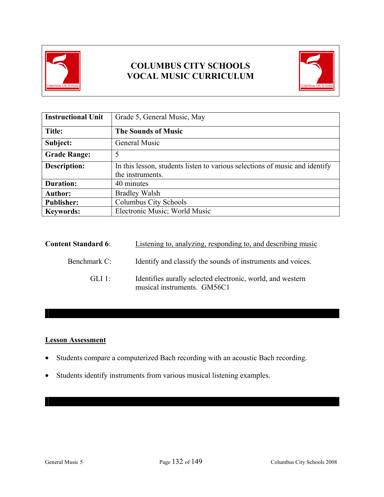

# **COLUMBUS CITY SCHOOLS VOCAL MUSIC CURRICULUM**



| <b>Instructional Unit</b> | Grade 5, General Music, May                                                                     |  |
|---------------------------|-------------------------------------------------------------------------------------------------|--|
| Title:                    | <b>The Sounds of Music</b>                                                                      |  |
| Subject:                  | General Music                                                                                   |  |
| <b>Grade Range:</b>       | 5                                                                                               |  |
| <b>Description:</b>       | In this lesson, students listen to various selections of music and identify<br>the instruments. |  |
| <b>Duration:</b>          | 40 minutes                                                                                      |  |
| <b>Author:</b>            | <b>Bradley Walsh</b>                                                                            |  |
| <b>Publisher:</b>         | Columbus City Schools                                                                           |  |
| <b>Keywords:</b>          | Electronic Music; World Music                                                                   |  |

| <b>Content Standard 6:</b> | Listening to, analyzing, responding to, and describing music                              |
|----------------------------|-------------------------------------------------------------------------------------------|
| Benchmark C:               | Identify and classify the sounds of instruments and voices.                               |
| GLI 1:                     | Identifies aurally selected electronic, world, and western<br>musical instruments. GM56C1 |

# **Lesson Assessment**

- Students compare a computerized Bach recording with an acoustic Bach recording.
- Students identify instruments from various musical listening examples.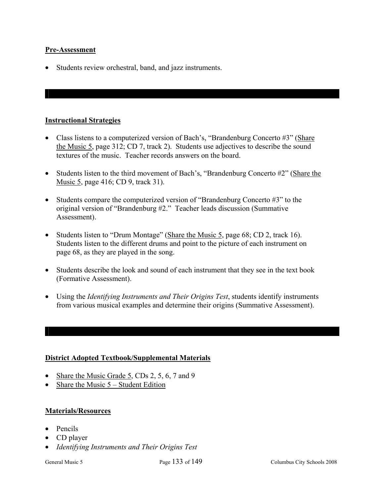### **Pre-Assessment**

• Students review orchestral, band, and jazz instruments.

### **Instructional Strategies**

- Class listens to a computerized version of Bach's, "Brandenburg Concerto #3" (Share the Music 5, page 312; CD 7, track 2). Students use adjectives to describe the sound textures of the music. Teacher records answers on the board.
- Students listen to the third movement of Bach's, "Brandenburg Concerto #2" (Share the Music 5, page 416; CD 9, track 31).
- Students compare the computerized version of "Brandenburg Concerto #3" to the original version of "Brandenburg #2." Teacher leads discussion (Summative Assessment).
- Students listen to "Drum Montage" (Share the Music 5, page 68; CD 2, track 16). Students listen to the different drums and point to the picture of each instrument on page 68, as they are played in the song.
- Students describe the look and sound of each instrument that they see in the text book (Formative Assessment).
- Using the *Identifying Instruments and Their Origins Test*, students identify instruments from various musical examples and determine their origins (Summative Assessment).

### **District Adopted Textbook/Supplemental Materials**

- Share the Music Grade 5, CDs 2, 5, 6, 7 and 9
- Share the Music  $5 -$  Student Edition

### **Materials/Resources**

- Pencils
- CD player
- *Identifying Instruments and Their Origins Test*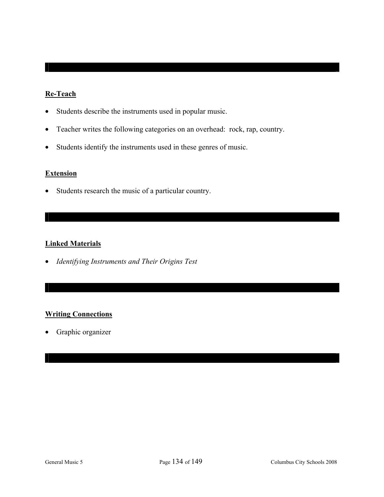# **Re-Teach**

- Students describe the instruments used in popular music.
- Teacher writes the following categories on an overhead: rock, rap, country.
- Students identify the instruments used in these genres of music.

## **Extension**

• Students research the music of a particular country.

### **Linked Materials**

• *Identifying Instruments and Their Origins Test* 

## **Writing Connections**

• Graphic organizer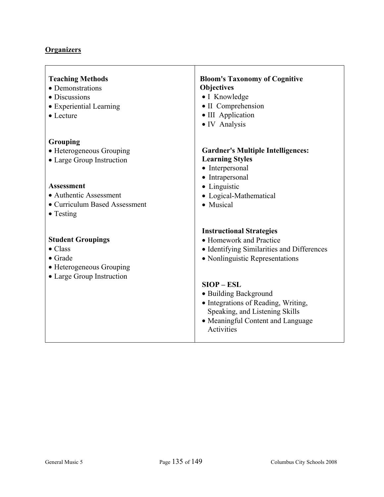| <b>Teaching Methods</b><br>• Demonstrations<br>• Discussions<br>• Experiential Learning<br>$\bullet$ Lecture            | <b>Bloom's Taxonomy of Cognitive</b><br><b>Objectives</b><br>• I Knowledge<br>• II Comprehension<br>• III Application<br>• IV Analysis                            |
|-------------------------------------------------------------------------------------------------------------------------|-------------------------------------------------------------------------------------------------------------------------------------------------------------------|
| Grouping<br>• Heterogeneous Grouping<br>• Large Group Instruction                                                       | <b>Gardner's Multiple Intelligences:</b><br><b>Learning Styles</b><br>• Interpersonal<br>• Intrapersonal                                                          |
| <b>Assessment</b><br>• Authentic Assessment<br>• Curriculum Based Assessment<br>$\bullet$ Testing                       | • Linguistic<br>• Logical-Mathematical<br>• Musical                                                                                                               |
| <b>Student Groupings</b><br>$\bullet$ Class<br>$\bullet$ Grade<br>• Heterogeneous Grouping<br>• Large Group Instruction | <b>Instructional Strategies</b><br>• Homework and Practice<br>• Identifying Similarities and Differences<br>• Nonlinguistic Representations                       |
|                                                                                                                         | $SIOP - ESL$<br>• Building Background<br>• Integrations of Reading, Writing,<br>Speaking, and Listening Skills<br>• Meaningful Content and Language<br>Activities |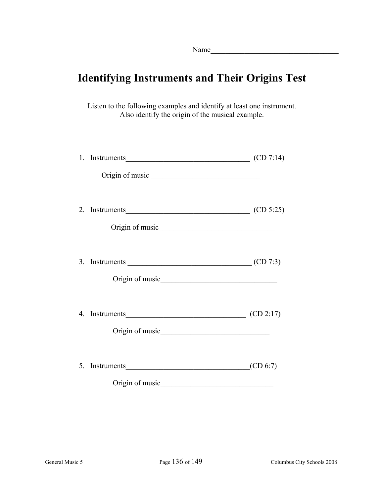# **Identifying Instruments and Their Origins Test**

Listen to the following examples and identify at least one instrument. Also identify the origin of the musical example.

| 1. Instruments $(CD 7:14)$                                                                             |          |
|--------------------------------------------------------------------------------------------------------|----------|
|                                                                                                        |          |
| 2. Instruments $(CD 5:25)$                                                                             |          |
|                                                                                                        |          |
| 3. Instruments $\qquad \qquad \qquad \qquad \qquad \qquad \qquad \qquad \qquad \qquad \text{(CD 7:3)}$ |          |
|                                                                                                        |          |
| 4. Instruments $\qquad \qquad \qquad \qquad \qquad \qquad \qquad \qquad \text{(CD 2:17)}$              |          |
|                                                                                                        |          |
| 5. Instruments                                                                                         | (CD 6:7) |
| Origin of music                                                                                        |          |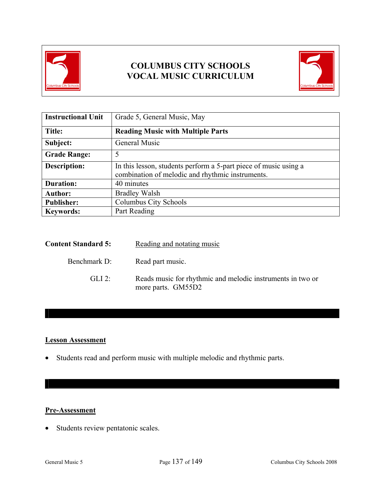

# **COLUMBUS CITY SCHOOLS VOCAL MUSIC CURRICULUM**



| <b>Instructional Unit</b> | Grade 5, General Music, May                                                                                          |  |
|---------------------------|----------------------------------------------------------------------------------------------------------------------|--|
| Title:                    | <b>Reading Music with Multiple Parts</b>                                                                             |  |
| Subject:                  | General Music                                                                                                        |  |
| <b>Grade Range:</b>       | 5                                                                                                                    |  |
| <b>Description:</b>       | In this lesson, students perform a 5-part piece of music using a<br>combination of melodic and rhythmic instruments. |  |
| <b>Duration:</b>          | 40 minutes                                                                                                           |  |
| <b>Author:</b>            | <b>Bradley Walsh</b>                                                                                                 |  |
| <b>Publisher:</b>         | Columbus City Schools                                                                                                |  |
| <b>Keywords:</b>          | Part Reading                                                                                                         |  |

| <b>Content Standard 5:</b> | Reading and notating music                                                       |
|----------------------------|----------------------------------------------------------------------------------|
| Benchmark D:               | Read part music.                                                                 |
| $GL12$ :                   | Reads music for rhythmic and melodic instruments in two or<br>more parts. GM55D2 |

# **Lesson Assessment**

• Students read and perform music with multiple melodic and rhythmic parts.

## **Pre-Assessment**

• Students review pentatonic scales.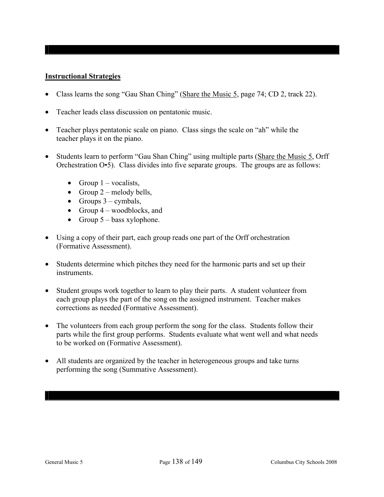### **Instructional Strategies**

- Class learns the song "Gau Shan Ching" (Share the Music 5, page 74; CD 2, track 22).
- Teacher leads class discussion on pentatonic music.
- Teacher plays pentatonic scale on piano. Class sings the scale on "ah" while the teacher plays it on the piano.
- Students learn to perform "Gau Shan Ching" using multiple parts (Share the Music 5, Orff Orchestration O•5). Class divides into five separate groups. The groups are as follows:
	- Group  $1$  vocalists,
	- Group  $2$  melody bells,
	- Groups  $3 -$  cymbals,
	- Group  $4$  woodblocks, and
	- Group  $5 \text{bass xylophone}$ .
- Using a copy of their part, each group reads one part of the Orff orchestration (Formative Assessment).
- Students determine which pitches they need for the harmonic parts and set up their instruments.
- Student groups work together to learn to play their parts. A student volunteer from each group plays the part of the song on the assigned instrument. Teacher makes corrections as needed (Formative Assessment).
- The volunteers from each group perform the song for the class. Students follow their parts while the first group performs. Students evaluate what went well and what needs to be worked on (Formative Assessment).
- All students are organized by the teacher in heterogeneous groups and take turns performing the song (Summative Assessment).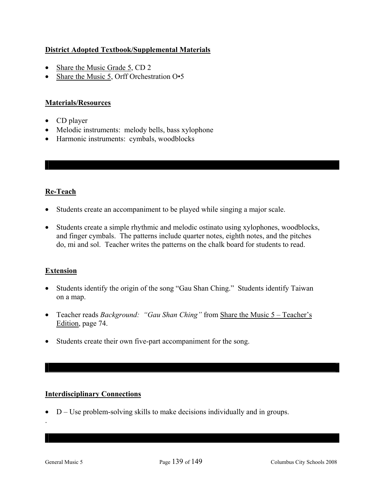# **District Adopted Textbook/Supplemental Materials**

- Share the Music Grade 5, CD 2
- Share the Music 5, Orff Orchestration O•5

# **Materials/Resources**

- CD player
- Melodic instruments: melody bells, bass xylophone
- Harmonic instruments: cymbals, woodblocks

# **Re-Teach**

- Students create an accompaniment to be played while singing a major scale.
- Students create a simple rhythmic and melodic ostinato using xylophones, woodblocks, and finger cymbals. The patterns include quarter notes, eighth notes, and the pitches do, mi and sol. Teacher writes the patterns on the chalk board for students to read.

## **Extension**

- Students identify the origin of the song "Gau Shan Ching." Students identify Taiwan on a map.
- Teacher reads *Background: "Gau Shan Ching"* from Share the Music 5 Teacher's Edition, page 74.
- Students create their own five-part accompaniment for the song.

## **Interdisciplinary Connections**

• D – Use problem-solving skills to make decisions individually and in groups.

.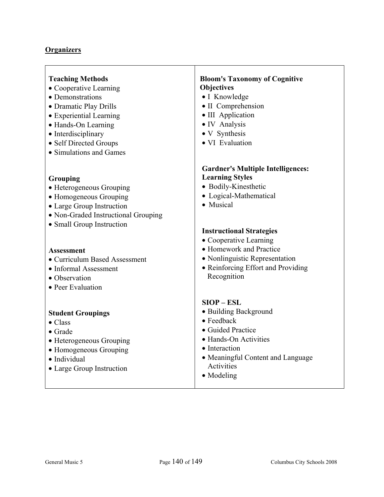| <b>Teaching Methods</b> |  |
|-------------------------|--|
|-------------------------|--|

- Cooperative Learning
- Demonstrations
- Dramatic Play Drills
- Experiential Learning
- Hands-On Learning
- Interdisciplinary
- Self Directed Groups
- Simulations and Games

#### **Grouping**

- Heterogeneous Grouping
- Homogeneous Grouping
- Large Group Instruction
- Non-Graded Instructional Grouping
- Small Group Instruction

### **Assessment**

- Curriculum Based Assessment
- Informal Assessment
- Observation
- Peer Evaluation

### **Student Groupings**

- Class
- Grade
- Heterogeneous Grouping
- Homogeneous Grouping
- Individual
- Large Group Instruction

### **Bloom's Taxonomy of Cognitive Objectives**

- I Knowledge
- II Comprehension
- III Application
- IV Analysis
- V Synthesis
- VI Evaluation

### **Gardner's Multiple Intelligences: Learning Styles**

- Bodily-Kinesthetic
- Logical-Mathematical
- Musical

### **Instructional Strategies**

- Cooperative Learning
- Homework and Practice
- Nonlinguistic Representation
- Reinforcing Effort and Providing Recognition

### **SIOP – ESL**

- Building Background
- Feedback
- Guided Practice
- Hands-On Activities
- Interaction
- Meaningful Content and Language Activities
- Modeling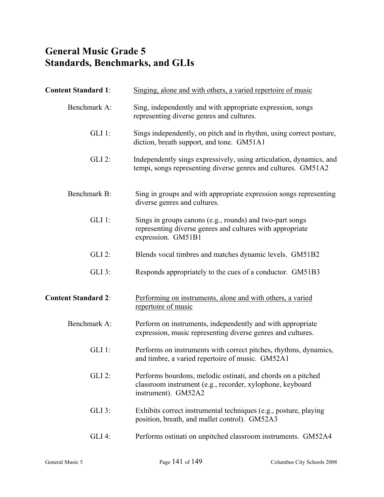## **General Music Grade 5 Standards, Benchmarks, and GLIs**

| <b>Content Standard 1:</b> | Singing, alone and with others, a varied repertoire of music                                                                                     |
|----------------------------|--------------------------------------------------------------------------------------------------------------------------------------------------|
| Benchmark A:               | Sing, independently and with appropriate expression, songs<br>representing diverse genres and cultures.                                          |
| $GLI$ 1:                   | Sings independently, on pitch and in rhythm, using correct posture,<br>diction, breath support, and tone. GM51A1                                 |
| <b>GLI 2:</b>              | Independently sings expressively, using articulation, dynamics, and<br>tempi, songs representing diverse genres and cultures. GM51A2             |
| Benchmark B:               | Sing in groups and with appropriate expression songs representing<br>diverse genres and cultures.                                                |
| $GLI$ 1:                   | Sings in groups canons (e.g., rounds) and two-part songs<br>representing diverse genres and cultures with appropriate<br>expression. GM51B1      |
| $GLI$ 2:                   | Blends vocal timbres and matches dynamic levels. GM51B2                                                                                          |
| GLI 3:                     | Responds appropriately to the cues of a conductor. GM51B3                                                                                        |
| <b>Content Standard 2:</b> | Performing on instruments, alone and with others, a varied<br>repertoire of music                                                                |
| Benchmark A:               | Perform on instruments, independently and with appropriate<br>expression, music representing diverse genres and cultures.                        |
| $GLI$ 1:                   | Performs on instruments with correct pitches, rhythms, dynamics,<br>and timbre, a varied repertoire of music. GM52A1                             |
| $GLI$ 2:                   | Performs bourdons, melodic ostinati, and chords on a pitched<br>classroom instrument (e.g., recorder, xylophone, keyboard<br>instrument). GM52A2 |
| $GLI$ 3:                   | Exhibits correct instrumental techniques (e.g., posture, playing<br>position, breath, and mallet control). GM52A3                                |
| $GLI$ 4:                   | Performs ostinati on unpitched classroom instruments. GM52A4                                                                                     |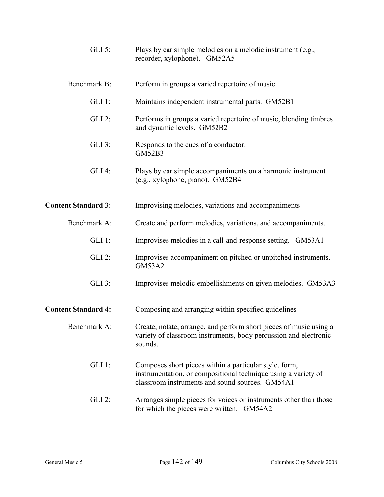| $GLI$ 5:                   | Plays by ear simple melodies on a melodic instrument (e.g.,<br>recorder, xylophone). GM52A5                                                                                 |
|----------------------------|-----------------------------------------------------------------------------------------------------------------------------------------------------------------------------|
| Benchmark B:               | Perform in groups a varied repertoire of music.                                                                                                                             |
| $GLI$ 1:                   | Maintains independent instrumental parts. GM52B1                                                                                                                            |
| <b>GLI 2:</b>              | Performs in groups a varied repertoire of music, blending timbres<br>and dynamic levels. GM52B2                                                                             |
| GLI 3:                     | Responds to the cues of a conductor.<br><b>GM52B3</b>                                                                                                                       |
| GLI 4:                     | Plays by ear simple accompaniments on a harmonic instrument<br>(e.g., xylophone, piano). GM52B4                                                                             |
| <b>Content Standard 3:</b> | Improvising melodies, variations and accompaniments                                                                                                                         |
| Benchmark A:               | Create and perform melodies, variations, and accompaniments.                                                                                                                |
| $GLI$ 1:                   | Improvises melodies in a call-and-response setting. GM53A1                                                                                                                  |
| <b>GLI 2:</b>              | Improvises accompaniment on pitched or unpitched instruments.<br><b>GM53A2</b>                                                                                              |
| $GLI$ 3:                   | Improvises melodic embellishments on given melodies. GM53A3                                                                                                                 |
| <b>Content Standard 4:</b> | Composing and arranging within specified guidelines                                                                                                                         |
| Benchmark A:               | Create, notate, arrange, and perform short pieces of music using a<br>variety of classroom instruments, body percussion and electronic<br>sounds.                           |
| $GLI$ 1:                   | Composes short pieces within a particular style, form,<br>instrumentation, or compositional technique using a variety of<br>classroom instruments and sound sources. GM54A1 |
| $GLI$ 2:                   | Arranges simple pieces for voices or instruments other than those<br>for which the pieces were written. GM54A2                                                              |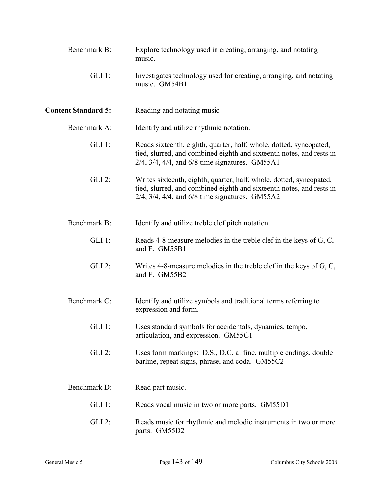| Benchmark B:               | Explore technology used in creating, arranging, and notating<br>music.                                                                                                                                   |
|----------------------------|----------------------------------------------------------------------------------------------------------------------------------------------------------------------------------------------------------|
| $GLI$ 1:                   | Investigates technology used for creating, arranging, and notating<br>music. GM54B1                                                                                                                      |
| <b>Content Standard 5:</b> | Reading and notating music                                                                                                                                                                               |
| Benchmark A:               | Identify and utilize rhythmic notation.                                                                                                                                                                  |
| $GLI$ 1:                   | Reads sixteenth, eighth, quarter, half, whole, dotted, syncopated,<br>tied, slurred, and combined eighth and sixteenth notes, and rests in<br>$2/4$ , $3/4$ , $4/4$ , and $6/8$ time signatures. GM55A1  |
| <b>GLI 2:</b>              | Writes sixteenth, eighth, quarter, half, whole, dotted, syncopated,<br>tied, slurred, and combined eighth and sixteenth notes, and rests in<br>$2/4$ , $3/4$ , $4/4$ , and $6/8$ time signatures. GM55A2 |
| Benchmark B:               | Identify and utilize treble clef pitch notation.                                                                                                                                                         |
| $GLI$ 1:                   | Reads 4-8-measure melodies in the treble clef in the keys of G, C,<br>and F. GM55B1                                                                                                                      |
| <b>GLI 2:</b>              | Writes 4-8-measure melodies in the treble clef in the keys of $G, C$ ,<br>and F. GM55B2                                                                                                                  |
| Benchmark C:               | Identify and utilize symbols and traditional terms referring to<br>expression and form.                                                                                                                  |
| $GLI$ 1:                   | Uses standard symbols for accidentals, dynamics, tempo,<br>articulation, and expression. GM55C1                                                                                                          |
| $GLI$ 2:                   | Uses form markings: D.S., D.C. al fine, multiple endings, double<br>barline, repeat signs, phrase, and coda. GM55C2                                                                                      |
| Benchmark D:               | Read part music.                                                                                                                                                                                         |
| $GLI$ 1:                   | Reads vocal music in two or more parts. GM55D1                                                                                                                                                           |
| $GLI$ 2:                   | Reads music for rhythmic and melodic instruments in two or more<br>parts. GM55D2                                                                                                                         |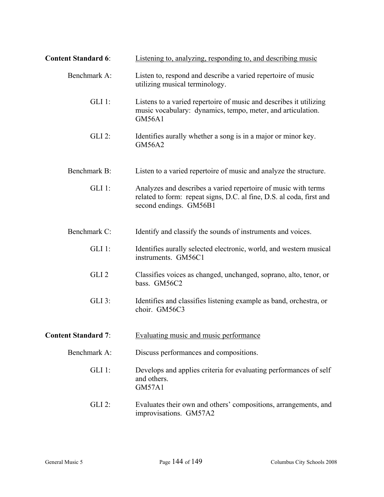| <b>Content Standard 6:</b> | Listening to, analyzing, responding to, and describing music                                                                                                     |
|----------------------------|------------------------------------------------------------------------------------------------------------------------------------------------------------------|
| Benchmark A:               | Listen to, respond and describe a varied repertoire of music<br>utilizing musical terminology.                                                                   |
| $GLI$ 1:                   | Listens to a varied repertoire of music and describes it utilizing<br>music vocabulary: dynamics, tempo, meter, and articulation.<br><b>GM56A1</b>               |
| <b>GLI 2:</b>              | Identifies aurally whether a song is in a major or minor key.<br><b>GM56A2</b>                                                                                   |
| Benchmark B:               | Listen to a varied repertoire of music and analyze the structure.                                                                                                |
| $GLI$ 1:                   | Analyzes and describes a varied repertoire of music with terms<br>related to form: repeat signs, D.C. al fine, D.S. al coda, first and<br>second endings. GM56B1 |
| Benchmark C:               | Identify and classify the sounds of instruments and voices.                                                                                                      |
| $GLI$ 1:                   | Identifies aurally selected electronic, world, and western musical<br>instruments. GM56C1                                                                        |
| GLI <sub>2</sub>           | Classifies voices as changed, unchanged, soprano, alto, tenor, or<br>bass. GM56C2                                                                                |
| GLI 3:                     | Identifies and classifies listening example as band, orchestra, or<br>choir. GM56C3                                                                              |
| <b>Content Standard 7:</b> | Evaluating music and music performance                                                                                                                           |
| Benchmark A:               | Discuss performances and compositions.                                                                                                                           |
| $GLI$ 1:                   | Develops and applies criteria for evaluating performances of self<br>and others.<br><b>GM57A1</b>                                                                |
| GLI 2:                     | Evaluates their own and others' compositions, arrangements, and<br>improvisations. GM57A2                                                                        |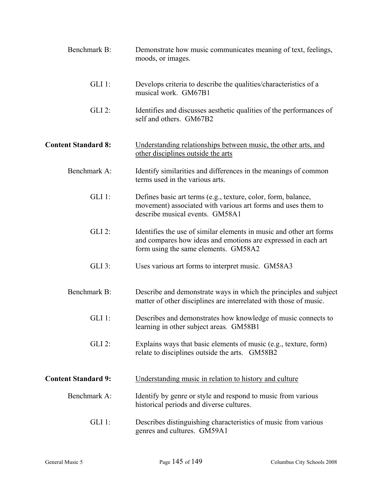| Benchmark B:               | Demonstrate how music communicates meaning of text, feelings,<br>moods, or images.                                                                                           |
|----------------------------|------------------------------------------------------------------------------------------------------------------------------------------------------------------------------|
| $GLI$ 1:                   | Develops criteria to describe the qualities/characteristics of a<br>musical work. GM67B1                                                                                     |
| $GLI$ 2:                   | Identifies and discusses aesthetic qualities of the performances of<br>self and others. GM67B2                                                                               |
| <b>Content Standard 8:</b> | Understanding relationships between music, the other arts, and<br>other disciplines outside the arts                                                                         |
| Benchmark A:               | Identify similarities and differences in the meanings of common<br>terms used in the various arts.                                                                           |
| $GLI$ 1:                   | Defines basic art terms (e.g., texture, color, form, balance,<br>movement) associated with various art forms and uses them to<br>describe musical events. GM58A1             |
| <b>GLI 2:</b>              | Identifies the use of similar elements in music and other art forms<br>and compares how ideas and emotions are expressed in each art<br>form using the same elements. GM58A2 |
| $GLI$ 3:                   | Uses various art forms to interpret music. GM58A3                                                                                                                            |
| Benchmark B:               | Describe and demonstrate ways in which the principles and subject<br>matter of other disciplines are interrelated with those of music.                                       |
| $GLI$ 1:                   | Describes and demonstrates how knowledge of music connects to<br>learning in other subject areas. GM58B1                                                                     |
| $GLI$ 2:                   | Explains ways that basic elements of music (e.g., texture, form)<br>relate to disciplines outside the arts. GM58B2                                                           |
| <b>Content Standard 9:</b> | Understanding music in relation to history and culture                                                                                                                       |
| Benchmark A:               | Identify by genre or style and respond to music from various<br>historical periods and diverse cultures.                                                                     |
| $GLI$ 1:                   | Describes distinguishing characteristics of music from various<br>genres and cultures. GM59A1                                                                                |
|                            |                                                                                                                                                                              |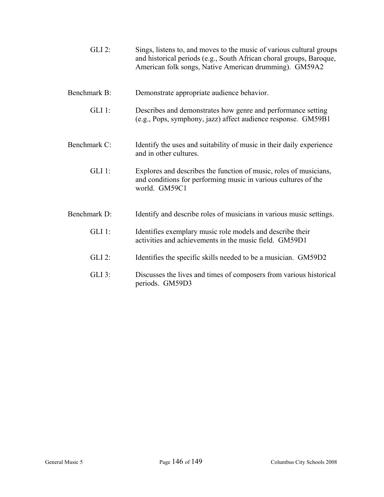| $GLI$ 2:     | Sings, listens to, and moves to the music of various cultural groups<br>and historical periods (e.g., South African choral groups, Baroque,<br>American folk songs, Native American drumming). GM59A2 |
|--------------|-------------------------------------------------------------------------------------------------------------------------------------------------------------------------------------------------------|
| Benchmark B: | Demonstrate appropriate audience behavior.                                                                                                                                                            |
| $GLI$ 1:     | Describes and demonstrates how genre and performance setting<br>(e.g., Pops, symphony, jazz) affect audience response. GM59B1                                                                         |
| Benchmark C: | Identify the uses and suitability of music in their daily experience<br>and in other cultures.                                                                                                        |
| $GLI$ 1:     | Explores and describes the function of music, roles of musicians,<br>and conditions for performing music in various cultures of the<br>world. GM59C1                                                  |
| Benchmark D: | Identify and describe roles of musicians in various music settings.                                                                                                                                   |
| $GLI$ 1:     | Identifies exemplary music role models and describe their<br>activities and achievements in the music field. GM59D1                                                                                   |
| $GLI$ 2:     | Identifies the specific skills needed to be a musician. GM59D2                                                                                                                                        |
| $GLI$ 3:     | Discusses the lives and times of composers from various historical<br>periods. GM59D3                                                                                                                 |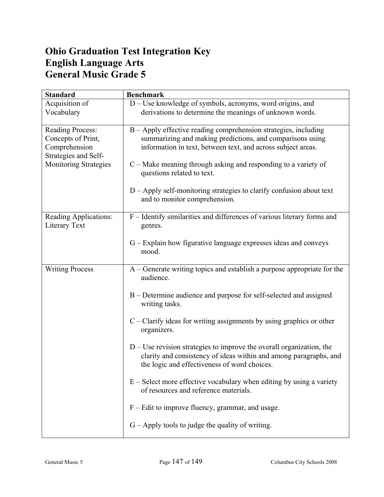## **Ohio Graduation Test Integration Key English Language Arts General Music Grade 5**

| <b>Standard</b>                                                                                                 | <b>Benchmark</b>                                                                                                                                                                                                                                                                                                                                                                                          |
|-----------------------------------------------------------------------------------------------------------------|-----------------------------------------------------------------------------------------------------------------------------------------------------------------------------------------------------------------------------------------------------------------------------------------------------------------------------------------------------------------------------------------------------------|
| Acquisition of<br>Vocabulary                                                                                    | D - Use knowledge of symbols, acronyms, word origins, and<br>derivations to determine the meanings of unknown words.                                                                                                                                                                                                                                                                                      |
| Reading Process:<br>Concepts of Print,<br>Comprehension<br>Strategies and Self-<br><b>Monitoring Strategies</b> | B - Apply effective reading comprehension strategies, including<br>summarizing and making predictions, and comparisons using<br>information in text, between text, and across subject areas.<br>$C$ – Make meaning through asking and responding to a variety of<br>questions related to text.<br>$D - Apply$ self-monitoring strategies to clarify confusion about text<br>and to monitor comprehension. |
| Reading Applications:<br>Literary Text                                                                          | F - Identify similarities and differences of various literary forms and<br>genres.                                                                                                                                                                                                                                                                                                                        |
|                                                                                                                 | G – Explain how figurative language expresses ideas and conveys<br>mood.                                                                                                                                                                                                                                                                                                                                  |
| <b>Writing Process</b>                                                                                          | A – Generate writing topics and establish a purpose appropriate for the<br>audience.                                                                                                                                                                                                                                                                                                                      |
|                                                                                                                 | B – Determine audience and purpose for self-selected and assigned<br>writing tasks.                                                                                                                                                                                                                                                                                                                       |
|                                                                                                                 | $C -$ Clarify ideas for writing assignments by using graphics or other<br>organizers.                                                                                                                                                                                                                                                                                                                     |
|                                                                                                                 | $D$ – Use revision strategies to improve the overall organization, the<br>clarity and consistency of ideas within and among paragraphs, and<br>the logic and effectiveness of word choices.                                                                                                                                                                                                               |
|                                                                                                                 | $E -$ Select more effective vocabulary when editing by using a variety<br>of resources and reference materials.                                                                                                                                                                                                                                                                                           |
|                                                                                                                 | $F -$ Edit to improve fluency, grammar, and usage.                                                                                                                                                                                                                                                                                                                                                        |
|                                                                                                                 | $G - Apply$ tools to judge the quality of writing.                                                                                                                                                                                                                                                                                                                                                        |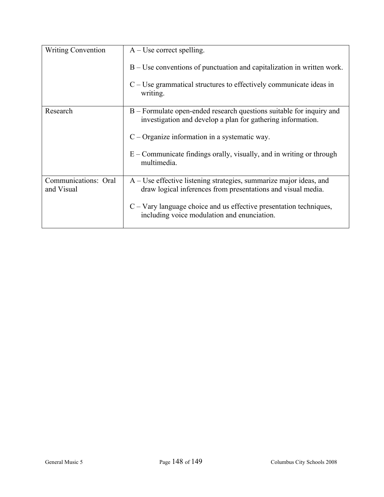| <b>Writing Convention</b>          | $A$ – Use correct spelling.                                                                                                          |
|------------------------------------|--------------------------------------------------------------------------------------------------------------------------------------|
|                                    | $B - Use$ conventions of punctuation and capitalization in written work.                                                             |
|                                    | $C$ – Use grammatical structures to effectively communicate ideas in<br>writing.                                                     |
| Research                           | B – Formulate open-ended research questions suitable for inquiry and<br>investigation and develop a plan for gathering information.  |
|                                    | $C -$ Organize information in a systematic way.                                                                                      |
|                                    | $E$ – Communicate findings orally, visually, and in writing or through<br>multimedia.                                                |
| Communications: Oral<br>and Visual | $A$ – Use effective listening strategies, summarize major ideas, and<br>draw logical inferences from presentations and visual media. |
|                                    | $C - Vary$ language choice and us effective presentation techniques,<br>including voice modulation and enunciation.                  |